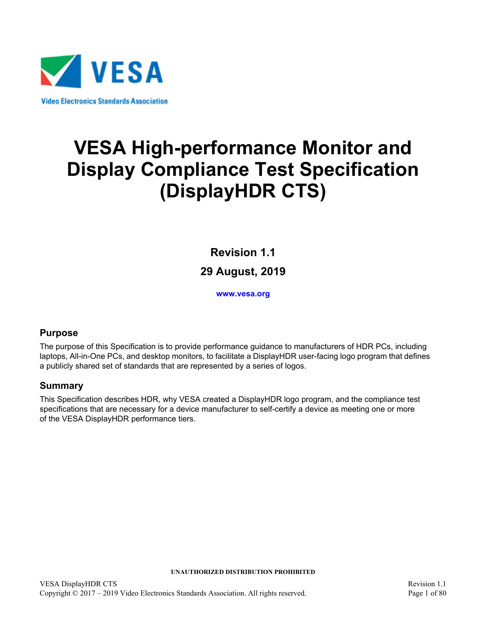

# **VESA High-performance Monitor and Display Compliance Test Specification (DisplayHDR CTS)**

<span id="page-0-3"></span>**Revision 1.1 29 August, 2019**

**[www.vesa.org](http://www.vesa.org/)**

### <span id="page-0-1"></span><span id="page-0-0"></span>**Purpose**

The purpose of this Specification is to provide performance guidance to manufacturers of HDR PCs, including laptops, All-in-One PCs, and desktop monitors, to facilitate a DisplayHDR user-facing logo program that defines a publicly shared set of standards that are represented by a series of logos.

### <span id="page-0-2"></span>**Summary**

This Specification describes HDR, why VESA created a DisplayHDR logo program, and the compliance test specifications that are necessary for a device manufacturer to self-certify a device as meeting one or more of the VESA DisplayHDR performance tiers.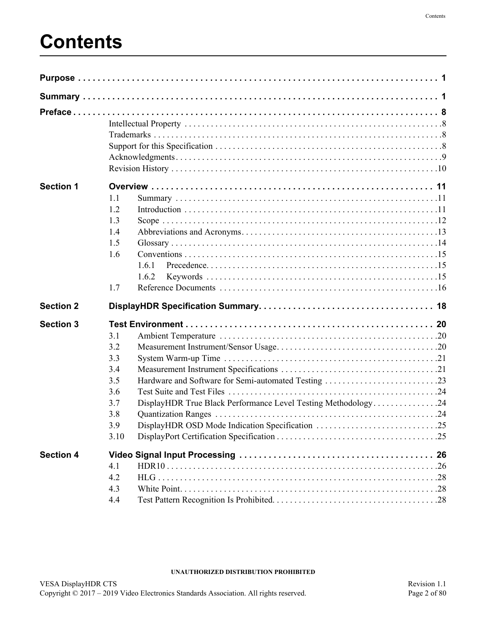# **Contents**

| <b>Section 1</b> | 1.1<br>1.2<br>1.3<br>1.4<br>1.5<br>1.6<br>1.6.1<br>1.6.2<br>1.7                                                                                                                             |  |
|------------------|---------------------------------------------------------------------------------------------------------------------------------------------------------------------------------------------|--|
| <b>Section 2</b> |                                                                                                                                                                                             |  |
| <b>Section 3</b> | 3.1<br>3.2<br>3.3<br>3.4<br>Hardware and Software for Semi-automated Testing 23<br>3.5<br>3.6<br>DisplayHDR True Black Performance Level Testing Methodology24<br>3.7<br>3.8<br>3.9<br>3.10 |  |
| <b>Section 4</b> | 4.1<br>4.2<br>4.3<br>4.4                                                                                                                                                                    |  |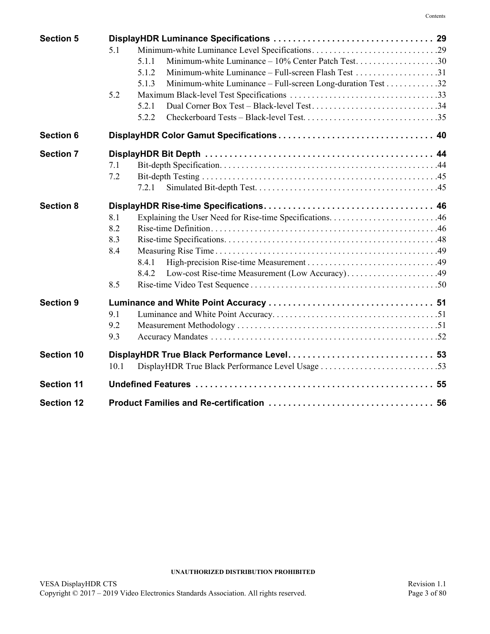| <b>Section 5</b>  |                                                                      |  |
|-------------------|----------------------------------------------------------------------|--|
|                   | 5.1                                                                  |  |
|                   | 5.1.1                                                                |  |
|                   | 5.1.2                                                                |  |
|                   | Minimum-white Luminance – Full-screen Long-duration Test 32<br>5.1.3 |  |
|                   | 5.2                                                                  |  |
|                   | Dual Corner Box Test – Black-level Test34<br>5.2.1                   |  |
|                   | 5.2.2                                                                |  |
| <b>Section 6</b>  |                                                                      |  |
| <b>Section 7</b>  |                                                                      |  |
|                   | 7.1                                                                  |  |
|                   | 7.2                                                                  |  |
|                   | 7.2.1                                                                |  |
| <b>Section 8</b>  |                                                                      |  |
|                   | 8.1                                                                  |  |
|                   | 8.2                                                                  |  |
|                   | 8.3                                                                  |  |
|                   | 8.4                                                                  |  |
|                   | 8.4.1                                                                |  |
|                   | Low-cost Rise-time Measurement (Low Accuracy)49<br>8.4.2             |  |
|                   | 8.5                                                                  |  |
| <b>Section 9</b>  |                                                                      |  |
|                   | 9.1                                                                  |  |
|                   | 9.2                                                                  |  |
|                   | 9.3                                                                  |  |
| <b>Section 10</b> |                                                                      |  |
|                   | 10.1                                                                 |  |
| <b>Section 11</b> |                                                                      |  |
| <b>Section 12</b> |                                                                      |  |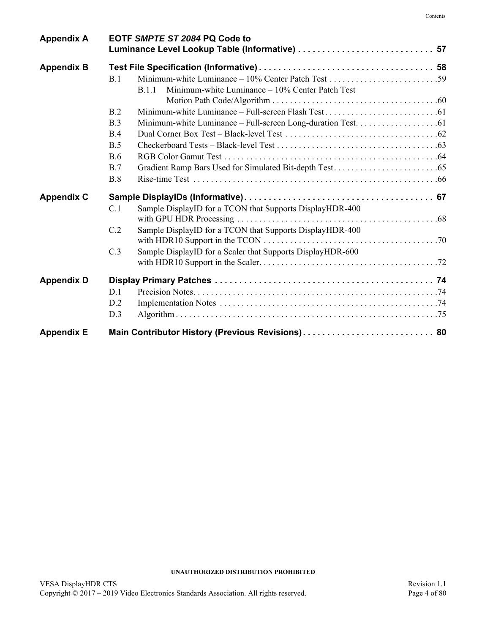| <b>Appendix A</b> | EOTF SMPTE ST 2084 PQ Code to                                          |  |
|-------------------|------------------------------------------------------------------------|--|
| <b>Appendix B</b> | B.1<br>Minimum-white Luminance - 10% Center Patch Test<br><b>B.1.1</b> |  |
|                   | B.2                                                                    |  |
|                   | B.3                                                                    |  |
|                   | B.4                                                                    |  |
|                   | B.5                                                                    |  |
|                   | B.6                                                                    |  |
|                   | B.7                                                                    |  |
|                   | B.8                                                                    |  |
| <b>Appendix C</b> |                                                                        |  |
|                   | Sample DisplayID for a TCON that Supports DisplayHDR-400<br>C.1        |  |
|                   | Sample DisplayID for a TCON that Supports DisplayHDR-400<br>C.2        |  |
|                   | Sample DisplayID for a Scaler that Supports DisplayHDR-600<br>C.3      |  |
| <b>Appendix D</b> |                                                                        |  |
|                   | D.1                                                                    |  |
|                   | D.2                                                                    |  |
|                   | D.3                                                                    |  |
| <b>Appendix E</b> | Main Contributor History (Previous Revisions) 80                       |  |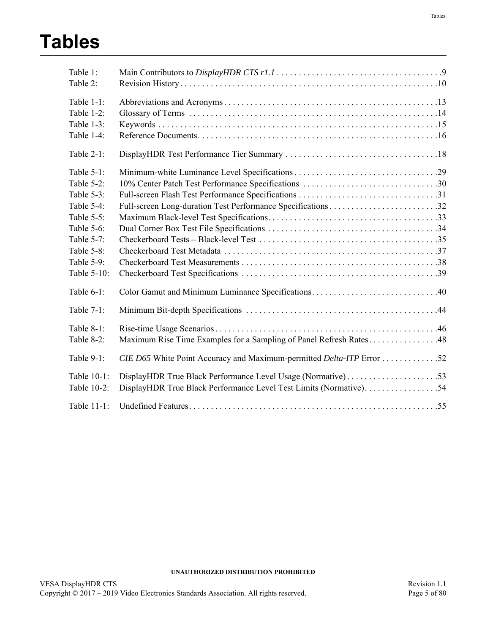# **Tables**

| Table 1:<br>Table 2:       |                                                                                                                                  |
|----------------------------|----------------------------------------------------------------------------------------------------------------------------------|
| Table 1-1:                 |                                                                                                                                  |
| Table 1-2:                 |                                                                                                                                  |
| Table 1-3:                 |                                                                                                                                  |
| Table 1-4:                 |                                                                                                                                  |
| Table 2-1:                 |                                                                                                                                  |
| Table $5-1$ :              |                                                                                                                                  |
| Table 5-2:                 |                                                                                                                                  |
| Table 5-3:                 |                                                                                                                                  |
| Table 5-4:                 |                                                                                                                                  |
| Table 5-5:                 |                                                                                                                                  |
| Table 5-6:                 |                                                                                                                                  |
| Table 5-7:                 |                                                                                                                                  |
| Table 5-8:                 |                                                                                                                                  |
| Table 5-9:                 |                                                                                                                                  |
| Table 5-10:                |                                                                                                                                  |
| Table 6-1:                 |                                                                                                                                  |
| Table 7-1:                 |                                                                                                                                  |
| Table 8-1:                 |                                                                                                                                  |
| Table 8-2:                 | Maximum Rise Time Examples for a Sampling of Panel Refresh Rates48                                                               |
| Table $9-1$ :              |                                                                                                                                  |
| Table 10-1:<br>Table 10-2: | DisplayHDR True Black Performance Level Usage (Normative)53<br>DisplayHDR True Black Performance Level Test Limits (Normative)54 |
| Table 11-1:                |                                                                                                                                  |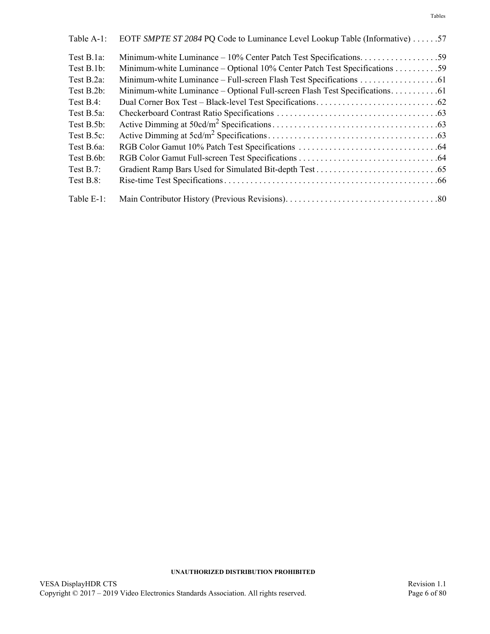| Table A-1:   | EOTF SMPTE ST 2084 PQ Code to Luminance Level Lookup Table (Informative) 57  |
|--------------|------------------------------------------------------------------------------|
| Test B.1a:   |                                                                              |
| Test B.1b:   | Minimum-white Luminance - Optional 10% Center Patch Test Specifications 59   |
| Test B.2a:   |                                                                              |
| Test B.2b:   | Minimum-white Luminance - Optional Full-screen Flash Test Specifications. 61 |
| Test $B.4$ : |                                                                              |
| Test B.5a:   |                                                                              |
| Test B.5b:   |                                                                              |
| Test B.5c:   |                                                                              |
| Test B.6a:   |                                                                              |
| Test B.6b:   |                                                                              |
| Test $B.7$ : |                                                                              |
| Test B.8:    |                                                                              |
| Table E-1:   |                                                                              |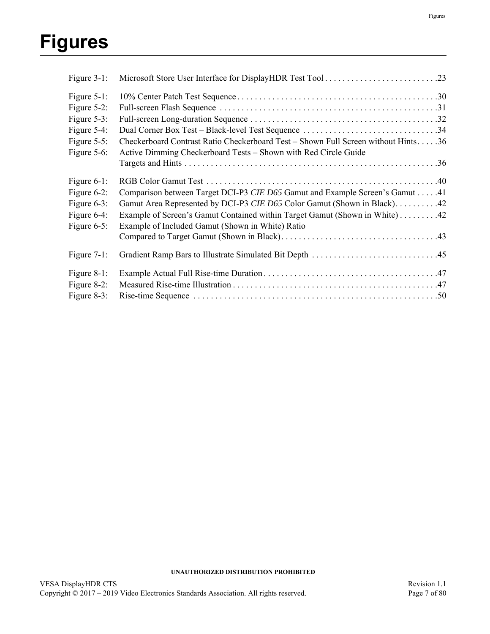# **Figures**

| Figure 3-1:    |                                                                                   |  |
|----------------|-----------------------------------------------------------------------------------|--|
| Figure $5-1$ : |                                                                                   |  |
| Figure 5-2:    |                                                                                   |  |
| Figure 5-3:    |                                                                                   |  |
| Figure 5-4:    | Dual Corner Box Test – Black-level Test Sequence 34                               |  |
| Figure $5-5$ : | Checkerboard Contrast Ratio Checkerboard Test - Shown Full Screen without Hints36 |  |
| Figure 5-6:    | Active Dimming Checkerboard Tests - Shown with Red Circle Guide                   |  |
|                |                                                                                   |  |
| Figure 6-1:    |                                                                                   |  |
| Figure $6-2$ : | Comparison between Target DCI-P3 CIE D65 Gamut and Example Screen's Gamut 41      |  |
| Figure $6-3$ : | Gamut Area Represented by DCI-P3 CIE D65 Color Gamut (Shown in Black)42           |  |
| Figure 6-4:    | Example of Screen's Gamut Contained within Target Gamut (Shown in White) 42       |  |
| Figure $6-5$ : | Example of Included Gamut (Shown in White) Ratio                                  |  |
|                |                                                                                   |  |
| Figure $7-1$ : |                                                                                   |  |
| Figure 8-1:    |                                                                                   |  |
| Figure 8-2:    |                                                                                   |  |
| Figure 8-3:    |                                                                                   |  |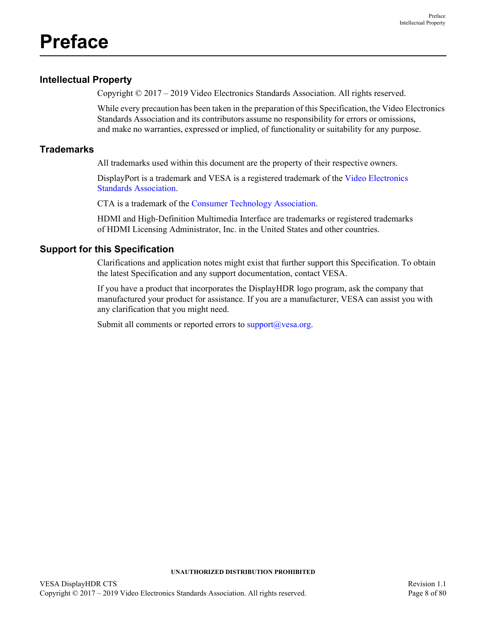# <span id="page-7-0"></span>**Preface**

## <span id="page-7-1"></span>**Intellectual Property**

Copyright © 2017 – 2019 Video Electronics Standards Association. All rights reserved.

While every precaution has been taken in the preparation of this Specification, the Video Electronics Standards Association and its contributors assume no responsibility for errors or omissions, and make no warranties, expressed or implied, of functionality or suitability for any purpose.

## <span id="page-7-2"></span>**Trademarks**

All trademarks used within this document are the property of their respective owners.

DisplayPort is a trademark and VESA is a registered trademark of the Video Electronics Standards Association.

CTA is a trademark of the [Consumer Technology Association](http://www.cta.tech/).

HDMI and High-Definition Multimedia Interface are trademarks or registered trademarks of HDMI Licensing Administrator, Inc. in the United States and other countries.

## <span id="page-7-3"></span>**Support for this Specification**

Clarifications and application notes might exist that further support this Specification. To obtain the latest Specification and any support documentation, contact VESA.

If you have a product that incorporates the DisplayHDR logo program, ask the company that manufactured your product for assistance. If you are a manufacturer, VESA can assist you with any clarification that you might need.

Submit all comments or reported errors to  $\frac{\text{support}(a)}{\text{vesa.org}}$ .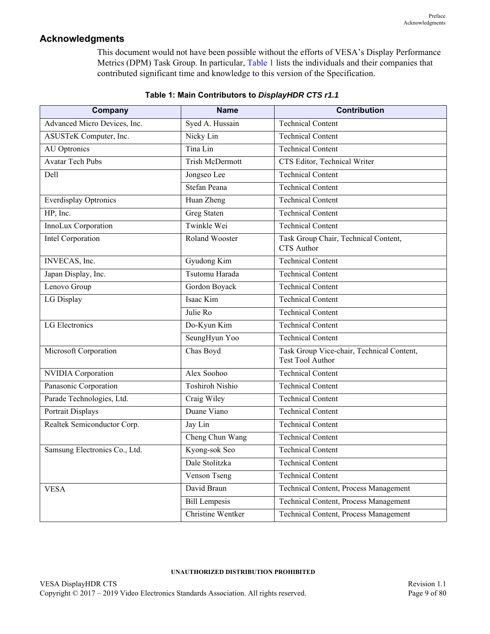## <span id="page-8-0"></span>**Acknowledgments**

This document would not have been possible without the efforts of VESA's Display Performance Metrics (DPM) Task Group. In particular, [Table 1](#page-8-1) lists the individuals and their companies that contributed significant time and knowledge to this version of the Specification.

<span id="page-8-1"></span>

| Company                       | <b>Name</b>            | <b>Contribution</b>                                                  |
|-------------------------------|------------------------|----------------------------------------------------------------------|
| Advanced Micro Devices, Inc.  | Syed A. Hussain        | <b>Technical Content</b>                                             |
| ASUSTeK Computer, Inc.        | Nicky Lin              | <b>Technical Content</b>                                             |
| <b>AU</b> Optronics           | Tina Lin               | <b>Technical Content</b>                                             |
| <b>Avatar Tech Pubs</b>       | <b>Trish McDermott</b> | CTS Editor, Technical Writer                                         |
| Dell                          | Jongseo Lee            | <b>Technical Content</b>                                             |
|                               | Stefan Peana           | <b>Technical Content</b>                                             |
| <b>Everdisplay Optronics</b>  | Huan Zheng             | <b>Technical Content</b>                                             |
| HP, Inc.                      | <b>Greg Staten</b>     | <b>Technical Content</b>                                             |
| InnoLux Corporation           | Twinkle Wei            | <b>Technical Content</b>                                             |
| Intel Corporation             | Roland Wooster         | Task Group Chair, Technical Content,<br><b>CTS</b> Author            |
| INVECAS, Inc.                 | Gyudong Kim            | <b>Technical Content</b>                                             |
| Japan Display, Inc.           | Tsutomu Harada         | <b>Technical Content</b>                                             |
| Lenovo Group                  | Gordon Boyack          | <b>Technical Content</b>                                             |
| LG Display                    | Isaac Kim              | <b>Technical Content</b>                                             |
|                               | Julie Ro               | <b>Technical Content</b>                                             |
| LG Electronics                | Do-Kyun Kim            | <b>Technical Content</b>                                             |
|                               | SeungHyun Yoo          | <b>Technical Content</b>                                             |
| Microsoft Corporation         | Chas Boyd              | Task Group Vice-chair, Technical Content,<br><b>Test Tool Author</b> |
| <b>NVIDIA</b> Corporation     | Alex Soohoo            | Technical Content                                                    |
| Panasonic Corporation         | <b>Toshiroh Nishio</b> | <b>Technical Content</b>                                             |
| Parade Technologies, Ltd.     | Craig Wiley            | <b>Technical Content</b>                                             |
| Portrait Displays             | Duane Viano            | <b>Technical Content</b>                                             |
| Realtek Semiconductor Corp.   | Jay Lin                | <b>Technical Content</b>                                             |
|                               | Cheng Chun Wang        | <b>Technical Content</b>                                             |
| Samsung Electronics Co., Ltd. | Kyong-sok Seo          | <b>Technical Content</b>                                             |
|                               | Dale Stolitzka         | <b>Technical Content</b>                                             |
|                               | Venson Tseng           | <b>Technical Content</b>                                             |
| <b>VESA</b>                   | David Braun            | Technical Content, Process Management                                |
|                               | <b>Bill Lempesis</b>   | Technical Content, Process Management                                |
|                               | Christine Wentker      | Technical Content, Process Management                                |

### **Table 1: Main Contributors to** *DisplayHDR CTS r1.1*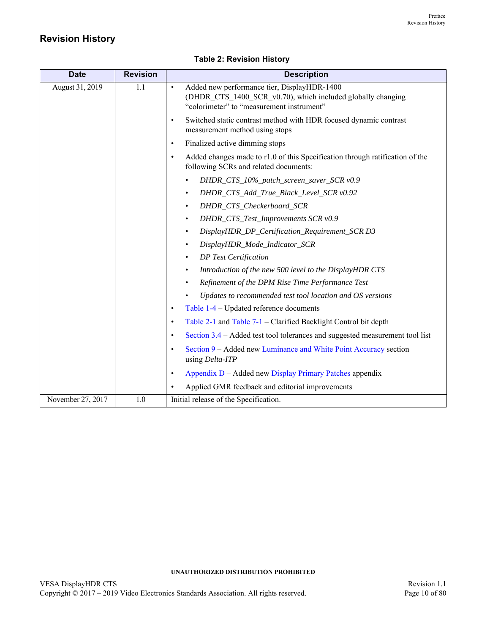## <span id="page-9-0"></span>**Revision History**

<span id="page-9-1"></span>

| <b>Date</b>       | <b>Revision</b> | <b>Description</b>                                                                                                                                                   |
|-------------------|-----------------|----------------------------------------------------------------------------------------------------------------------------------------------------------------------|
| August 31, 2019   | 1.1             | Added new performance tier, DisplayHDR-1400<br>$\bullet$<br>(DHDR_CTS_1400_SCR_v0.70), which included globally changing<br>"colorimeter" to "measurement instrument" |
|                   |                 | Switched static contrast method with HDR focused dynamic contrast<br>$\bullet$<br>measurement method using stops                                                     |
|                   |                 | Finalized active dimming stops<br>$\bullet$                                                                                                                          |
|                   |                 | Added changes made to r1.0 of this Specification through ratification of the<br>$\bullet$<br>following SCRs and related documents:                                   |
|                   |                 | DHDR_CTS_10%_patch_screen_saver_SCR v0.9                                                                                                                             |
|                   |                 | DHDR_CTS_Add_True_Black_Level_SCR v0.92<br>$\bullet$                                                                                                                 |
|                   |                 | DHDR_CTS_Checkerboard_SCR<br>$\bullet$                                                                                                                               |
|                   |                 | DHDR_CTS_Test_Improvements SCR v0.9<br>$\bullet$                                                                                                                     |
|                   |                 | DisplayHDR_DP_Certification_Requirement_SCR D3<br>$\bullet$                                                                                                          |
|                   |                 | DisplayHDR_Mode_Indicator_SCR                                                                                                                                        |
|                   |                 | <b>DP</b> Test Certification<br>$\bullet$                                                                                                                            |
|                   |                 | Introduction of the new 500 level to the DisplayHDR CTS<br>$\bullet$                                                                                                 |
|                   |                 | Refinement of the DPM Rise Time Performance Test                                                                                                                     |
|                   |                 | Updates to recommended test tool location and OS versions                                                                                                            |
|                   |                 | Table 1-4 – Updated reference documents<br>$\bullet$                                                                                                                 |
|                   |                 | Table 2-1 and Table 7-1 - Clarified Backlight Control bit depth<br>$\bullet$                                                                                         |
|                   |                 | Section 3.4 – Added test tool tolerances and suggested measurement tool list<br>$\bullet$                                                                            |
|                   |                 | Section 9 – Added new Luminance and White Point Accuracy section<br>$\bullet$<br>using Delta-ITP                                                                     |
|                   |                 | Appendix D - Added new Display Primary Patches appendix<br>$\bullet$                                                                                                 |
|                   |                 | Applied GMR feedback and editorial improvements<br>$\bullet$                                                                                                         |
| November 27, 2017 | 1.0             | Initial release of the Specification.                                                                                                                                |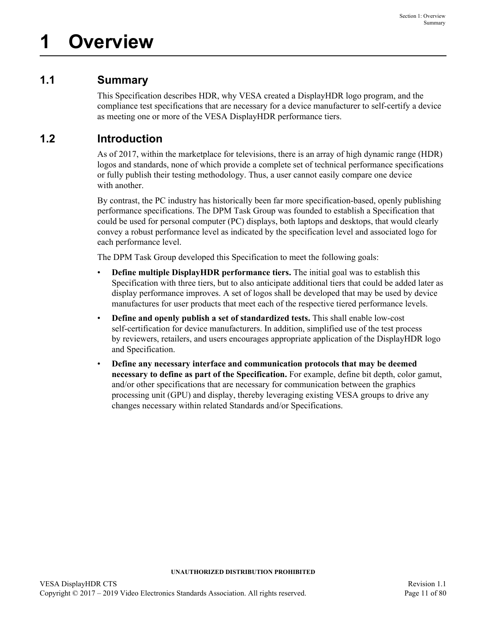## <span id="page-10-1"></span><span id="page-10-0"></span>**1.1 Summary**

This Specification describes HDR, why VESA created a DisplayHDR logo program, and the compliance test specifications that are necessary for a device manufacturer to self-certify a device as meeting one or more of the VESA DisplayHDR performance tiers.

## <span id="page-10-2"></span>**1.2 Introduction**

As of 2017, within the marketplace for televisions, there is an array of high dynamic range (HDR) logos and standards, none of which provide a complete set of technical performance specifications or fully publish their testing methodology. Thus, a user cannot easily compare one device with another.

By contrast, the PC industry has historically been far more specification-based, openly publishing performance specifications. The DPM Task Group was founded to establish a Specification that could be used for personal computer (PC) displays, both laptops and desktops, that would clearly convey a robust performance level as indicated by the specification level and associated logo for each performance level.

The DPM Task Group developed this Specification to meet the following goals:

- **Define multiple DisplayHDR performance tiers.** The initial goal was to establish this Specification with three tiers, but to also anticipate additional tiers that could be added later as display performance improves. A set of logos shall be developed that may be used by device manufactures for user products that meet each of the respective tiered performance levels.
- **Define and openly publish a set of standardized tests.** This shall enable low-cost self-certification for device manufacturers. In addition, simplified use of the test process by reviewers, retailers, and users encourages appropriate application of the DisplayHDR logo and Specification.
- **Define any necessary interface and communication protocols that may be deemed necessary to define as part of the Specification.** For example, define bit depth, color gamut, and/or other specifications that are necessary for communication between the graphics processing unit (GPU) and display, thereby leveraging existing VESA groups to drive any changes necessary within related Standards and/or Specifications.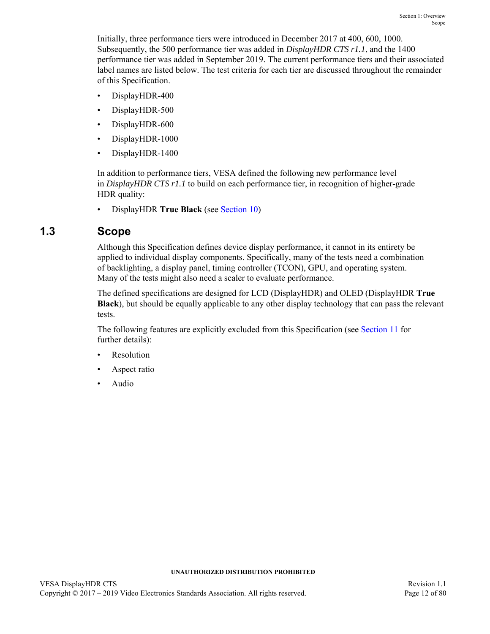Initially, three performance tiers were introduced in December 2017 at 400, 600, 1000. Subsequently, the 500 performance tier was added in *DisplayHDR CTS r1.1*, and the 1400 performance tier was added in September 2019. The current performance tiers and their associated label names are listed below. The test criteria for each tier are discussed throughout the remainder of this Specification.

- DisplayHDR-400
- DisplayHDR-500
- DisplayHDR-600
- DisplayHDR-1000
- DisplayHDR-1400

In addition to performance tiers, VESA defined the following new performance level in *DisplayHDR CTS r1.1* to build on each performance tier, in recognition of higher-grade HDR quality:

• DisplayHDR **True Black** (see [Section 10](#page-52-3))

## <span id="page-11-0"></span>**1.3 Scope**

Although this Specification defines device display performance, it cannot in its entirety be applied to individual display components. Specifically, many of the tests need a combination of backlighting, a display panel, timing controller (TCON), GPU, and operating system. Many of the tests might also need a scaler to evaluate performance.

The defined specifications are designed for LCD (DisplayHDR) and OLED (DisplayHDR **True Black**), but should be equally applicable to any other display technology that can pass the relevant tests.

The following features are explicitly excluded from this Specification (see [Section 11](#page-54-2) for further details):

- **Resolution**
- Aspect ratio
- Audio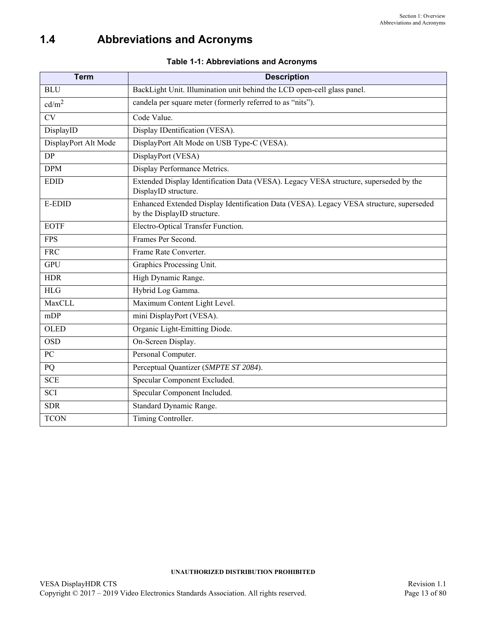# <span id="page-12-0"></span>**1.4 Abbreviations and Acronyms**

<span id="page-12-2"></span><span id="page-12-1"></span>

| <b>Term</b>            | <b>Description</b>                                                                                                     |
|------------------------|------------------------------------------------------------------------------------------------------------------------|
| <b>BLU</b>             | BackLight Unit. Illumination unit behind the LCD open-cell glass panel.                                                |
| cd/m <sup>2</sup>      | candela per square meter (formerly referred to as "nits").                                                             |
| $\overline{\text{CV}}$ | Code Value.                                                                                                            |
| DisplayID              | Display IDentification (VESA).                                                                                         |
| DisplayPort Alt Mode   | DisplayPort Alt Mode on USB Type-C (VESA).                                                                             |
| $\overline{DP}$        | DisplayPort (VESA)                                                                                                     |
| <b>DPM</b>             | Display Performance Metrics.                                                                                           |
| <b>EDID</b>            | Extended Display Identification Data (VESA). Legacy VESA structure, superseded by the<br>DisplayID structure.          |
| E-EDID                 | Enhanced Extended Display Identification Data (VESA). Legacy VESA structure, superseded<br>by the DisplayID structure. |
| <b>EOTF</b>            | Electro-Optical Transfer Function.                                                                                     |
| <b>FPS</b>             | Frames Per Second.                                                                                                     |
| <b>FRC</b>             | Frame Rate Converter.                                                                                                  |
| <b>GPU</b>             | Graphics Processing Unit.                                                                                              |
| <b>HDR</b>             | High Dynamic Range.                                                                                                    |
| <b>HLG</b>             | Hybrid Log Gamma.                                                                                                      |
| MaxCLL                 | Maximum Content Light Level.                                                                                           |
| mDP                    | mini DisplayPort (VESA).                                                                                               |
| <b>OLED</b>            | Organic Light-Emitting Diode.                                                                                          |
| <b>OSD</b>             | On-Screen Display.                                                                                                     |
| PC                     | Personal Computer.                                                                                                     |
| PQ                     | Perceptual Quantizer (SMPTE ST 2084).                                                                                  |
| <b>SCE</b>             | Specular Component Excluded.                                                                                           |
| <b>SCI</b>             | Specular Component Included.                                                                                           |
| <b>SDR</b>             | Standard Dynamic Range.                                                                                                |
| <b>TCON</b>            | Timing Controller.                                                                                                     |

### **Table 1-1: [Abbreviations and Acronyms](#page-12-0)**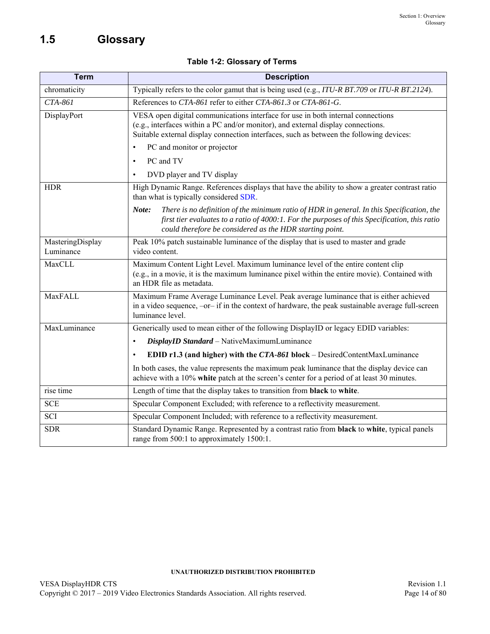# <span id="page-13-0"></span>**1.5 Glossary**

|  |  | Table 1-2: Glossary of Terms |  |  |
|--|--|------------------------------|--|--|
|--|--|------------------------------|--|--|

<span id="page-13-1"></span>

| <b>Term</b>                   | <b>Description</b>                                                                                                                                                                                                                                                                                                                                                             |
|-------------------------------|--------------------------------------------------------------------------------------------------------------------------------------------------------------------------------------------------------------------------------------------------------------------------------------------------------------------------------------------------------------------------------|
| chromaticity                  | Typically refers to the color gamut that is being used (e.g., ITU-R BT.709 or ITU-R BT.2124).                                                                                                                                                                                                                                                                                  |
| CTA-861                       | References to CTA-861 refer to either CTA-861.3 or CTA-861-G.                                                                                                                                                                                                                                                                                                                  |
| DisplayPort                   | VESA open digital communications interface for use in both internal connections<br>(e.g., interfaces within a PC and/or monitor), and external display connections.<br>Suitable external display connection interfaces, such as between the following devices:<br>PC and monitor or projector<br>$\bullet$<br>PC and TV<br>$\bullet$<br>DVD player and TV display<br>$\bullet$ |
| <b>HDR</b>                    | High Dynamic Range. References displays that have the ability to show a greater contrast ratio<br>than what is typically considered SDR.                                                                                                                                                                                                                                       |
|                               | There is no definition of the minimum ratio of HDR in general. In this Specification, the<br>Note:<br>first tier evaluates to a ratio of 4000:1. For the purposes of this Specification, this ratio<br>could therefore be considered as the HDR starting point.                                                                                                                |
| MasteringDisplay<br>Luminance | Peak 10% patch sustainable luminance of the display that is used to master and grade<br>video content.                                                                                                                                                                                                                                                                         |
| MaxCLL                        | Maximum Content Light Level. Maximum luminance level of the entire content clip<br>(e.g., in a movie, it is the maximum luminance pixel within the entire movie). Contained with<br>an HDR file as metadata.                                                                                                                                                                   |
| MaxFALL                       | Maximum Frame Average Luminance Level. Peak average luminance that is either achieved<br>in a video sequence, -or- if in the context of hardware, the peak sustainable average full-screen<br>luminance level.                                                                                                                                                                 |
| MaxLuminance                  | Generically used to mean either of the following DisplayID or legacy EDID variables:                                                                                                                                                                                                                                                                                           |
|                               | DisplayID Standard - NativeMaximumLuminance<br>$\bullet$                                                                                                                                                                                                                                                                                                                       |
|                               | EDID $r1.3$ (and higher) with the CTA-861 block – DesiredContentMaxLuminance<br>$\bullet$                                                                                                                                                                                                                                                                                      |
|                               | In both cases, the value represents the maximum peak luminance that the display device can<br>achieve with a 10% white patch at the screen's center for a period of at least 30 minutes.                                                                                                                                                                                       |
| rise time                     | Length of time that the display takes to transition from black to white.                                                                                                                                                                                                                                                                                                       |
| <b>SCE</b>                    | Specular Component Excluded; with reference to a reflectivity measurement.                                                                                                                                                                                                                                                                                                     |
| SCI                           | Specular Component Included; with reference to a reflectivity measurement.                                                                                                                                                                                                                                                                                                     |
| <b>SDR</b>                    | Standard Dynamic Range. Represented by a contrast ratio from black to white, typical panels<br>range from 500:1 to approximately 1500:1.                                                                                                                                                                                                                                       |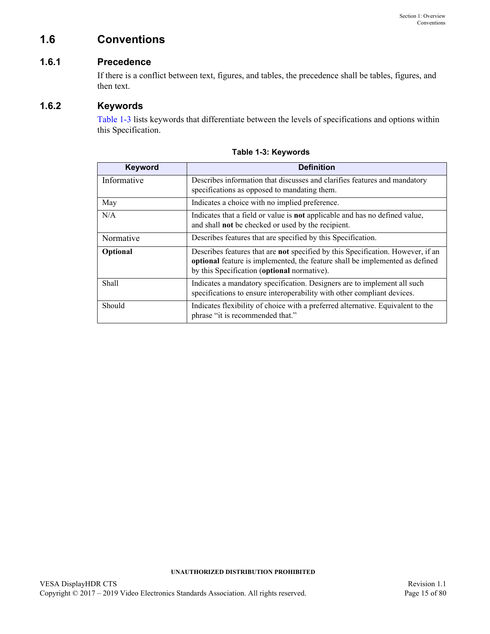## <span id="page-14-0"></span>**1.6 Conventions**

## <span id="page-14-1"></span>**1.6.1 Precedence**

If there is a conflict between text, figures, and tables, the precedence shall be tables, figures, and then text.

### <span id="page-14-2"></span>**1.6.2 Keywords**

[Table 1-3](#page-14-3) lists keywords that differentiate between the levels of specifications and options within this Specification.

<span id="page-14-3"></span>

| <b>Keyword</b> | <b>Definition</b>                                                                                                                                                                                              |
|----------------|----------------------------------------------------------------------------------------------------------------------------------------------------------------------------------------------------------------|
| Informative    | Describes information that discusses and clarifies features and mandatory<br>specifications as opposed to mandating them.                                                                                      |
| May            | Indicates a choice with no implied preference.                                                                                                                                                                 |
| N/A            | Indicates that a field or value is <b>not</b> applicable and has no defined value,<br>and shall not be checked or used by the recipient.                                                                       |
| Normative      | Describes features that are specified by this Specification.                                                                                                                                                   |
| Optional       | Describes features that are not specified by this Specification. However, if an<br>optional feature is implemented, the feature shall be implemented as defined<br>by this Specification (optional normative). |
| <b>Shall</b>   | Indicates a mandatory specification. Designers are to implement all such<br>specifications to ensure interoperability with other compliant devices.                                                            |
| Should         | Indicates flexibility of choice with a preferred alternative. Equivalent to the<br>phrase "it is recommended that."                                                                                            |

**Table 1-3: [Keywords](#page-14-2)**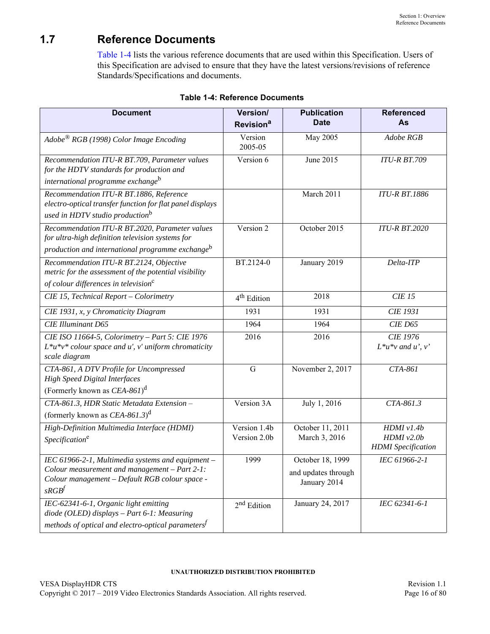# <span id="page-15-0"></span>**1.7 Reference Documents**

[Table 1-4](#page-15-1) lists the various reference documents that are used within this Specification. Users of this Specification are advised to ensure that they have the latest versions/revisions of reference Standards/Specifications and documents.

<span id="page-15-1"></span>

| <b>Document</b>                                                                                                                                                           | Version/<br>Revision <sup>a</sup> | <b>Publication</b><br><b>Date</b>                       | <b>Referenced</b><br>As                                   |
|---------------------------------------------------------------------------------------------------------------------------------------------------------------------------|-----------------------------------|---------------------------------------------------------|-----------------------------------------------------------|
| $Adobe^{\circledR}$ RGB (1998) Color Image Encoding                                                                                                                       | Version<br>2005-05                | May 2005                                                | Adobe RGB                                                 |
| Recommendation ITU-R BT.709, Parameter values<br>for the HDTV standards for production and<br>international programme exchange <sup>b</sup>                               | Version 6                         | June 2015                                               | <b>ITU-R BT.709</b>                                       |
| Recommendation ITU-R BT.1886, Reference<br>electro-optical transfer function for flat panel displays<br>used in HDTV studio production <sup>b</sup>                       |                                   | March 2011                                              | <b>ITU-R BT.1886</b>                                      |
| Recommendation ITU-R BT.2020, Parameter values<br>for ultra-high definition television systems for<br>production and international programme exchange <sup>b</sup>        | Version 2                         | October 2015                                            | <b>ITU-R BT.2020</b>                                      |
| Recommendation ITU-R BT.2124, Objective<br>metric for the assessment of the potential visibility<br>of colour differences in television <sup>c</sup>                      | BT.2124-0                         | January 2019                                            | Delta-ITP                                                 |
| CIE 15, Technical Report - Colorimetry                                                                                                                                    | 4 <sup>th</sup> Edition           | 2018                                                    | <b>CIE 15</b>                                             |
| CIE 1931, x, y Chromaticity Diagram                                                                                                                                       | 1931                              | 1931                                                    | <b>CIE 1931</b>                                           |
| <b>CIE Illuminant D65</b>                                                                                                                                                 | 1964                              | 1964                                                    | <b>CIE D65</b>                                            |
| CIE ISO 11664-5, Colorimetry - Part 5: CIE 1976<br>$L^*u^*v^*$ colour space and u', v' uniform chromaticity<br>scale diagram                                              | 2016                              | 2016                                                    | <b>CIE 1976</b><br>$L^*u^*v$ and $u', v'$                 |
| CTA-861, A DTV Profile for Uncompressed<br><b>High Speed Digital Interfaces</b><br>(Formerly known as $CEA-861$ ) <sup>d</sup>                                            | $\mathbf G$                       | November 2, 2017                                        | CTA-861                                                   |
| CTA-861.3, HDR Static Metadata Extension -<br>(formerly known as $CEA - 861.3$ ) <sup>d</sup>                                                                             | Version 3A                        | July 1, 2016                                            | $CTA-861.3$                                               |
| High-Definition Multimedia Interface (HDMI)<br>Specification <sup>e</sup>                                                                                                 | Version 1.4b<br>Version 2.0b      | October 11, 2011<br>March 3, 2016                       | HDMI v1.4b<br>$HDMI$ $v2.0b$<br><b>HDMI</b> Specification |
| IEC 61966-2-1, Multimedia systems and equipment -<br>Colour measurement and management - Part 2-1:<br>Colour management - Default RGB colour space -<br>sRGB <sup>f</sup> | 1999                              | October 18, 1999<br>and updates through<br>January 2014 | IEC 61966-2-1                                             |
| IEC-62341-6-1, Organic light emitting<br>diode (OLED) displays - Part 6-1: Measuring<br>methods of optical and electro-optical parameters <sup><math>f</math></sup>       | 2 <sup>nd</sup> Edition           | January 24, 2017                                        | IEC 62341-6-1                                             |

#### <span id="page-15-2"></span>**Table 1-4: Reference Documents**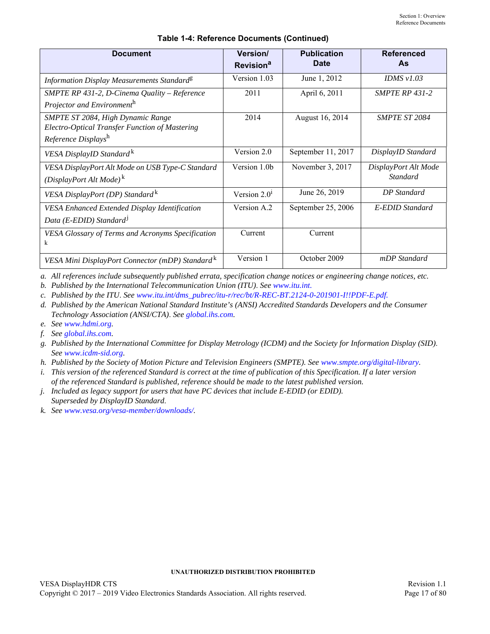| <b>Document</b>                                                                                            | Version/<br>Revision <sup>a</sup> | <b>Publication</b><br><b>Date</b> | <b>Referenced</b><br>As                 |
|------------------------------------------------------------------------------------------------------------|-----------------------------------|-----------------------------------|-----------------------------------------|
| Information Display Measurements Standard <sup>g</sup>                                                     | Version 1.03                      | June 1, 2012                      | IDMS $v1.03$                            |
| SMPTE RP 431-2, D-Cinema Quality - Reference<br>Projector and Environmenth                                 | 2011                              | April 6, 2011                     | <b>SMPTE RP 431-2</b>                   |
| SMPTE ST 2084, High Dynamic Range<br>Electro-Optical Transfer Function of Mastering<br>Reference Displaysh | 2014                              | August 16, 2014                   | <b>SMPTE ST 2084</b>                    |
| VESA DisplayID Standard <sup>k</sup>                                                                       | Version 2.0                       | September 11, 2017                | DisplayID Standard                      |
| VESA DisplayPort Alt Mode on USB Type-C Standard<br>(DisplayPort Alt Mode) <sup>k</sup>                    | Version 1.0b                      | November 3, 2017                  | DisplayPort Alt Mode<br><b>Standard</b> |
| VESA DisplayPort (DP) Standard <sup>k</sup>                                                                | Version $2.01$                    | June 26, 2019                     | <b>DP</b> Standard                      |
| VESA Enhanced Extended Display Identification<br>Data (E-EDID) Standard <sup>1</sup>                       | Version A.2                       | September 25, 2006                | E-EDID Standard                         |
| VESA Glossary of Terms and Acronyms Specification<br>k                                                     | Current                           | Current                           |                                         |
| VESA Mini DisplayPort Connector (mDP) Standard <sup>K</sup>                                                | Version 1                         | October 2009                      | mDP Standard                            |

#### **Table 1-4: Reference Documents (Continued)**

*a. All references include subsequently published errata, specification change notices or engineering change notices, etc.*

<span id="page-16-0"></span>*b. Published by the International Telecommunication Union (ITU)*. *See [www.itu.int.](https://www.itu.int/dms_pubrec/itu-r/rec/bt/R-REC-BT.2124-0-201901-I!!PDF-E.pdf)*

*c. Published by the ITU*. *See [www.itu.int/dms\\_pubrec/itu-r/rec/bt/R-REC-BT.2124-0-201901-I!!PDF-E.pdf.](https://www.itu.int/dms_pubrec/itu-r/rec/bt/R-REC-BT.2124-0-201901-I!!PDF-E.pdf)*

<span id="page-16-2"></span>*d. Published by the American National Standard Institute's (ANSI) Accredited Standards Developers and the Consumer Technology Association (ANSI/CTA)*. *See [global.ihs.com](http://global.ihs.com).*

*e. See [www.hdmi.org](http://www.hdmi.org).*

<span id="page-16-1"></span>*f. See [global.ihs.com](http://global.ihs.com).*

*g. Published by the International Committee for Display Metrology (ICDM) and the Society for Information Display (SID)*. *See [www.icdm-sid.org.](http://www.icdm-sid.org)*

<span id="page-16-3"></span>*h. Published by the Society of Motion Picture and Television Engineers (SMPTE). See [www.smpte.org/digital-library.](http://www.smpte.org/digital-library)*

*i. This version of the referenced Standard is correct at the time of publication of this Specification. If a later version of the referenced Standard is published, reference should be made to the latest published version.*

*j. Included as legacy support for users that have PC devices that include E-EDID (or EDID). Superseded by DisplayID Standard*.

<span id="page-16-4"></span>*k. See [www.vesa.org/vesa-member/downloads/](https://www.vesa.org/vesa-member-downloads/).*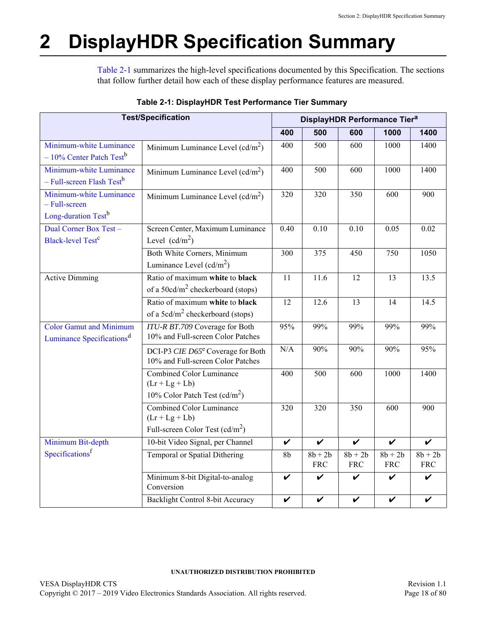# <span id="page-17-0"></span>**2 DisplayHDR Specification Summary**

[Table 2-1](#page-17-1) summarizes the high-level specifications documented by this Specification. The sections that follow further detail how each of these display performance features are measured.

<span id="page-17-1"></span>

| <b>Test/Specification</b>                                                         |                                                                                        |      | DisplayHDR Performance Tier <sup>a</sup> |                         |                         |                         |
|-----------------------------------------------------------------------------------|----------------------------------------------------------------------------------------|------|------------------------------------------|-------------------------|-------------------------|-------------------------|
|                                                                                   |                                                                                        | 400  | 500                                      | 600                     | 1000                    | 1400                    |
| Minimum-white Luminance<br>$-10\%$ Center Patch Test <sup>b</sup>                 | Minimum Luminance Level $(cd/m^2)$                                                     | 400  | 500                                      | 600                     | 1000                    | 1400                    |
| Minimum-white Luminance<br>- Full-screen Flash Test <sup>b</sup>                  | Minimum Luminance Level $(cd/m^2)$                                                     | 400  | 500                                      | 600                     | 1000                    | 1400                    |
| Minimum-white Luminance<br>- Full-screen<br>Long-duration Test <sup>b</sup>       | Minimum Luminance Level $(cd/m^2)$                                                     | 320  | 320                                      | 350                     | 600                     | 900                     |
| Dual Corner Box Test -<br><b>Black-level Test<sup>c</sup></b>                     | Screen Center, Maximum Luminance<br>Level $(cd/m^2)$                                   | 0.40 | 0.10                                     | 0.10                    | 0.05                    | 0.02                    |
|                                                                                   | Both White Corners, Minimum<br>Luminance Level $(cd/m^2)$                              | 300  | 375                                      | 450                     | 750                     | 1050                    |
| <b>Active Dimming</b>                                                             | Ratio of maximum white to black<br>of a 50 $cd/m2$ checkerboard (stops)                | 11   | $\overline{11.6}$                        | $\overline{12}$         | $\overline{13}$         | 13.5                    |
|                                                                                   | Ratio of maximum white to black<br>of a $5cd/m^2$ checkerboard (stops)                 | 12   | 12.6                                     | 13                      | 14                      | 14.5                    |
| <b>Color Gamut and Minimum</b><br>Luminance Specifications <sup>d</sup>           | ITU-R BT.709 Coverage for Both<br>10% and Full-screen Color Patches                    | 95%  | 99%                                      | 99%                     | 99%                     | 99%                     |
|                                                                                   | DCI-P3 CIE D65 <sup>e</sup> Coverage for Both<br>10% and Full-screen Color Patches     | N/A  | 90%                                      | 90%                     | 90%                     | 95%                     |
|                                                                                   | <b>Combined Color Luminance</b><br>$(Lr + Lg + Lb)$<br>10% Color Patch Test $(cd/m^2)$ |      | 500                                      | 600                     | 1000                    | 1400                    |
| Combined Color Luminance<br>$(Lr + Lg + Lb)$<br>Full-screen Color Test $(cd/m^2)$ |                                                                                        | 320  | 320                                      | 350                     | 600                     | 900                     |
| Minimum Bit-depth                                                                 | 10-bit Video Signal, per Channel                                                       |      | $\checkmark$                             | $\boldsymbol{\nu}$      | $\checkmark$            | $\checkmark$            |
| Specifications <sup>f</sup>                                                       | Temporal or Spatial Dithering                                                          |      | $8b + 2b$<br><b>FRC</b>                  | $8b + 2b$<br><b>FRC</b> | $8b + 2b$<br><b>FRC</b> | $8b + 2b$<br><b>FRC</b> |
|                                                                                   | Minimum 8-bit Digital-to-analog<br>Conversion                                          | V    | V                                        | V                       | V                       | V                       |
|                                                                                   | Backlight Control 8-bit Accuracy                                                       | V    | $\checkmark$                             | V                       | V                       | V                       |

### <span id="page-17-2"></span>**Table 2-1: DisplayHDR Test Performance Tier Summary**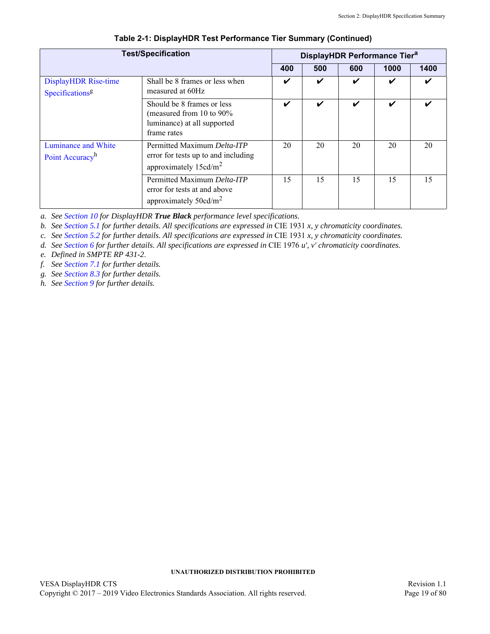| <b>Test/Specification</b>                           |                                                                                                           | DisplayHDR Performance Tier <sup>a</sup> |                    |     |      |      |
|-----------------------------------------------------|-----------------------------------------------------------------------------------------------------------|------------------------------------------|--------------------|-----|------|------|
|                                                     |                                                                                                           | 400                                      | 500                | 600 | 1000 | 1400 |
| DisplayHDR Rise-time<br>Specifications <sup>8</sup> | Shall be 8 frames or less when<br>measured at 60Hz                                                        | ✔                                        | V                  | ✓   | ✔    | ✓    |
|                                                     | Should be 8 frames or less<br>(measured from 10 to $90\%$ )<br>luminance) at all supported<br>frame rates | ✔                                        | $\boldsymbol{\nu}$ | V   | ✔    |      |
| Luminance and White<br>Point Accuracy <sup>h</sup>  | Permitted Maximum Delta-ITP<br>error for tests up to and including<br>approximately $15cd/m^2$            |                                          | 20                 | 20  | 20   | 20   |
|                                                     | Permitted Maximum Delta-ITP<br>error for tests at and above<br>approximately $50cd/m^2$                   | 15                                       | 15                 | 15  | 15   | 15   |

#### **Table 2-1: DisplayHDR Test Performance Tier Summary (Continued)**

*a. See [Section 10](#page-52-3) for DisplayHDR True Black performance level specifications.*

<span id="page-18-0"></span>*b. See [Section 5.1](#page-28-3) for further details. All specifications are expressed in* CIE 1931 *x, y chromaticity coordinates.*

*c. See [Section 5.2](#page-32-2) for further details. All specifications are expressed in* CIE 1931 *x, y chromaticity coordinates.*

*d. See [Section 6](#page-39-27) for further details. All specifications are expressed in* CIE 1976 *u', v' chromaticity coordinates.*

*e. Defined in SMPTE RP 431-2*.

*f. See [Section 7.1](#page-43-8) for further details.*

*g. See [Section 8.3](#page-47-2) for further details.*

*h. See [Section 9](#page-50-3) for further details.*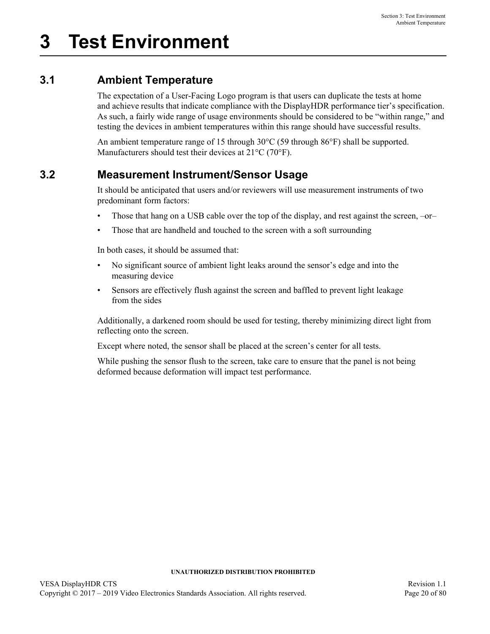## <span id="page-19-1"></span><span id="page-19-0"></span>**3.1 Ambient Temperature**

The expectation of a User-Facing Logo program is that users can duplicate the tests at home and achieve results that indicate compliance with the DisplayHDR performance tier's specification. As such, a fairly wide range of usage environments should be considered to be "within range," and testing the devices in ambient temperatures within this range should have successful results.

An ambient temperature range of 15 through 30°C (59 through 86°F) shall be supported. Manufacturers should test their devices at 21°C (70°F).

## <span id="page-19-2"></span>**3.2 Measurement Instrument/Sensor Usage**

It should be anticipated that users and/or reviewers will use measurement instruments of two predominant form factors:

- Those that hang on a USB cable over the top of the display, and rest against the screen, –or–
- Those that are handheld and touched to the screen with a soft surrounding

In both cases, it should be assumed that:

- No significant source of ambient light leaks around the sensor's edge and into the measuring device
- Sensors are effectively flush against the screen and baffled to prevent light leakage from the sides

Additionally, a darkened room should be used for testing, thereby minimizing direct light from reflecting onto the screen.

Except where noted, the sensor shall be placed at the screen's center for all tests.

While pushing the sensor flush to the screen, take care to ensure that the panel is not being deformed because deformation will impact test performance.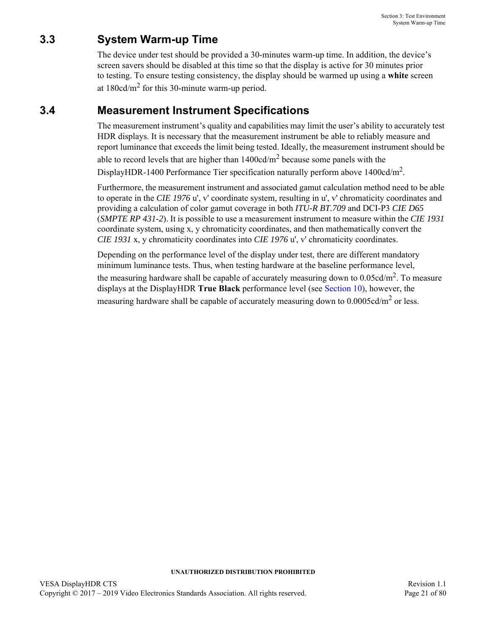## <span id="page-20-0"></span>**3.3 System Warm-up Time**

The device under test should be provided a 30-minutes warm-up time. In addition, the device's screen savers should be disabled at this time so that the display is active for 30 minutes prior to testing. To ensure testing consistency, the display should be warmed up using a **white** screen at  $180 \text{cd/m}^2$  for this 30-minute warm-up period.

## <span id="page-20-1"></span>**3.4 Measurement Instrument Specifications**

<span id="page-20-2"></span>The measurement instrument's quality and capabilities may limit the user's ability to accurately test HDR displays. It is necessary that the measurement instrument be able to reliably measure and report luminance that exceeds the limit being tested. Ideally, the measurement instrument should be

able to record levels that are higher than  $1400 \text{cd/m}^2$  because some panels with the DisplayHDR-1400 Performance Tier specification naturally perform above 1400cd/m<sup>2</sup>.

Furthermore, the measurement instrument and associated gamut calculation method need to be able to operate in the *CIE 1976* u', v' coordinate system, resulting in u', v' chromaticity coordinates and providing a calculation of color gamut coverage in both *ITU-R BT.709* and DCI-P3 *CIE D65* (*SMPTE RP 431-2*). It is possible to use a measurement instrument to measure within the *CIE 1931* coordinate system, using x, y chromaticity coordinates, and then mathematically convert the *CIE 1931* x, y chromaticity coordinates into *CIE 1976* u', v' chromaticity coordinates.

Depending on the performance level of the display under test, there are different mandatory minimum luminance tests. Thus, when testing hardware at the baseline performance level, the measuring hardware shall be capable of accurately measuring down to  $0.05cd/m<sup>2</sup>$ . To measure displays at the DisplayHDR **True Black** performance level (see [Section 10](#page-52-3)), however, the measuring hardware shall be capable of accurately measuring down to  $0.0005cd/m^2$  $0.0005cd/m^2$  or less.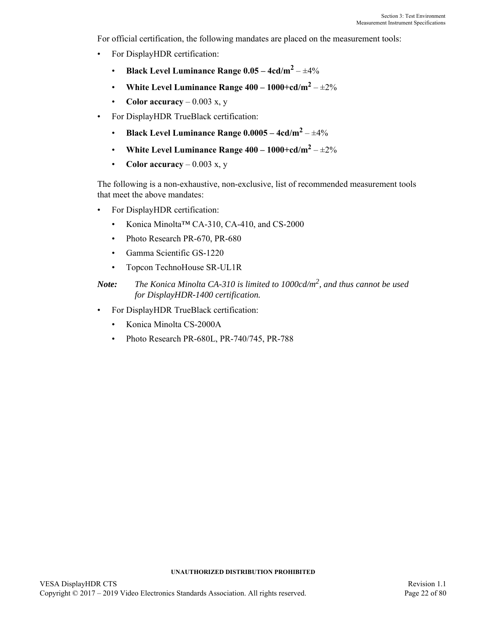For official certification, the following mandates are placed on the measurement tools:

- For DisplayHDR certification:
	- **Black Level Luminance Range 0.05 4cd/m<sup>2</sup>** – ±4%
	- White Level Luminance Range  $400 1000 + \frac{cd}{m^2} \pm 2\%$
	- **Color accuracy** 0.003 x, y
- For DisplayHDR TrueBlack certification:
	- **Black Level Luminance Range 0.0005 4cd/m2** – ±4%
	- White Level Luminance Range  $400 1000 + \frac{cd}{m^2} \pm 2\%$
	- **Color accuracy** 0.003 x, y

The following is a non-exhaustive, non-exclusive, list of recommended measurement tools that meet the above mandates:

- For DisplayHDR certification:
	- Konica Minolta™ CA-310, CA-410, and CS-2000
	- Photo Research PR-670, PR-680
	- Gamma Scientific GS-1220
	- Topcon TechnoHouse SR-UL1R
- *Note: The Konica Minolta CA-310 is limited to 1000cd/m2, and thus cannot be used for DisplayHDR-1400 certification.*
- For DisplayHDR TrueBlack certification:
	- Konica Minolta CS-2000A
	- Photo Research PR-680L, PR-740/745, PR-788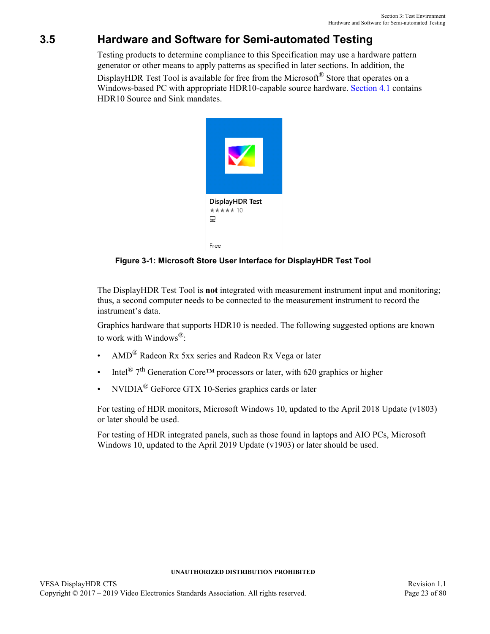# <span id="page-22-0"></span>**3.5 Hardware and Software for Semi-automated Testing**

Testing products to determine compliance to this Specification may use a hardware pattern generator or other means to apply patterns as specified in later sections. In addition, the

DisplayHDR Test Tool is available for free from the Microsoft<sup>®</sup> Store that operates on a Windows-based PC with appropriate HDR10-capable source hardware. [Section 4.1](#page-25-2) contains HDR10 Source and Sink mandates.



**Figure 3-1: Microsoft Store User Interface for DisplayHDR Test Tool**

<span id="page-22-1"></span>The DisplayHDR Test Tool is **not** integrated with measurement instrument input and monitoring; thus, a second computer needs to be connected to the measurement instrument to record the instrument's data.

Graphics hardware that supports HDR10 is needed. The following suggested options are known to work with Windows®:

- AMD® Radeon Rx 5xx series and Radeon Rx Vega or later
- Intel<sup>®</sup> 7<sup>th</sup> Generation Core<sup>TM</sup> processors or later, with 620 graphics or higher
- NVIDIA® GeForce GTX 10-Series graphics cards or later

For testing of HDR monitors, Microsoft Windows 10, updated to the April 2018 Update (v1803) or later should be used.

For testing of HDR integrated panels, such as those found in laptops and AIO PCs, Microsoft Windows 10, updated to the April 2019 Update (v1903) or later should be used.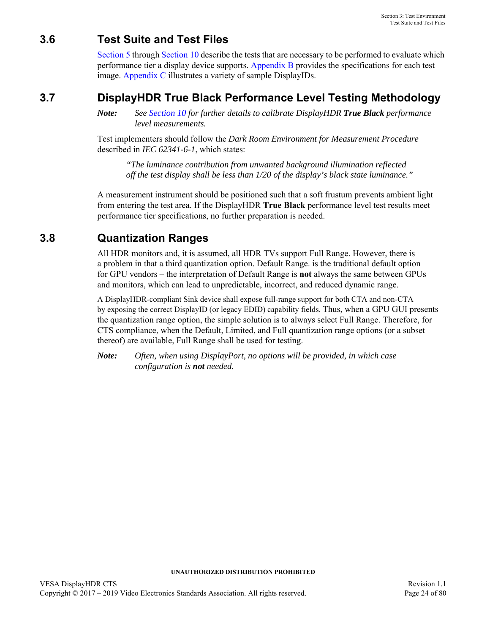## <span id="page-23-0"></span>**3.6 Test Suite and Test Files**

[Section 5](#page-28-4) through [Section 10](#page-52-3) describe the tests that are necessary to be performed to evaluate which performance tier a display device supports. [Appendix B](#page-57-1) provides the specifications for each test image. [Appendix C](#page-66-1) illustrates a variety of sample DisplayIDs.

## <span id="page-23-1"></span>**3.7 DisplayHDR True Black Performance Level Testing Methodology**

*Note: See [Section 10](#page-52-3) for further details to calibrate DisplayHDR True Black performance level measurements.*

Test implementers should follow the *Dark Room Environment for Measurement Procedure* described in *IEC 62341-6-1*, which states:

*"The luminance contribution from unwanted background illumination reflected off the test display shall be less than 1/20 of the display's black state luminance."*

A measurement instrument should be positioned such that a soft frustum prevents ambient light from entering the test area. If the DisplayHDR **True Black** performance level test results meet performance tier specifications, no further preparation is needed.

## <span id="page-23-2"></span>**3.8 Quantization Ranges**

All HDR monitors and, it is assumed, all HDR TVs support Full Range. However, there is a problem in that a third quantization option. Default Range. is the traditional default option for GPU vendors – the interpretation of Default Range is **not** always the same between GPUs and monitors, which can lead to unpredictable, incorrect, and reduced dynamic range.

A DisplayHDR-compliant Sink device shall expose full-range support for both CTA and non-CTA by exposing the correct DisplayID (or legacy EDID) capability fields. Thus, when a GPU GUI presents the quantization range option, the simple solution is to always select Full Range. Therefore, for CTS compliance, when the Default, Limited, and Full quantization range options (or a subset thereof) are available, Full Range shall be used for testing.

*Note: Often, when using DisplayPort, no options will be provided, in which case configuration is not needed.*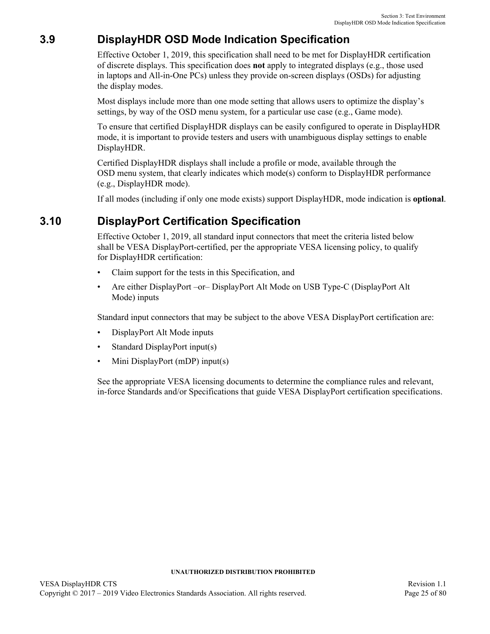## <span id="page-24-0"></span>**3.9 DisplayHDR OSD Mode Indication Specification**

Effective October 1, 2019, this specification shall need to be met for DisplayHDR certification of discrete displays. This specification does **not** apply to integrated displays (e.g., those used in laptops and All-in-One PCs) unless they provide on-screen displays (OSDs) for adjusting the display modes.

Most displays include more than one mode setting that allows users to optimize the display's settings, by way of the OSD menu system, for a particular use case (e.g., Game mode).

To ensure that certified DisplayHDR displays can be easily configured to operate in DisplayHDR mode, it is important to provide testers and users with unambiguous display settings to enable DisplayHDR.

Certified DisplayHDR displays shall include a profile or mode, available through the OSD menu system, that clearly indicates which mode(s) conform to DisplayHDR performance (e.g., DisplayHDR mode).

If all modes (including if only one mode exists) support DisplayHDR, mode indication is **optional**.

## <span id="page-24-1"></span>**3.10 DisplayPort Certification Specification**

Effective October 1, 2019, all standard input connectors that meet the criteria listed below shall be VESA DisplayPort-certified, per the appropriate VESA licensing policy, to qualify for DisplayHDR certification:

- Claim support for the tests in this Specification, and
- Are either DisplayPort –or– DisplayPort Alt Mode on USB Type-C (DisplayPort Alt Mode) inputs

Standard input connectors that may be subject to the above VESA DisplayPort certification are:

- DisplayPort Alt Mode inputs
- Standard DisplayPort input(s)
- Mini DisplayPort (mDP) input(s)

See the appropriate VESA licensing documents to determine the compliance rules and relevant, in-force Standards and/or Specifications that guide VESA DisplayPort certification specifications.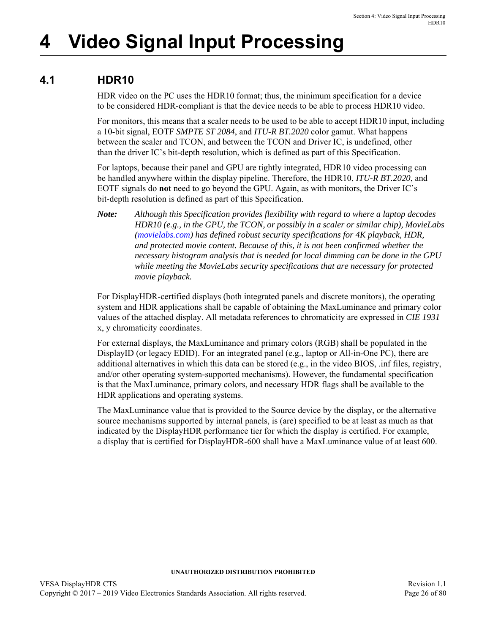# <span id="page-25-0"></span>**4 Video Signal Input Processing**

# <span id="page-25-1"></span>**4.1 HDR10**

<span id="page-25-2"></span>HDR video on the PC uses the HDR10 format; thus, the minimum specification for a device to be considered HDR-compliant is that the device needs to be able to process HDR10 video.

For monitors, this means that a scaler needs to be used to be able to accept HDR10 input, including a 10-bit signal, EOTF *SMPTE ST 2084*, and *ITU-R BT.2020* color gamut. What happens between the scaler and TCON, and between the TCON and Driver IC, is undefined, other than the driver IC's bit-depth resolution, which is defined as part of this Specification.

For laptops, because their panel and GPU are tightly integrated, HDR10 video processing can be handled anywhere within the display pipeline. Therefore, the HDR10, *ITU-R BT.2020*, and EOTF signals do **not** need to go beyond the GPU. Again, as with monitors, the Driver IC's bit-depth resolution is defined as part of this Specification.

*Note: Although this Specification provides flexibility with regard to where a laptop decodes HDR10 (e.g., in the GPU, the TCON, or possibly in a scaler or similar chip), MovieLabs [\(movielabs.com\)](http://movielabs.com) has defined robust security specifications for 4K playback, HDR, and protected movie content. Because of this, it is not been confirmed whether the necessary histogram analysis that is needed for local dimming can be done in the GPU while meeting the MovieLabs security specifications that are necessary for protected movie playback.*

For DisplayHDR-certified displays (both integrated panels and discrete monitors), the operating system and HDR applications shall be capable of obtaining the MaxLuminance and primary color values of the attached display. All metadata references to chromaticity are expressed in *CIE 1931* x, y chromaticity coordinates.

For external displays, the MaxLuminance and primary colors (RGB) shall be populated in the DisplayID (or legacy EDID). For an integrated panel (e.g., laptop or All-in-One PC), there are additional alternatives in which this data can be stored (e.g., in the video BIOS, .inf files, registry, and/or other operating system-supported mechanisms). However, the fundamental specification is that the MaxLuminance, primary colors, and necessary HDR flags shall be available to the HDR applications and operating systems.

The MaxLuminance value that is provided to the Source device by the display, or the alternative source mechanisms supported by internal panels, is (are) specified to be at least as much as that indicated by the DisplayHDR performance tier for which the display is certified. For example, a display that is certified for DisplayHDR-600 shall have a MaxLuminance value of at least 600.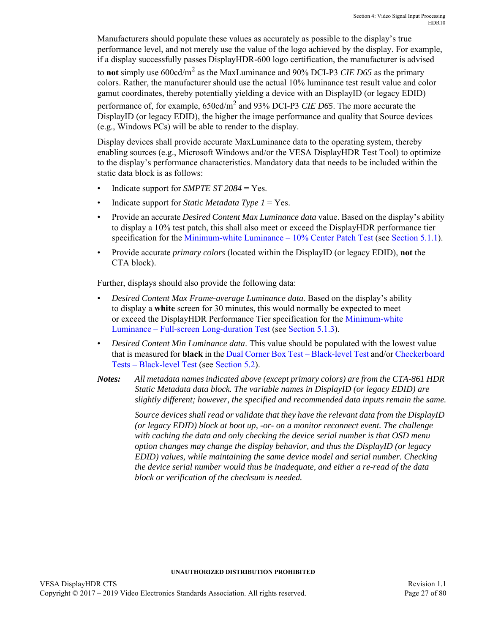Manufacturers should populate these values as accurately as possible to the display's true performance level, and not merely use the value of the logo achieved by the display. For example, if a display successfully passes DisplayHDR-600 logo certification, the manufacturer is advised to **not** simply use 600cd/m<sup>2</sup> as the MaxLuminance and 90% DCI-P3 *CIE D65* as the primary colors. Rather, the manufacturer should use the actual 10% luminance test result value and color gamut coordinates, thereby potentially yielding a device with an DisplayID (or legacy EDID) performance of, for example, 650cd/m2 and 93% DCI-P3 *CIE D65*. The more accurate the DisplayID (or legacy EDID), the higher the image performance and quality that Source devices (e.g., Windows PCs) will be able to render to the display.

Display devices shall provide accurate MaxLuminance data to the operating system, thereby enabling sources (e.g., Microsoft Windows and/or the VESA DisplayHDR Test Tool) to optimize to the display's performance characteristics. Mandatory data that needs to be included within the static data block is as follows:

- Indicate support for *SMPTE ST 2084* = Yes.
- Indicate support for *Static Metadata Type 1* = Yes.
- Provide an accurate *Desired Content Max Luminance data* value. Based on the display's ability to display a 10% test patch, this shall also meet or exceed the DisplayHDR performance tier specification for the [Minimum-white Luminance – 10% Center Patch Test](#page-29-3) (see [Section 5.1.1](#page-29-3)).
- Provide accurate *primary colors* (located within the DisplayID (or legacy EDID), **not** the CTA block).

Further, displays should also provide the following data:

- *Desired Content Max Frame-average Luminance data*. Based on the display's ability to display a **white** screen for 30 minutes, this would normally be expected to meet or exceed the DisplayHDR Performance Tier specification for the [Minimum-white](#page-31-3)  [Luminance – Full-screen Long-duration Test](#page-31-3) (see [Section 5.1.3](#page-31-3)).
- *Desired Content Min Luminance data*. This value should be populated with the lowest value that is measured for **black** in the [Dual Corner Box Test – Black-level Test](#page-33-3) and/or [Checkerboard](#page-34-2)  [Tests – Black-level Test](#page-34-2) (see [Section 5.2\)](#page-32-2).
- *Notes: All metadata names indicated above (except primary colors) are from the CTA-861 HDR Static Metadata data block. The variable names in DisplayID (or legacy EDID) are slightly different; however, the specified and recommended data inputs remain the same.*

*Source devices shall read or validate that they have the relevant data from the DisplayID (or legacy EDID) block at boot up, -or- on a monitor reconnect event. The challenge with caching the data and only checking the device serial number is that OSD menu option changes may change the display behavior, and thus the DisplayID (or legacy EDID) values, while maintaining the same device model and serial number. Checking the device serial number would thus be inadequate, and either a re-read of the data block or verification of the checksum is needed.*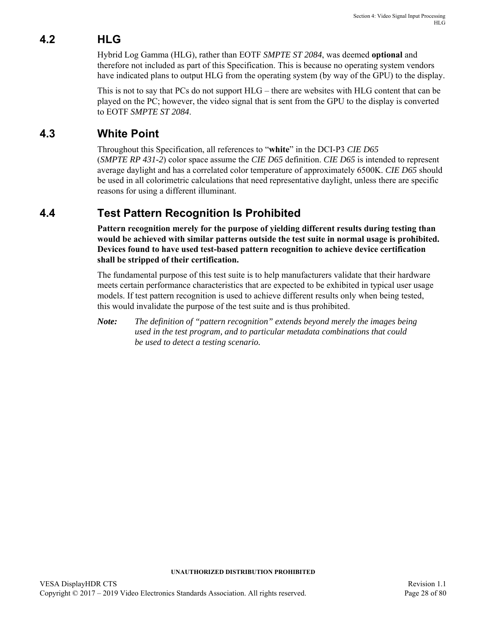# <span id="page-27-0"></span>**4.2 HLG**

Hybrid Log Gamma (HLG), rather than EOTF *SMPTE ST 2084*, was deemed **optional** and therefore not included as part of this Specification. This is because no operating system vendors have indicated plans to output HLG from the operating system (by way of the GPU) to the display.

This is not to say that PCs do not support HLG – there are websites with HLG content that can be played on the PC; however, the video signal that is sent from the GPU to the display is converted to EOTF *SMPTE ST 2084*.

## <span id="page-27-1"></span>**4.3 White Point**

Throughout this Specification, all references to "**white**" in the DCI-P3 *CIE D65* (*SMPTE RP 431-2*) color space assume the *CIE D65* definition. *CIE D65* is intended to represent average daylight and has a correlated color temperature of approximately 6500K. *CIE D65* should be used in all colorimetric calculations that need representative daylight, unless there are specific reasons for using a different illuminant.

## <span id="page-27-2"></span>**4.4 Test Pattern Recognition Is Prohibited**

**Pattern recognition merely for the purpose of yielding different results during testing than would be achieved with similar patterns outside the test suite in normal usage is prohibited. Devices found to have used test-based pattern recognition to achieve device certification shall be stripped of their certification.**

The fundamental purpose of this test suite is to help manufacturers validate that their hardware meets certain performance characteristics that are expected to be exhibited in typical user usage models. If test pattern recognition is used to achieve different results only when being tested, this would invalidate the purpose of the test suite and is thus prohibited.

*Note: The definition of "pattern recognition" extends beyond merely the images being used in the test program, and to particular metadata combinations that could be used to detect a testing scenario.*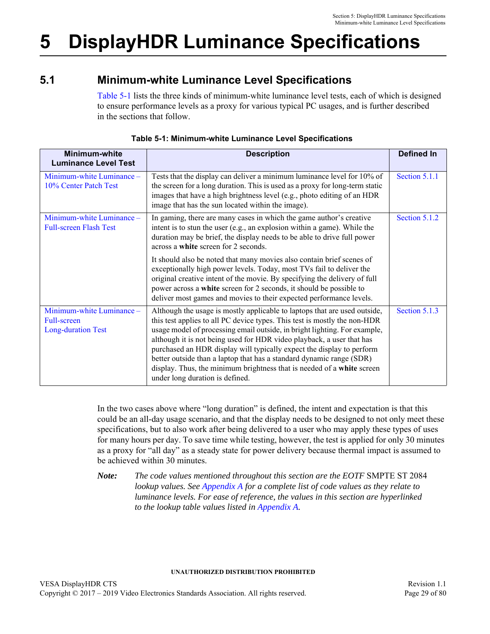# <span id="page-28-4"></span><span id="page-28-0"></span>**5 DisplayHDR Luminance Specifications**

## <span id="page-28-1"></span>**5.1 Minimum-white Luminance Level Specifications**

<span id="page-28-3"></span>[Table 5-1](#page-28-2) lists the three kinds of minimum-white luminance level tests, each of which is designed to ensure performance levels as a proxy for various typical PC usages, and is further described in the sections that follow.

<span id="page-28-2"></span>

| <b>Minimum-white</b><br><b>Luminance Level Test</b>                   | <b>Description</b>                                                                                                                                                                                                                                                                                                                                                                                                                                                                                                                                                         | <b>Defined In</b> |
|-----------------------------------------------------------------------|----------------------------------------------------------------------------------------------------------------------------------------------------------------------------------------------------------------------------------------------------------------------------------------------------------------------------------------------------------------------------------------------------------------------------------------------------------------------------------------------------------------------------------------------------------------------------|-------------------|
| Minimum-white Luminance -<br>10% Center Patch Test                    | Tests that the display can deliver a minimum luminance level for 10% of<br>the screen for a long duration. This is used as a proxy for long-term static<br>images that have a high brightness level (e.g., photo editing of an HDR<br>image that has the sun located within the image).                                                                                                                                                                                                                                                                                    | Section 5.1.1     |
| Minimum-white Luminance -<br><b>Full-screen Flash Test</b>            | In gaming, there are many cases in which the game author's creative<br>intent is to stun the user (e.g., an explosion within a game). While the<br>duration may be brief, the display needs to be able to drive full power<br>across a white screen for 2 seconds.                                                                                                                                                                                                                                                                                                         | Section 5.1.2     |
|                                                                       | It should also be noted that many movies also contain brief scenes of<br>exceptionally high power levels. Today, most TVs fail to deliver the<br>original creative intent of the movie. By specifying the delivery of full<br>power across a white screen for 2 seconds, it should be possible to<br>deliver most games and movies to their expected performance levels.                                                                                                                                                                                                   |                   |
| Minimum-white Luminance -<br>Full-screen<br><b>Long-duration Test</b> | Although the usage is mostly applicable to laptops that are used outside,<br>this test applies to all PC device types. This test is mostly the non-HDR<br>usage model of processing email outside, in bright lighting. For example,<br>although it is not being used for HDR video playback, a user that has<br>purchased an HDR display will typically expect the display to perform<br>better outside than a laptop that has a standard dynamic range (SDR)<br>display. Thus, the minimum brightness that is needed of a white screen<br>under long duration is defined. | Section 5.1.3     |

### **Table 5-1: Minimum-white Luminance Level Specifications**

In the two cases above where "long duration" is defined, the intent and expectation is that this could be an all-day usage scenario, and that the display needs to be designed to not only meet these specifications, but to also work after being delivered to a user who may apply these types of uses for many hours per day. To save time while testing, however, the test is applied for only 30 minutes as a proxy for "all day" as a steady state for power delivery because thermal impact is assumed to be achieved within 30 minutes.

*Note: The code values mentioned throughout this section are the EOTF* SMPTE ST 2084 *lookup values. See [Appendix A](#page-56-2) for a complete list of code values as they relate to luminance levels. For ease of reference, the values in this section are hyperlinked to the lookup table values listed in [Appendix A.](#page-56-2)*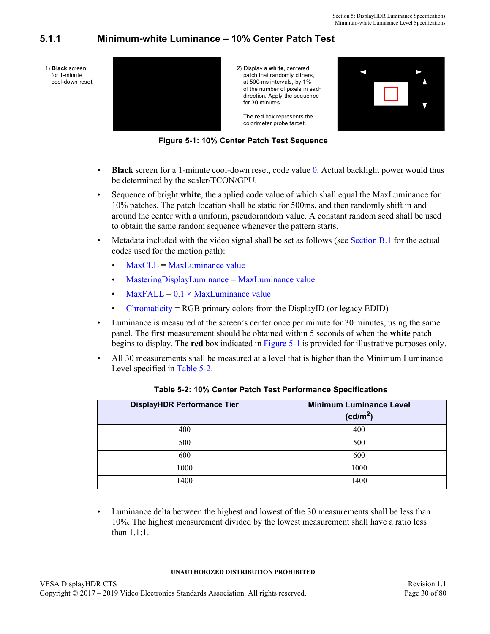## <span id="page-29-0"></span>**5.1.1 Minimum-white Luminance – 10% Center Patch Test**



<span id="page-29-3"></span>

2) Display a **white**, centered patch that randomly dithers, at 500-ms intervals, by 1% of the number of pixels in each direction. Apply the sequence for 30 minutes.

 The **red** box represents the colorimeter probe target.



**Figure 5-1: 10% Center Patch Test Sequence**

- <span id="page-29-2"></span>• **Black** screen for a 1-minute cool-down reset, code value [0](#page-56-3). Actual backlight power would thus be determined by the scaler/TCON/GPU.
- Sequence of bright **white**, the applied code value of which shall equal the MaxLuminance for 10% patches. The patch location shall be static for 500ms, and then randomly shift in and around the center with a uniform, pseudorandom value. A constant random seed shall be used to obtain the same random sequence whenever the pattern starts.
- Metadata included with the video signal shall be set as follows (see [Section B.1](#page-58-5) for the actual codes used for the motion path):
	- $MaxCLL = MaxLuminance value$  $MaxCLL = MaxLuminance value$  $MaxCLL = MaxLuminance value$
	- [MasteringDisplayLuminance](#page-58-8) = [MaxLuminance value](#page-58-3)
	- $MaxFALL = 0.1 \times MaxLuminance value$  $MaxFALL = 0.1 \times MaxLuminance value$
	- [Chromaticity](#page-58-9) = RGB primary colors from the DisplayID (or legacy EDID)
- Luminance is measured at the screen's center once per minute for 30 minutes, using the same panel. The first measurement should be obtained within 5 seconds of when the **white** patch begins to display. The **red** box indicated in [Figure 5-1](#page-29-2) is provided for illustrative purposes only.
- All 30 measurements shall be measured at a level that is higher than the Minimum Luminance Level specified in [Table 5-2.](#page-29-1)

<span id="page-29-1"></span>

| <b>DisplayHDR Performance Tier</b> | <b>Minimum Luminance Level</b><br>(cd/m <sup>2</sup> ) |
|------------------------------------|--------------------------------------------------------|
| 400                                | 400                                                    |
| 500                                | 500                                                    |
| 600                                | 600                                                    |
| 1000                               | 1000                                                   |
| 1400                               | 1400                                                   |

<span id="page-29-9"></span><span id="page-29-8"></span><span id="page-29-7"></span><span id="page-29-6"></span><span id="page-29-5"></span><span id="page-29-4"></span>

|  |  | Table 5-2: 10% Center Patch Test Performance Specifications |  |
|--|--|-------------------------------------------------------------|--|
|--|--|-------------------------------------------------------------|--|

• Luminance delta between the highest and lowest of the 30 measurements shall be less than 10%. The highest measurement divided by the lowest measurement shall have a ratio less than 1.1:1.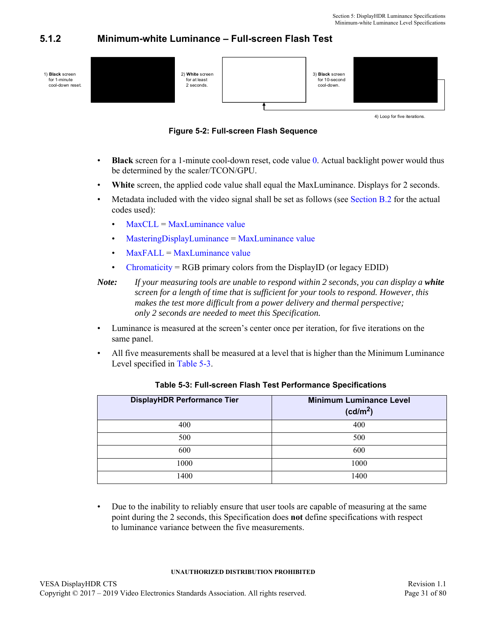## <span id="page-30-3"></span><span id="page-30-0"></span>**5.1.2 Minimum-white Luminance – Full-screen Flash Test**



4) Loop for five iterations.



- <span id="page-30-2"></span>• **Black** screen for a 1-minute cool-down reset, code value [0](#page-56-3). Actual backlight power would thus be determined by the scaler/TCON/GPU.
- **White** screen, the applied code value shall equal the MaxLuminance. Displays for 2 seconds.
- Metadata included with the video signal shall be set as follows (see [Section B.2](#page-60-4) for the actual codes used):
	- [MaxCLL](#page-60-7) = [MaxLuminance value](#page-60-9)
	- [MasteringDisplayLuminance](#page-60-8) = [MaxLuminance value](#page-60-5)
	- $MaxFALL = MaxLuminance value$  $MaxFALL = MaxLuminance value$  $MaxFALL = MaxLuminance value$
	- [Chromaticity](#page-60-11) = RGB primary colors from the DisplayID (or legacy EDID)

```
Note: If your measuring tools are unable to respond within 2 seconds, you can display a white 
screen for a length of time that is sufficient for your tools to respond. However, this 
makes the test more difficult from a power delivery and thermal perspective; 
only 2 seconds are needed to meet this Specification.
```
- Luminance is measured at the screen's center once per iteration, for five iterations on the same panel.
- All five measurements shall be measured at a level that is higher than the Minimum Luminance Level specified in [Table 5-3.](#page-30-1)

<span id="page-30-1"></span>

| <b>DisplayHDR Performance Tier</b> | <b>Minimum Luminance Level</b><br>(cd/m <sup>2</sup> ) |
|------------------------------------|--------------------------------------------------------|
| 400                                | 400                                                    |
| 500                                | 500                                                    |
| 600                                | 600                                                    |
| 1000                               | 1000                                                   |
| 1400                               | 1400                                                   |

#### <span id="page-30-9"></span><span id="page-30-8"></span><span id="page-30-7"></span><span id="page-30-6"></span><span id="page-30-5"></span><span id="page-30-4"></span>**Table 5-3: Full-screen Flash Test Performance Specifications**

• Due to the inability to reliably ensure that user tools are capable of measuring at the same point during the 2 seconds, this Specification does **not** define specifications with respect to luminance variance between the five measurements.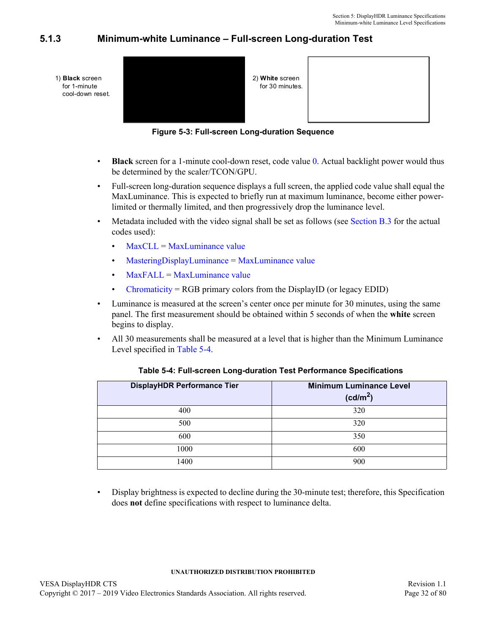## <span id="page-31-0"></span>**5.1.3 Minimum-white Luminance – Full-screen Long-duration Test**

<span id="page-31-3"></span>

| 1) <b>Black</b> screen<br>for 1-minute<br>cool-down reset. | 2) White screen<br>for 30 minutes. |  |
|------------------------------------------------------------|------------------------------------|--|
|                                                            |                                    |  |

**Figure 5-3: Full-screen Long-duration Sequence**

- <span id="page-31-2"></span>• **Black** screen for a 1-minute cool-down reset, code value [0](#page-56-3). Actual backlight power would thus be determined by the scaler/TCON/GPU.
- Full-screen long-duration sequence displays a full screen, the applied code value shall equal the MaxLuminance. This is expected to briefly run at maximum luminance, become either powerlimited or thermally limited, and then progressively drop the luminance level.
- Metadata included with the video signal shall be set as follows (see [Section B.3](#page-60-12) for the actual codes used):
	- [MaxCLL](#page-60-7) = [MaxLuminance value](#page-60-9)
	- [MasteringDisplayLuminance](#page-60-8) = [MaxLuminance value](#page-60-5)
	- $MaxFAIL = MaxL$ uminance value
	- [Chromaticity](#page-60-11) = RGB primary colors from the DisplayID (or legacy EDID)
- Luminance is measured at the screen's center once per minute for 30 minutes, using the same panel. The first measurement should be obtained within 5 seconds of when the **white** screen begins to display.
- All 30 measurements shall be measured at a level that is higher than the Minimum Luminance Level specified in [Table 5-4.](#page-31-1)

<span id="page-31-1"></span>

| <b>DisplayHDR Performance Tier</b> | <b>Minimum Luminance Level</b><br>(cd/m <sup>2</sup> ) |
|------------------------------------|--------------------------------------------------------|
| 400                                | 320                                                    |
| 500                                | 320                                                    |
| 600                                | 350                                                    |
| 1000                               | 600                                                    |
| 1400                               | 900                                                    |

#### <span id="page-31-9"></span><span id="page-31-8"></span><span id="page-31-7"></span><span id="page-31-6"></span><span id="page-31-5"></span><span id="page-31-4"></span>**Table 5-4: Full-screen Long-duration Test Performance Specifications**

• Display brightness is expected to decline during the 30-minute test; therefore, this Specification does **not** define specifications with respect to luminance delta.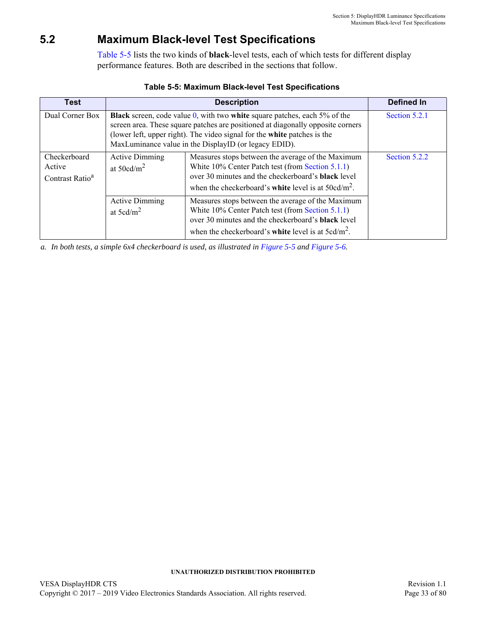## <span id="page-32-0"></span>**5.2 Maximum Black-level Test Specifications**

<span id="page-32-2"></span>[Table 5-5](#page-32-1) lists the two kinds of **black**-level tests, each of which tests for different display performance features. Both are described in the sections that follow.

<span id="page-32-1"></span>

| <b>Test</b>                                           |                                               | <b>Description</b>                                                                                                                                                                                                                                                                                          | Defined In    |
|-------------------------------------------------------|-----------------------------------------------|-------------------------------------------------------------------------------------------------------------------------------------------------------------------------------------------------------------------------------------------------------------------------------------------------------------|---------------|
| Dual Corner Box                                       |                                               | <b>Black</b> screen, code value $0$ , with two white square patches, each 5% of the<br>screen area. These square patches are positioned at diagonally opposite corners<br>(lower left, upper right). The video signal for the white patches is the<br>MaxLuminance value in the DisplayID (or legacy EDID). | Section 5.2.1 |
| Checkerboard<br>Active<br>Contrast Ratio <sup>a</sup> | <b>Active Dimming</b><br>at $50cd/m2$         | Measures stops between the average of the Maximum<br>White 10% Center Patch test (from Section 5.1.1)<br>over 30 minutes and the checkerboard's <b>black</b> level<br>when the checkerboard's white level is at $50cd/m^2$ .                                                                                | Section 5.2.2 |
|                                                       | <b>Active Dimming</b><br>at $5 \text{cd/m}^2$ | Measures stops between the average of the Maximum<br>White 10% Center Patch test (from Section 5.1.1)<br>over 30 minutes and the checkerboard's <b>black</b> level<br>when the checkerboard's white level is at $5cd/m^2$ .                                                                                 |               |

#### **Table 5-5: [Maximum Black-level Test Specifications](#page-32-0)**

*a. In both tests, a simple 6x4 checkerboard is used, as illustrated in [Figure 5-5](#page-35-0) and [Figure 5-6](#page-35-1).*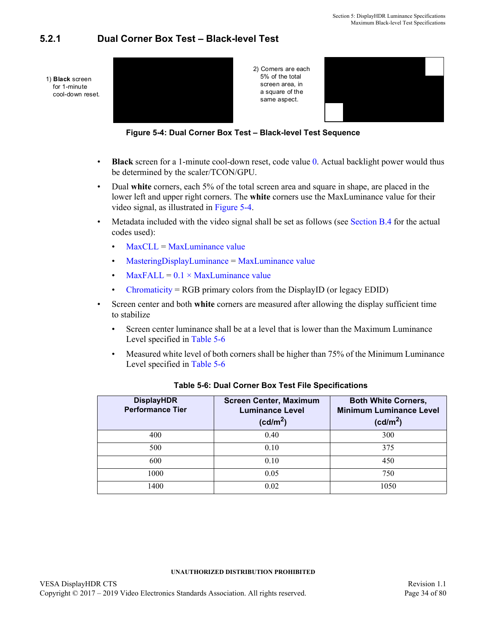## <span id="page-33-3"></span><span id="page-33-0"></span>**5.2.1 Dual Corner Box Test – Black-level Test**



**Figure 5-4: Dual Corner Box Test – Black-level Test Sequence**

- <span id="page-33-2"></span>• **Black** screen for a 1-minute cool-down reset, code value [0.](#page-56-3) Actual backlight power would thus be determined by the scaler/TCON/GPU.
- Dual **white** corners, each 5% of the total screen area and square in shape, are placed in the lower left and upper right corners. The **white** corners use the MaxLuminance value for their video signal, as illustrated in [Figure 5-4.](#page-33-2)
- Metadata included with the video signal shall be set as follows (see [Section B.4](#page-61-9) for the actual codes used):
	- [MaxCLL](#page-61-2) = [MaxLuminance value](#page-61-3)
	- [MasteringDisplayLuminance](#page-61-4) = [MaxLuminance value](#page-61-5)
	- [MaxFALL](#page-61-6) =  $0.1 \times$  MaxLuminance value
	- [Chromaticity](#page-61-8) = RGB primary colors from the DisplayID (or legacy EDID)
- Screen center and both **white** corners are measured after allowing the display sufficient time to stabilize
	- Screen center luminance shall be at a level that is lower than the Maximum Luminance Level specified in [Table 5-6](#page-33-1)
	- Measured white level of both corners shall be higher than 75% of the Minimum Luminance Level specified in [Table 5-6](#page-33-1)

<span id="page-33-1"></span>

| <b>DisplayHDR</b><br><b>Performance Tier</b> | <b>Screen Center, Maximum</b><br><b>Luminance Level</b><br>(cd/m <sup>2</sup> ) | <b>Both White Corners,</b><br><b>Minimum Luminance Level</b><br>(cd/m <sup>2</sup> ) |
|----------------------------------------------|---------------------------------------------------------------------------------|--------------------------------------------------------------------------------------|
| 400                                          | 0.40                                                                            | 300                                                                                  |
| 500                                          | 0.10                                                                            | 375                                                                                  |
| 600                                          | 0.10                                                                            | 450                                                                                  |
| 1000                                         | 0.05                                                                            | 750                                                                                  |
| 1400                                         | 0.02                                                                            | 1050                                                                                 |

#### <span id="page-33-15"></span><span id="page-33-14"></span><span id="page-33-13"></span><span id="page-33-12"></span><span id="page-33-11"></span><span id="page-33-10"></span><span id="page-33-9"></span><span id="page-33-8"></span><span id="page-33-7"></span><span id="page-33-6"></span><span id="page-33-5"></span><span id="page-33-4"></span>**Table 5-6: Dual Corner Box Test File Specifications**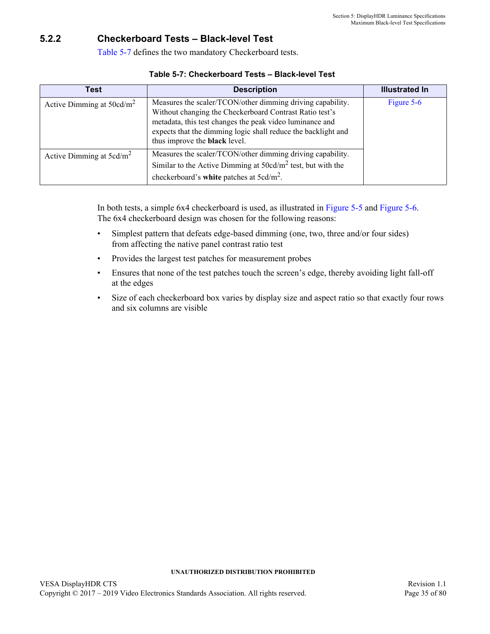## <span id="page-34-0"></span>**5.2.2 Checkerboard Tests – Black-level Test**

<span id="page-34-2"></span>[Table 5-7](#page-34-1) defines the two mandatory Checkerboard tests.

<span id="page-34-1"></span>

| Test                         | <b>Description</b>                                                                                                                                                                                                                                                                         | <b>Illustrated In</b> |
|------------------------------|--------------------------------------------------------------------------------------------------------------------------------------------------------------------------------------------------------------------------------------------------------------------------------------------|-----------------------|
| Active Dimming at $50cd/m^2$ | Measures the scaler/TCON/other dimming driving capability.<br>Without changing the Checkerboard Contrast Ratio test's<br>metadata, this test changes the peak video luminance and<br>expects that the dimming logic shall reduce the backlight and<br>thus improve the <b>black</b> level. | Figure 5-6            |
| Active Dimming at $5cd/m^2$  | Measures the scaler/TCON/other dimming driving capability.<br>Similar to the Active Dimming at $50cd/m^2$ test, but with the<br>checkerboard's white patches at $5cd/m^2$ .                                                                                                                |                       |

#### **Table 5-7: [Checkerboard Tests – Black-level Test](#page-34-0)**

In both tests, a simple 6x4 checkerboard is used, as illustrated in [Figure 5-5](#page-35-0) and [Figure 5-6.](#page-35-1) The 6x4 checkerboard design was chosen for the following reasons:

- Simplest pattern that defeats edge-based dimming (one, two, three and/or four sides) from affecting the native panel contrast ratio test
- Provides the largest test patches for measurement probes
- Ensures that none of the test patches touch the screen's edge, thereby avoiding light fall-off at the edges
- Size of each checkerboard box varies by display size and aspect ratio so that exactly four rows and six columns are visible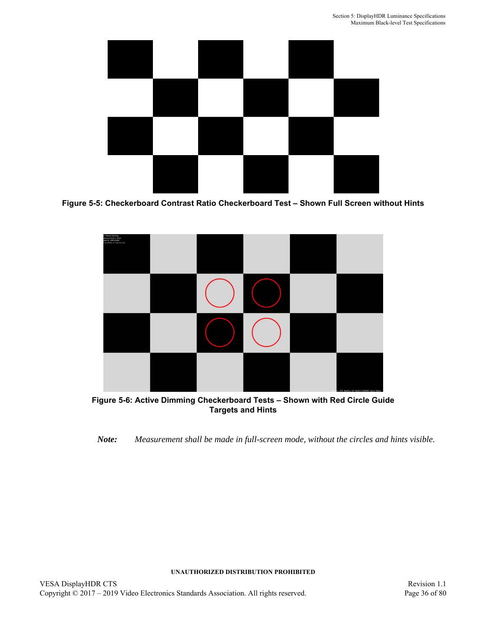

**Figure 5-5: Checkerboard Contrast Ratio Checkerboard Test – Shown Full Screen without Hints**

<span id="page-35-0"></span>

<span id="page-35-1"></span>**Figure 5-6: Active Dimming Checkerboard Tests – Shown with Red Circle Guide Targets and Hints**

*Note: Measurement shall be made in full-screen mode, without the circles and hints visible.*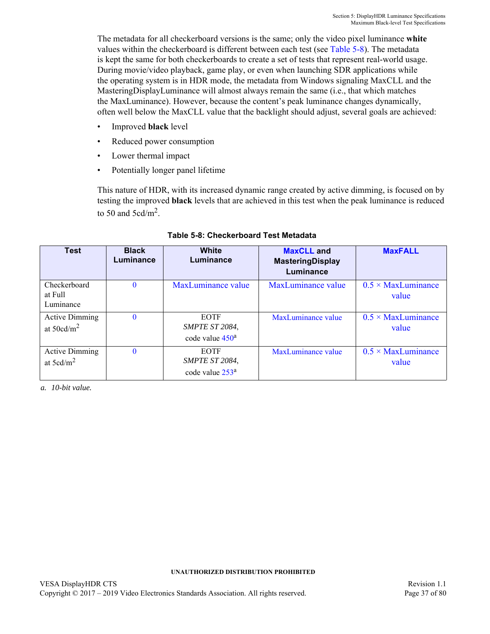The metadata for all checkerboard versions is the same; only the video pixel luminance **white** values within the checkerboard is different between each test (see [Table 5-8](#page-36-1)). The metadata is kept the same for both checkerboards to create a set of tests that represent real-world usage. During movie/video playback, game play, or even when launching SDR applications while the operating system is in HDR mode, the metadata from Windows signaling MaxCLL and the MasteringDisplayLuminance will almost always remain the same (i.e., that which matches the MaxLuminance). However, because the content's peak luminance changes dynamically, often well below the MaxCLL value that the backlight should adjust, several goals are achieved:

- Improved **black** level
- Reduced power consumption
- Lower thermal impact
- Potentially longer panel lifetime

This nature of HDR, with its increased dynamic range created by active dimming, is focused on by testing the improved **black** levels that are achieved in this test when the peak luminance is reduced to 50 and 5cd/ $m^2$ .

<span id="page-36-1"></span>

| <b>Test</b>                                   | <b>Black</b><br>Luminance | White<br>Luminance                                           | <b>MaxCLL</b> and<br><b>MasteringDisplay</b><br>Luminance | <b>MaxFALL</b>                     |
|-----------------------------------------------|---------------------------|--------------------------------------------------------------|-----------------------------------------------------------|------------------------------------|
| Checkerboard<br>at Full<br>Luminance          | $\mathbf{0}$              | MaxLuminance value                                           | MaxLuminance value                                        | $0.5 \times$ MaxLuminance<br>value |
| <b>Active Dimming</b><br>at $50cd/m^2$        | $\Omega$                  | <b>EOTF</b><br>SMPTE ST 2084,<br>code value $450^a$          | MaxLuminance value                                        | $0.5 \times$ MaxLuminance<br>value |
| <b>Active Dimming</b><br>at $5 \text{cd/m}^2$ | $\Omega$                  | <b>EOTF</b><br>SMPTE ST 2084,<br>code value 253 <sup>a</sup> | MaxLuminance value                                        | $0.5 \times$ MaxLuminance<br>value |

## **Table 5-8: Checkerboard Test Metadata**

<span id="page-36-0"></span>*a. 10-bit value.*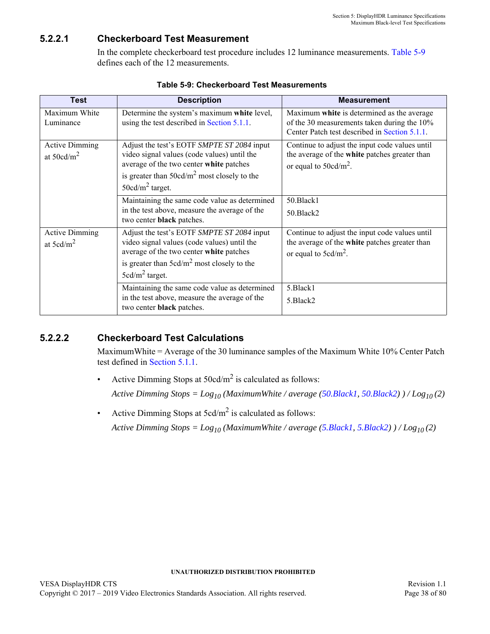## **5.2.2.1 Checkerboard Test Measurement**

In the complete checkerboard test procedure includes 12 luminance measurements. [Table 5-9](#page-37-4) defines each of the 12 measurements.

<span id="page-37-4"></span>

| <b>Test</b>                            | <b>Description</b>                                                                                                                                                                                          | <b>Measurement</b>                                                                                                                         |
|----------------------------------------|-------------------------------------------------------------------------------------------------------------------------------------------------------------------------------------------------------------|--------------------------------------------------------------------------------------------------------------------------------------------|
| Maximum White<br>Luminance             | Determine the system's maximum white level,<br>using the test described in Section 5.1.1.                                                                                                                   | Maximum white is determined as the average<br>of the 30 measurements taken during the 10%<br>Center Patch test described in Section 5.1.1. |
| <b>Active Dimming</b><br>at $50cd/m^2$ | Adjust the test's EOTF SMPTE ST 2084 input<br>video signal values (code values) until the<br>average of the two center white patches<br>is greater than $50cd/m^2$ most closely to the<br>$50cd/m2$ target. | Continue to adjust the input code values until<br>the average of the white patches greater than<br>or equal to $50 \text{cd/m}^2$ .        |
|                                        | Maintaining the same code value as determined<br>in the test above, measure the average of the<br>two center black patches.                                                                                 | 50.Black1<br>50.Black2                                                                                                                     |
| <b>Active Dimming</b><br>at $5cd/m2$   | Adjust the test's EOTF SMPTE ST 2084 input<br>video signal values (code values) until the<br>average of the two center white patches<br>is greater than $5cd/m^2$ most closely to the<br>$5cd/m2$ target.   | Continue to adjust the input code values until<br>the average of the white patches greater than<br>or equal to $5cd/m^2$ .                 |
|                                        | Maintaining the same code value as determined<br>in the test above, measure the average of the<br>two center <b>black</b> patches.                                                                          | 5.Black1<br>5.Black2                                                                                                                       |

<span id="page-37-1"></span><span id="page-37-0"></span>

| <b>Table 5-9: Checkerboard Test Measurements</b> |  |  |  |  |
|--------------------------------------------------|--|--|--|--|
|--------------------------------------------------|--|--|--|--|

## **5.2.2.2 Checkerboard Test Calculations**

<span id="page-37-3"></span><span id="page-37-2"></span>MaximumWhite = Average of the 30 luminance samples of the Maximum White 10% Center Patch test defined in [Section 5.1.1](#page-29-0).

Active Dimming Stops at  $50 \text{cd/m}^2$  is calculated as follows:

*Active Dimming Stops = Log10 (MaximumWhite / average [\(50.Black1,](#page-37-0) [50.Black2](#page-37-1)) ) / Log10 (2)*

• Active Dimming Stops at  $5cd/m^2$  is calculated as follows:

*Active Dimming Stops = Log10 (MaximumWhite / average [\(5.Black1](#page-37-2), [5.Black2](#page-37-3)) ) / Log10 (2)*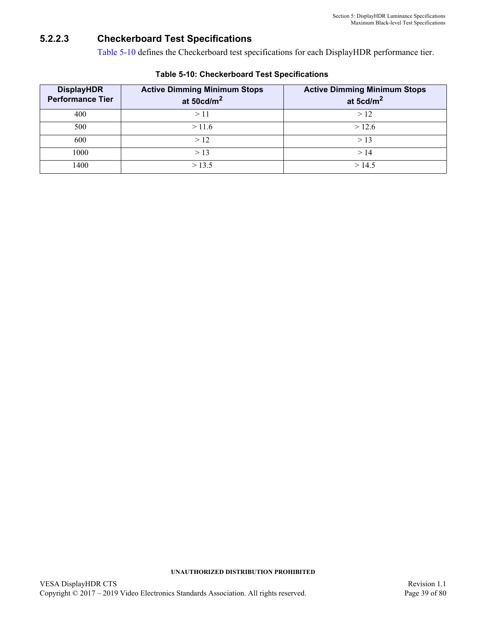## <span id="page-38-0"></span>**5.2.2.3 Checkerboard Test Specifications**

[Table 5-10](#page-38-1) defines the Checkerboard test specifications for each DisplayHDR performance tier.

<span id="page-38-1"></span>

| <b>DisplayHDR</b><br><b>Performance Tier</b> | <b>Active Dimming Minimum Stops</b><br>at $50 \text{cd/m}^2$ | <b>Active Dimming Minimum Stops</b><br>at 5 $cd/m2$ |
|----------------------------------------------|--------------------------------------------------------------|-----------------------------------------------------|
| 400                                          | >11                                                          | >12                                                 |
| 500                                          | >11.6                                                        | >12.6                                               |
| 600                                          | >12                                                          | > 13                                                |
| 1000                                         | > 13                                                         | >14                                                 |
| 1400                                         | > 13.5                                                       | >14.5                                               |

### **Table 5-10: [Checkerboard Test Specifications](#page-38-0)**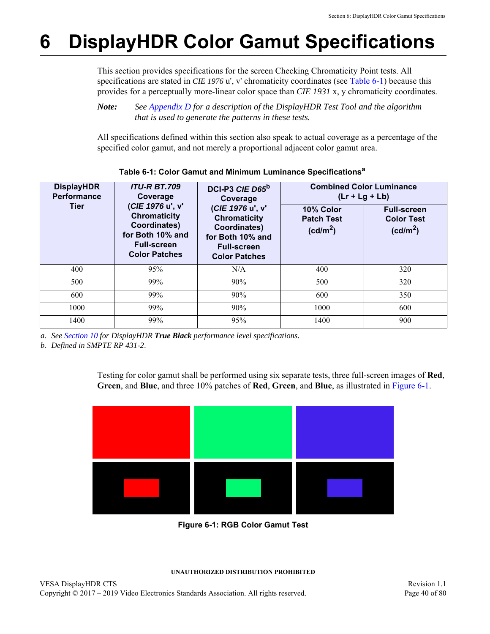# <span id="page-39-2"></span>**6 DisplayHDR Color Gamut Specifications**

This section provides specifications for the screen Checking Chromaticity Point tests. All specifications are stated in *CIE 1976* u', v' chromaticity coordinates (see [Table 6-1\)](#page-39-1) because this provides for a perceptually more-linear color space than *CIE 1931* x, y chromaticity coordinates.

## *Note: See [Appendix D](#page-73-0) for a description of the DisplayHDR Test Tool and the algorithm that is used to generate the patterns in these tests.*

All specifications defined within this section also speak to actual coverage as a percentage of the specified color gamut, and not merely a proportional adjacent color gamut area.

<span id="page-39-1"></span>

| <b>DisplayHDR</b><br><b>Performance</b> | <b>ITU-R BT.709</b><br>Coverage                                                                                           | DCI-P3 CIE D65 <sup>b</sup><br>Coverage<br>(CIE 1976 u', v'<br><b>Chromaticity</b><br>Coordinates)<br>for Both 10% and<br><b>Full-screen</b><br><b>Color Patches</b> | <b>Combined Color Luminance</b><br>$(Lr + Lg + Lb)$    |                                                                 |  |
|-----------------------------------------|---------------------------------------------------------------------------------------------------------------------------|----------------------------------------------------------------------------------------------------------------------------------------------------------------------|--------------------------------------------------------|-----------------------------------------------------------------|--|
| <b>Tier</b>                             | (CIE 1976 u', v'<br><b>Chromaticity</b><br>Coordinates)<br>for Both 10% and<br><b>Full-screen</b><br><b>Color Patches</b> |                                                                                                                                                                      | 10% Color<br><b>Patch Test</b><br>(cd/m <sup>2</sup> ) | <b>Full-screen</b><br><b>Color Test</b><br>(cd/m <sup>2</sup> ) |  |
| 400                                     | 95%                                                                                                                       | N/A                                                                                                                                                                  | 400                                                    | 320                                                             |  |
| 500                                     | 99%                                                                                                                       | 90%                                                                                                                                                                  | 500                                                    | 320                                                             |  |
| 600                                     | 99%                                                                                                                       | 90%                                                                                                                                                                  | 600                                                    | 350                                                             |  |
| 1000                                    | 99%                                                                                                                       | 90%                                                                                                                                                                  | 1000                                                   | 600                                                             |  |
| 1400                                    | 99%                                                                                                                       | 95%                                                                                                                                                                  | 1400                                                   | 900                                                             |  |

## **Table 6-1: Color Gamut and Minimum Luminance Specificationsa**

*a. See [Section 10](#page-52-0) for DisplayHDR True Black performance level specifications.*

*b. Defined in SMPTE RP 431-2*.

Testing for color gamut shall be performed using six separate tests, three full-screen images of **Red**, **Green**, and **Blue**, and three 10% patches of **Red**, **Green**, and **Blue**, as illustrated in [Figure 6-1](#page-39-0).

<span id="page-39-0"></span>

<span id="page-39-3"></span>**Figure 6-1: RGB Color Gamut Test**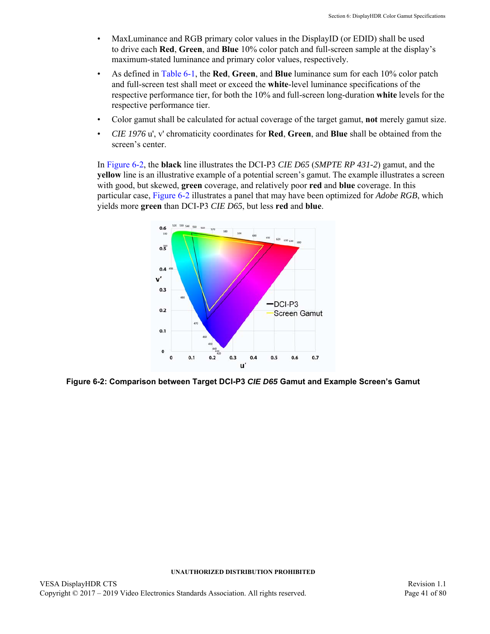- MaxLuminance and RGB primary color values in the DisplayID (or EDID) shall be used to drive each **Red**, **Green**, and **Blue** 10% color patch and full-screen sample at the display's maximum-stated luminance and primary color values, respectively.
- As defined in [Table 6-1](#page-39-1), the **Red**, **Green**, and **Blue** luminance sum for each 10% color patch and full-screen test shall meet or exceed the **white**-level luminance specifications of the respective performance tier, for both the 10% and full-screen long-duration **white** levels for the respective performance tier.
- Color gamut shall be calculated for actual coverage of the target gamut, **not** merely gamut size.
- *CIE 1976* u', v' chromaticity coordinates for **Red**, **Green**, and **Blue** shall be obtained from the screen's center.

In [Figure 6-2,](#page-40-0) the **black** line illustrates the DCI-P3 *CIE D65* (*SMPTE RP 431-2*) gamut, and the **yellow** line is an illustrative example of a potential screen's gamut. The example illustrates a screen with good, but skewed, **green** coverage, and relatively poor **red** and **blue** coverage. In this particular case, [Figure 6-2](#page-40-0) illustrates a panel that may have been optimized for *Adobe RGB*, which yields more **green** than DCI-P3 *CIE D65*, but less **red** and **blue**.



<span id="page-40-0"></span>**Figure 6-2: Comparison between Target DCI-P3** *CIE D65* **Gamut and Example Screen's Gamut**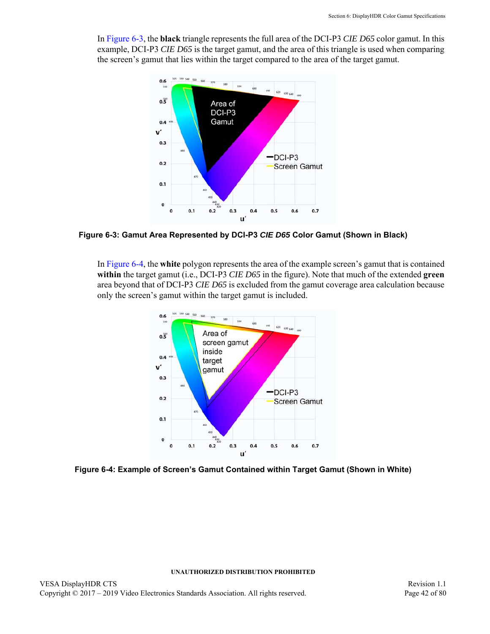In [Figure 6-3](#page-41-1), the **black** triangle represents the full area of the DCI-P3 *CIE D65* color gamut. In this example, DCI-P3 *CIE D65* is the target gamut, and the area of this triangle is used when comparing the screen's gamut that lies within the target compared to the area of the target gamut.



<span id="page-41-1"></span>**Figure 6-3: Gamut Area Represented by DCI-P3** *CIE D65* **Color Gamut (Shown in Black)**

In [Figure 6-4](#page-41-0), the **white** polygon represents the area of the example screen's gamut that is contained **within** the target gamut (i.e., DCI-P3 *CIE D65* in the figure). Note that much of the extended **green** area beyond that of DCI-P3 *CIE D65* is excluded from the gamut coverage area calculation because only the screen's gamut within the target gamut is included.



<span id="page-41-0"></span>**Figure 6-4: Example of Screen's Gamut Contained within Target Gamut (Shown in White)**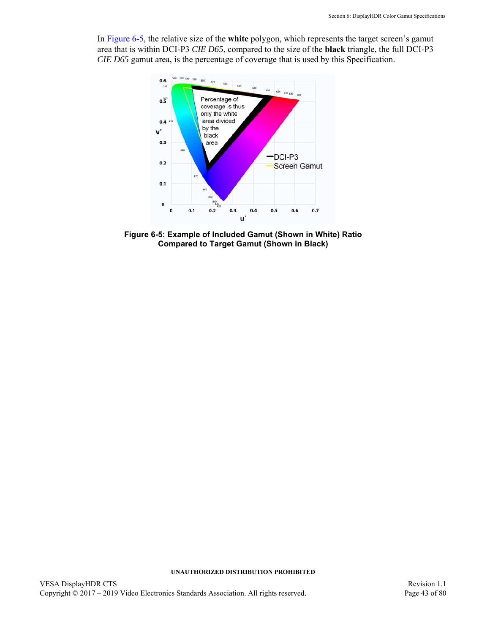In [Figure 6-5,](#page-42-0) the relative size of the **white** polygon, which represents the target screen's gamut area that is within DCI-P3 *CIE D65*, compared to the size of the **black** triangle, the full DCI-P3 *CIE D65* gamut area, is the percentage of coverage that is used by this Specification.



<span id="page-42-0"></span>**Figure 6-5: Example of Included Gamut (Shown in White) Ratio Compared to Target Gamut (Shown in Black)**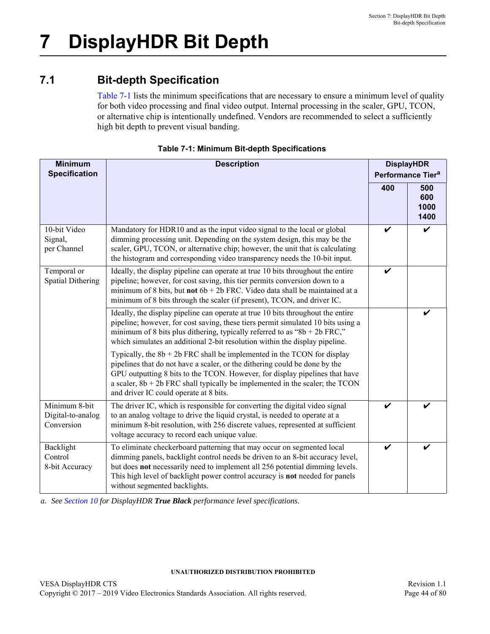# **7.1 Bit-depth Specification**

[Table 7-1](#page-43-0) lists the minimum specifications that are necessary to ensure a minimum level of quality for both video processing and final video output. Internal processing in the scaler, GPU, TCON, or alternative chip is intentionally undefined. Vendors are recommended to select a sufficiently high bit depth to prevent visual banding.

<span id="page-43-0"></span>

| <b>Minimum</b><br><b>Specification</b>           | <b>Description</b>                                                                                                                                                                                                                                                                                                                                                 |     |                            |
|--------------------------------------------------|--------------------------------------------------------------------------------------------------------------------------------------------------------------------------------------------------------------------------------------------------------------------------------------------------------------------------------------------------------------------|-----|----------------------------|
|                                                  |                                                                                                                                                                                                                                                                                                                                                                    | 400 | 500<br>600<br>1000<br>1400 |
| 10-bit Video<br>Signal,<br>per Channel           | Mandatory for HDR10 and as the input video signal to the local or global<br>dimming processing unit. Depending on the system design, this may be the<br>scaler, GPU, TCON, or alternative chip; however, the unit that is calculating<br>the histogram and corresponding video transparency needs the 10-bit input.                                                | ✔   |                            |
| Temporal or<br><b>Spatial Dithering</b>          | Ideally, the display pipeline can operate at true 10 bits throughout the entire<br>pipeline; however, for cost saving, this tier permits conversion down to a<br>minimum of 8 bits, but not $6b + 2b$ FRC. Video data shall be maintained at a<br>minimum of 8 bits through the scaler (if present), TCON, and driver IC.                                          | V   |                            |
|                                                  | Ideally, the display pipeline can operate at true 10 bits throughout the entire<br>pipeline; however, for cost saving, these tiers permit simulated 10 bits using a<br>minimum of 8 bits plus dithering, typically referred to as " $8b + 2b$ FRC,"<br>which simulates an additional 2-bit resolution within the display pipeline.                                 |     |                            |
|                                                  | Typically, the $8b + 2b$ FRC shall be implemented in the TCON for display<br>pipelines that do not have a scaler, or the dithering could be done by the<br>GPU outputting 8 bits to the TCON. However, for display pipelines that have<br>a scaler, $8b + 2b$ FRC shall typically be implemented in the scaler; the TCON<br>and driver IC could operate at 8 bits. |     |                            |
| Minimum 8-bit<br>Digital-to-analog<br>Conversion | The driver IC, which is responsible for converting the digital video signal<br>to an analog voltage to drive the liquid crystal, is needed to operate at a<br>minimum 8-bit resolution, with 256 discrete values, represented at sufficient<br>voltage accuracy to record each unique value.                                                                       | V   | V                          |
| Backlight<br>Control<br>8-bit Accuracy           | To eliminate checkerboard patterning that may occur on segmented local<br>dimming panels, backlight control needs be driven to an 8-bit accuracy level,<br>but does not necessarily need to implement all 256 potential dimming levels.<br>This high level of backlight power control accuracy is not needed for panels<br>without segmented backlights.           | ✔   |                            |

|  |  | <b>Table 7-1: Minimum Bit-depth Specifications</b> |
|--|--|----------------------------------------------------|
|  |  |                                                    |

*a. See [Section 10](#page-52-0) for DisplayHDR True Black performance level specifications.*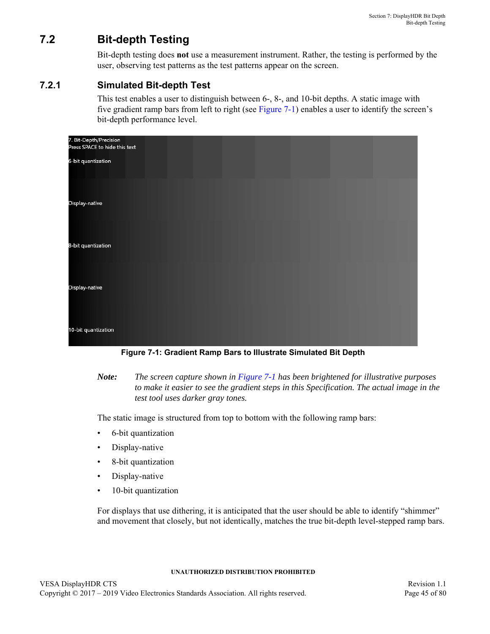# **7.2 Bit-depth Testing**

Bit-depth testing does **not** use a measurement instrument. Rather, the testing is performed by the user, observing test patterns as the test patterns appear on the screen.

## **7.2.1 Simulated Bit-depth Test**

<span id="page-44-1"></span>This test enables a user to distinguish between 6-, 8-, and 10-bit depths. A static image with five gradient ramp bars from left to right (see [Figure 7-1](#page-44-0)) enables a user to identify the screen's bit-depth performance level.

| 7. Bit-Depth/Precision<br>Press SPACE to hide this text |  |  |  |
|---------------------------------------------------------|--|--|--|
| 6-bit quantization                                      |  |  |  |
|                                                         |  |  |  |
| Display-native                                          |  |  |  |
| 8-bit quantization                                      |  |  |  |
| Display-native                                          |  |  |  |
| 10-bit quantization                                     |  |  |  |

**Figure 7-1: Gradient Ramp Bars to Illustrate Simulated Bit Depth**

<span id="page-44-0"></span>*Note: The screen capture shown in [Figure 7-1](#page-44-0) has been brightened for illustrative purposes to make it easier to see the gradient steps in this Specification. The actual image in the test tool uses darker gray tones.*

The static image is structured from top to bottom with the following ramp bars:

- 6-bit quantization
- Display-native
- 8-bit quantization
- Display-native
- 10-bit quantization

For displays that use dithering, it is anticipated that the user should be able to identify "shimmer" and movement that closely, but not identically, matches the true bit-depth level-stepped ramp bars.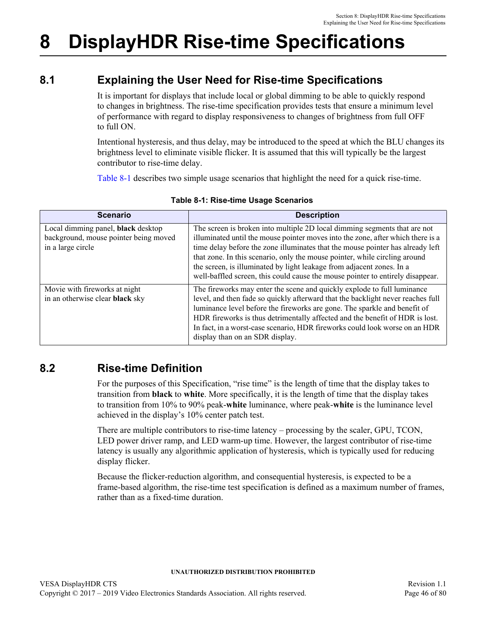# **8 DisplayHDR Rise-time Specifications**

# **8.1 Explaining the User Need for Rise-time Specifications**

It is important for displays that include local or global dimming to be able to quickly respond to changes in brightness. The rise-time specification provides tests that ensure a minimum level of performance with regard to display responsiveness to changes of brightness from full OFF to full ON.

Intentional hysteresis, and thus delay, may be introduced to the speed at which the BLU changes its brightness level to eliminate visible flicker. It is assumed that this will typically be the largest contributor to rise-time delay.

[Table 8-1](#page-45-0) describes two simple usage scenarios that highlight the need for a quick rise-time.

<span id="page-45-0"></span>

| <b>Scenario</b>                                                                                  | <b>Description</b>                                                                                                                                                                                                                                                                                                                                                                                                                                                                      |
|--------------------------------------------------------------------------------------------------|-----------------------------------------------------------------------------------------------------------------------------------------------------------------------------------------------------------------------------------------------------------------------------------------------------------------------------------------------------------------------------------------------------------------------------------------------------------------------------------------|
| Local dimming panel, black desktop<br>background, mouse pointer being moved<br>in a large circle | The screen is broken into multiple 2D local dimming segments that are not<br>illuminated until the mouse pointer moves into the zone, after which there is a<br>time delay before the zone illuminates that the mouse pointer has already left<br>that zone. In this scenario, only the mouse pointer, while circling around<br>the screen, is illuminated by light leakage from adjacent zones. In a<br>well-baffled screen, this could cause the mouse pointer to entirely disappear. |
| Movie with fireworks at night<br>in an otherwise clear black sky                                 | The fireworks may enter the scene and quickly explode to full luminance<br>level, and then fade so quickly afterward that the backlight never reaches full<br>luminance level before the fireworks are gone. The sparkle and benefit of<br>HDR fireworks is thus detrimentally affected and the benefit of HDR is lost.<br>In fact, in a worst-case scenario, HDR fireworks could look worse on an HDR<br>display than on an SDR display.                                               |

## **Table 8-1: Rise-time Usage Scenarios**

# **8.2 Rise-time Definition**

<span id="page-45-1"></span>For the purposes of this Specification, "rise time" is the length of time that the display takes to transition from **black** to **white**. More specifically, it is the length of time that the display takes to transition from 10% to 90% peak-**white** luminance, where peak-**white** is the luminance level achieved in the display's 10% center patch test.

There are multiple contributors to rise-time latency – processing by the scaler, GPU, TCON, LED power driver ramp, and LED warm-up time. However, the largest contributor of rise-time latency is usually any algorithmic application of hysteresis, which is typically used for reducing display flicker.

Because the flicker-reduction algorithm, and consequential hysteresis, is expected to be a frame-based algorithm, the rise-time test specification is defined as a maximum number of frames, rather than as a fixed-time duration.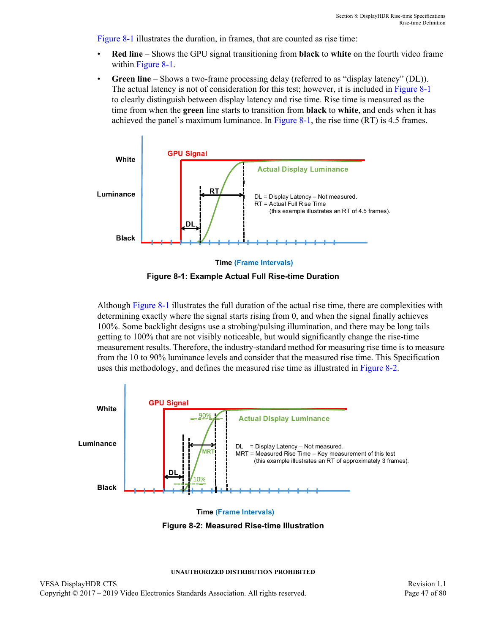[Figure 8-1](#page-46-0) illustrates the duration, in frames, that are counted as rise time:

- **Red line** Shows the GPU signal transitioning from **black** to **white** on the fourth video frame within [Figure 8-1.](#page-46-0)
- Green line Shows a two-frame processing delay (referred to as "display latency" (DL)). The actual latency is not of consideration for this test; however, it is included in [Figure 8-1](#page-46-0) to clearly distinguish between display latency and rise time. Rise time is measured as the time from when the **green** line starts to transition from **black** to **white**, and ends when it has achieved the panel's maximum luminance. In [Figure 8-1,](#page-46-0) the rise time (RT) is 4.5 frames.





<span id="page-46-0"></span>Although [Figure 8-1](#page-46-0) illustrates the full duration of the actual rise time, there are complexities with determining exactly where the signal starts rising from 0, and when the signal finally achieves 100%. Some backlight designs use a strobing/pulsing illumination, and there may be long tails getting to 100% that are not visibly noticeable, but would significantly change the rise-time measurement results. Therefore, the industry-standard method for measuring rise time is to measure from the 10 to 90% luminance levels and consider that the measured rise time. This Specification uses this methodology, and defines the measured rise time as illustrated in [Figure 8-2](#page-46-1).



<span id="page-46-1"></span>**Figure 8-2: Measured Rise-time Illustration**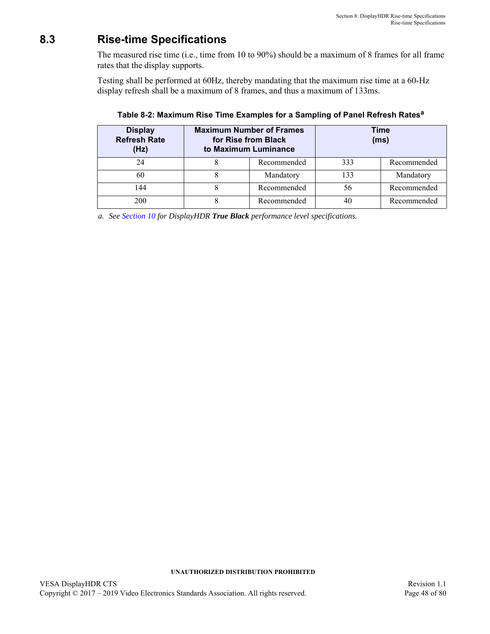# <span id="page-47-3"></span>**8.3 Rise-time Specifications**

The measured rise time (i.e., time from 10 to 90%) should be a maximum of [8](#page-47-0) frames for all frame rates that the display supports.

Testing shall be performed at [60](#page-47-2)Hz, thereby mandating that the maximum rise time at a [60](#page-47-2)-Hz display refresh shall be a maximum of [8](#page-47-0) frames, and thus a maximum of [133](#page-47-1)ms.

| <b>Display</b><br><b>Refresh Rate</b><br>(Hz) | <b>Maximum Number of Frames</b><br>for Rise from Black<br>to Maximum Luminance |             |     | <b>Time</b><br>(ms) |
|-----------------------------------------------|--------------------------------------------------------------------------------|-------------|-----|---------------------|
| 24                                            |                                                                                | Recommended | 333 | Recommended         |
| 60                                            |                                                                                | Mandatory   | 133 | Mandatory           |
| 144                                           |                                                                                | Recommended | 56  | Recommended         |
| 200                                           |                                                                                | Recommended | 40  | Recommended         |

<span id="page-47-1"></span><span id="page-47-0"></span>**Table 8-2: Maximum Rise Time Examples for a Sampling of Panel Refresh Rates<sup>a</sup>**

<span id="page-47-2"></span>*a. See [Section 10](#page-52-0) for DisplayHDR True Black performance level specifications.*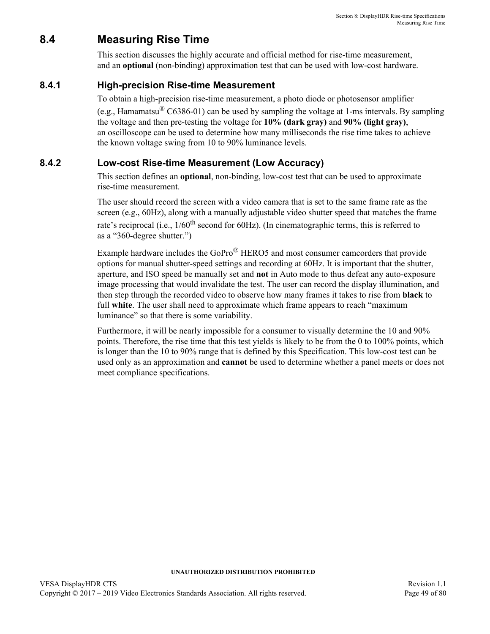# **8.4 Measuring Rise Time**

<span id="page-48-0"></span>This section discusses the highly accurate and official method for rise-time measurement, and an **optional** (non-binding) approximation test that can be used with low-cost hardware.

## **8.4.1 High-precision Rise-time Measurement**

To obtain a high-precision rise-time measurement, a photo diode or photosensor amplifier

(e.g., Hamamatsu<sup>®</sup> C6386-01) can be used by sampling the voltage at 1-ms intervals. By sampling the voltage and then pre-testing the voltage for **10% (dark gray)** and **90% (light gray)**, an oscilloscope can be used to determine how many milliseconds the rise time takes to achieve the known voltage swing from 10 to 90% luminance levels.

## **8.4.2 Low-cost Rise-time Measurement (Low Accuracy)**

This section defines an **optional**, non-binding, low-cost test that can be used to approximate rise-time measurement.

The user should record the screen with a video camera that is set to the same frame rate as the screen (e.g., [60H](#page-47-2)z), along with a manually adjustable video shutter speed that matches the frame rate's reciprocal (i.e.,  $1/60$ <sup>th</sup> second for [60H](#page-47-2)z). (In cinematographic terms, this is referred to as a "360-degree shutter.")

Example hardware includes the GoPro® HERO5 and most consumer camcorders that provide options for manual shutter-speed settings and recording at [60](#page-47-2)Hz. It is important that the shutter, aperture, and ISO speed be manually set and **not** in Auto mode to thus defeat any auto-exposure image processing that would invalidate the test. The user can record the display illumination, and then step through the recorded video to observe how many frames it takes to rise from **black** to full **white**. The user shall need to approximate which frame appears to reach "maximum luminance" so that there is some variability.

Furthermore, it will be nearly impossible for a consumer to visually determine the 10 and 90% points. Therefore, the rise time that this test yields is likely to be from the 0 to 100% points, which is longer than the 10 to 90% range that is defined by this Specification. This low-cost test can be used only as an approximation and **cannot** be used to determine whether a panel meets or does not meet compliance specifications.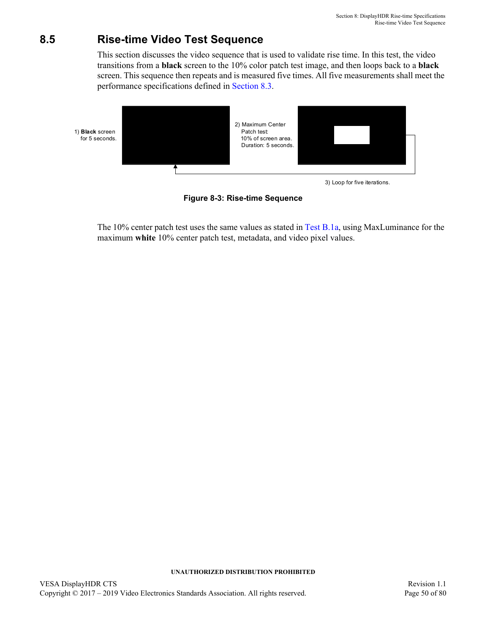# **8.5 Rise-time Video Test Sequence**

This section discusses the video sequence that is used to validate rise time. In this test, the video transitions from a **black** screen to the 10% color patch test image, and then loops back to a **black** screen. This sequence then repeats and is measured five times. All five measurements shall meet the performance specifications defined in [Section 8.3.](#page-47-3)



**Figure 8-3: Rise-time Sequence**

The 10% center patch test uses the same values as stated in [Test B.1a](#page-58-0), using MaxLuminance for the maximum **white** 10% center patch test, metadata, and video pixel values.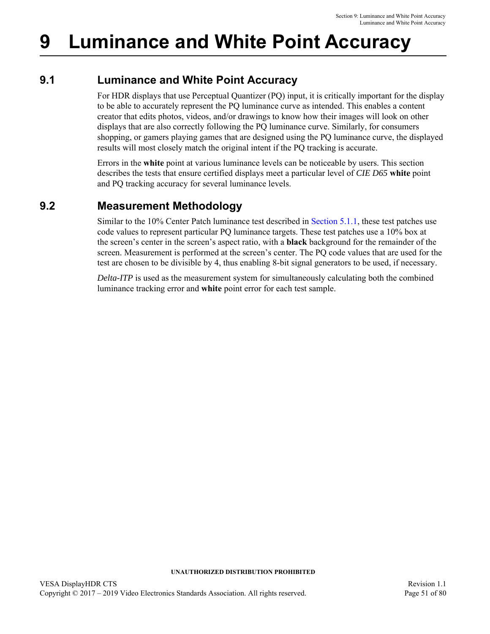# **9 Luminance and White Point Accuracy**

## **9.1 Luminance and White Point Accuracy**

For HDR displays that use Perceptual Quantizer (PQ) input, it is critically important for the display to be able to accurately represent the PQ luminance curve as intended. This enables a content creator that edits photos, videos, and/or drawings to know how their images will look on other displays that are also correctly following the PQ luminance curve. Similarly, for consumers shopping, or gamers playing games that are designed using the PQ luminance curve, the displayed results will most closely match the original intent if the PQ tracking is accurate.

Errors in the **white** point at various luminance levels can be noticeable by users. This section describes the tests that ensure certified displays meet a particular level of *CIE D65* **white** point and PQ tracking accuracy for several luminance levels.

## **9.2 Measurement Methodology**

Similar to the 10% Center Patch luminance test described in [Section 5.1.1,](#page-29-1) these test patches use code values to represent particular PQ luminance targets. These test patches use a 10% box at the screen's center in the screen's aspect ratio, with a **black** background for the remainder of the screen. Measurement is performed at the screen's center. The PQ code values that are used for the test are chosen to be divisible by 4, thus enabling 8-bit signal generators to be used, if necessary.

*Delta-ITP* is used as the measurement system for simultaneously calculating both the combined luminance tracking error and **white** point error for each test sample.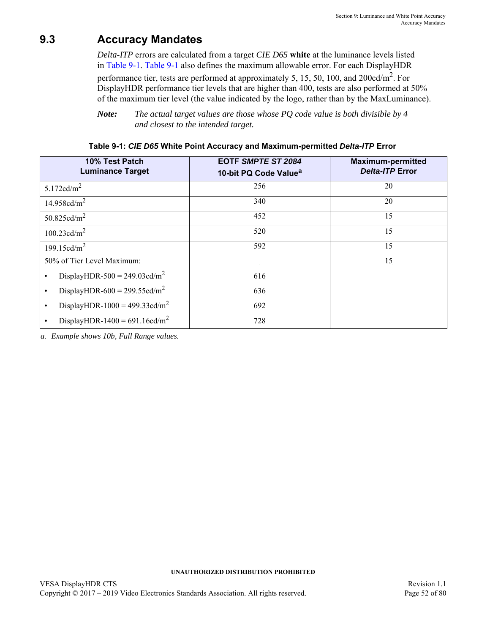## **9.3 Accuracy Mandates**

*Delta-ITP* errors are calculated from a target *CIE D65* **white** at the luminance levels listed in [Table 9-1](#page-51-0). [Table 9-1](#page-51-0) also defines the maximum allowable error. For each DisplayHDR

performance tier, tests are performed at approximately 5, 15, 50, 100, and 200cd/m2. For DisplayHDR performance tier levels that are higher than 400, tests are also performed at 50% of the maximum tier level (the value indicated by the logo, rather than by the MaxLuminance).

*Note: The actual target values are those whose PQ code value is both divisible by 4 and closest to the intended target.*

<span id="page-51-0"></span>

| 10% Test Patch<br><b>Luminance Target</b>              | <b>EOTF SMPTE ST 2084</b><br>10-bit PQ Code Value <sup>a</sup> | <b>Maximum-permitted</b><br><b>Delta-ITP Error</b> |
|--------------------------------------------------------|----------------------------------------------------------------|----------------------------------------------------|
| 5.172 $cd/m2$                                          | 256                                                            | 20                                                 |
| 14.958cd/ $m^2$                                        | 340                                                            | 20                                                 |
| 50.825 $cd/m^2$                                        | 452                                                            | 15                                                 |
| 100.23 $\text{cd/m}^2$                                 | 520                                                            | 15                                                 |
| 199.15cd/ $m^2$                                        | 592                                                            | 15                                                 |
| 50% of Tier Level Maximum:                             |                                                                | 15                                                 |
| DisplayHDR-500 = $249.03cd/m^2$<br>$\bullet$           | 616                                                            |                                                    |
| DisplayHDR-600 = $299.55cd/m^2$<br>$\bullet$           | 636                                                            |                                                    |
| DisplayHDR-1000 = 499.33cd/m <sup>2</sup><br>$\bullet$ | 692                                                            |                                                    |
| DisplayHDR-1400 = $691.16cd/m^2$                       | 728                                                            |                                                    |

*a. Example shows 10b, Full Range values.*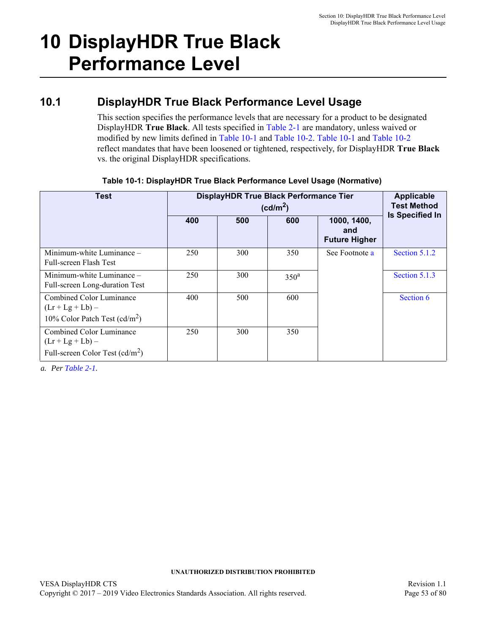# <span id="page-52-0"></span>**10 DisplayHDR True Black Performance Level**

## <span id="page-52-2"></span>**10.1 DisplayHDR True Black Performance Level Usage**

This section specifies the performance levels that are necessary for a product to be designated DisplayHDR **True Black**. All tests specified in [Table 2-1](#page-17-10) are mandatory, unless waived or modified by new limits defined in [Table 10-1](#page-52-1) and [Table 10-2.](#page-53-0) [Table 10-1](#page-52-1) and [Table 10-2](#page-53-0) reflect mandates that have been loosened or tightened, respectively, for DisplayHDR **True Black** vs. the original DisplayHDR specifications.

<span id="page-52-1"></span>

| <b>Test</b>                                                                         | DisplayHDR True Black Performance Tier | Applicable<br><b>Test Method</b> |                  |                                            |                        |
|-------------------------------------------------------------------------------------|----------------------------------------|----------------------------------|------------------|--------------------------------------------|------------------------|
|                                                                                     | 400                                    | 500                              | 600              | 1000, 1400,<br>and<br><b>Future Higher</b> | <b>Is Specified In</b> |
| Minimum-white Luminance –<br>Full-screen Flash Test                                 | 250                                    | 300                              | 350              | See Footnote a                             | Section 5.1.2          |
| Minimum-white Luminance -<br>Full-screen Long-duration Test                         | 250                                    | 300                              | 350 <sup>a</sup> |                                            | Section 5.1.3          |
| Combined Color Luminance<br>$(Lr + Lg + Lb) -$<br>10% Color Patch Test $(cd/m^2)$   | 400                                    | 500                              | 600              |                                            | Section 6              |
| Combined Color Luminance<br>$(Lr + Lg + Lb) -$<br>Full-screen Color Test $(cd/m^2)$ | 250                                    | 300                              | 350              |                                            |                        |

## **Table 10-1: [DisplayHDR True Black Performance Level Usage](#page-52-2) (Normative)**

<span id="page-52-3"></span>*a. Per [Table 2-1.](#page-17-10)*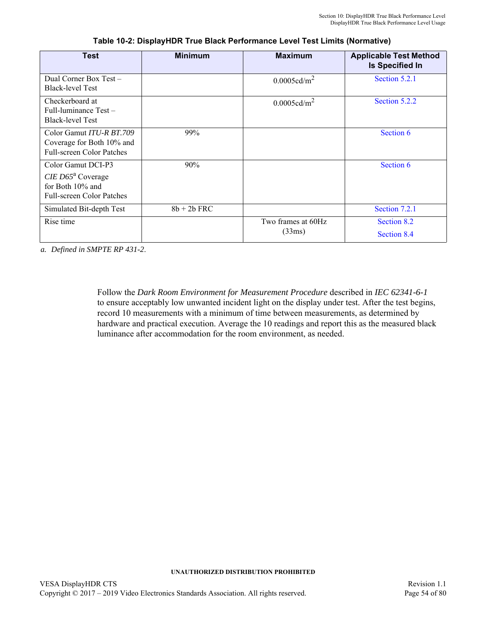<span id="page-53-0"></span>

| Test                                                                                                          | <b>Minimum</b> | <b>Maximum</b>     | <b>Applicable Test Method</b><br><b>Is Specified In</b> |
|---------------------------------------------------------------------------------------------------------------|----------------|--------------------|---------------------------------------------------------|
| Dual Corner Box Test -<br><b>Black-level Test</b>                                                             |                | $0.0005cd/m^2$     | Section 5.2.1                                           |
| Checkerboard at<br>Full-luminance $Test -$<br><b>Black-level Test</b>                                         |                | $0.0005cd/m^2$     | Section 5.2.2                                           |
| Color Gamut <i>ITU-R BT.709</i><br>Coverage for Both 10% and<br><b>Full-screen Color Patches</b>              | 99%            |                    | Section 6                                               |
| Color Gamut DCI-P3<br>$CIE$ D65 <sup>a</sup> Coverage<br>for Both 10% and<br><b>Full-screen Color Patches</b> | 90%            |                    | Section 6                                               |
| Simulated Bit-depth Test                                                                                      | $8b + 2b$ FRC  |                    | Section 7.2.1                                           |
| Rise time                                                                                                     |                | Two frames at 60Hz | Section 8.2                                             |
|                                                                                                               |                | (33ms)             | Section 8.4                                             |

**Table 10-2: DisplayHDR True Black Performance Level Test Limits (Normative)**

*a. Defined in SMPTE RP 431-2*.

Follow the *Dark Room Environment for Measurement Procedure* described in *IEC 62341-6-1* to ensure acceptably low unwanted incident light on the display under test. After the test begins, record 10 measurements with a minimum of time between measurements, as determined by hardware and practical execution. Average the 10 readings and report this as the measured black luminance after accommodation for the room environment, as needed.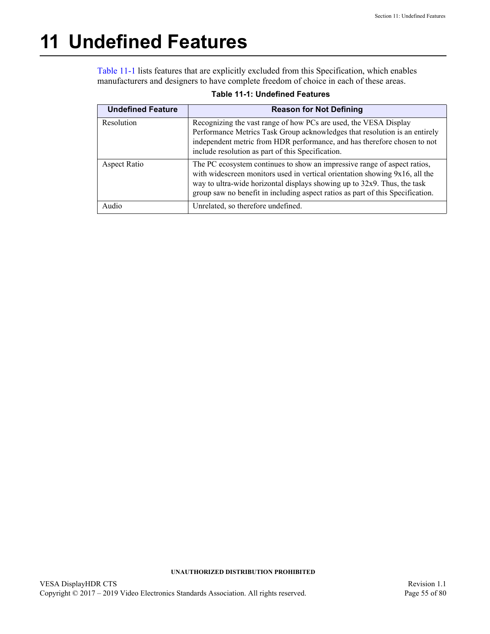# <span id="page-54-0"></span>**11 Undefined Features**

[Table 11-1](#page-54-1) lists features that are explicitly excluded from this Specification, which enables manufacturers and designers to have complete freedom of choice in each of these areas.

<span id="page-54-1"></span>

| <b>Undefined Feature</b> | <b>Reason for Not Defining</b>                                                                                                                                                                                                                                                                                        |
|--------------------------|-----------------------------------------------------------------------------------------------------------------------------------------------------------------------------------------------------------------------------------------------------------------------------------------------------------------------|
| Resolution               | Recognizing the vast range of how PCs are used, the VESA Display<br>Performance Metrics Task Group acknowledges that resolution is an entirely<br>independent metric from HDR performance, and has therefore chosen to not<br>include resolution as part of this Specification.                                       |
| Aspect Ratio             | The PC ecosystem continues to show an impressive range of aspect ratios,<br>with widescreen monitors used in vertical orientation showing 9x16, all the<br>way to ultra-wide horizontal displays showing up to 32x9. Thus, the task<br>group saw no benefit in including aspect ratios as part of this Specification. |
| Audio                    | Unrelated, so therefore undefined.                                                                                                                                                                                                                                                                                    |

## **Table 11-1: [Undefined Features](#page-54-0)**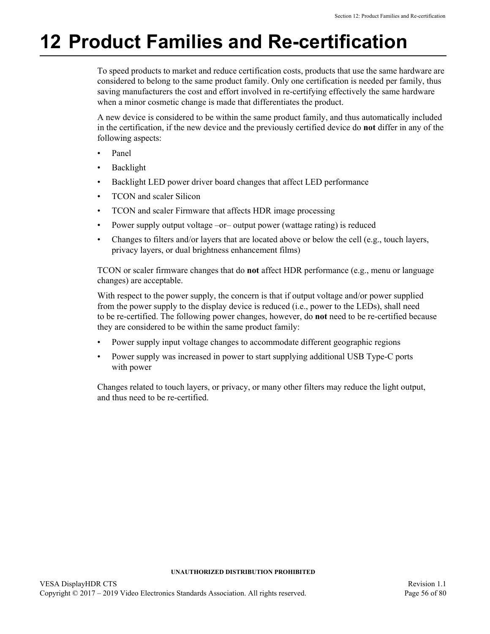# **12 Product Families and Re-certification**

To speed products to market and reduce certification costs, products that use the same hardware are considered to belong to the same product family. Only one certification is needed per family, thus saving manufacturers the cost and effort involved in re-certifying effectively the same hardware when a minor cosmetic change is made that differentiates the product.

A new device is considered to be within the same product family, and thus automatically included in the certification, if the new device and the previously certified device do **not** differ in any of the following aspects:

- Panel
- **Backlight**
- Backlight LED power driver board changes that affect LED performance
- TCON and scaler Silicon
- TCON and scaler Firmware that affects HDR image processing
- Power supply output voltage –or– output power (wattage rating) is reduced
- Changes to filters and/or layers that are located above or below the cell (e.g., touch layers, privacy layers, or dual brightness enhancement films)

TCON or scaler firmware changes that do **not** affect HDR performance (e.g., menu or language changes) are acceptable.

With respect to the power supply, the concern is that if output voltage and/or power supplied from the power supply to the display device is reduced (i.e., power to the LEDs), shall need to be re-certified. The following power changes, however, do **not** need to be re-certified because they are considered to be within the same product family:

- Power supply input voltage changes to accommodate different geographic regions
- Power supply was increased in power to start supplying additional USB Type-C ports with power

Changes related to touch layers, or privacy, or many other filters may reduce the light output, and thus need to be re-certified.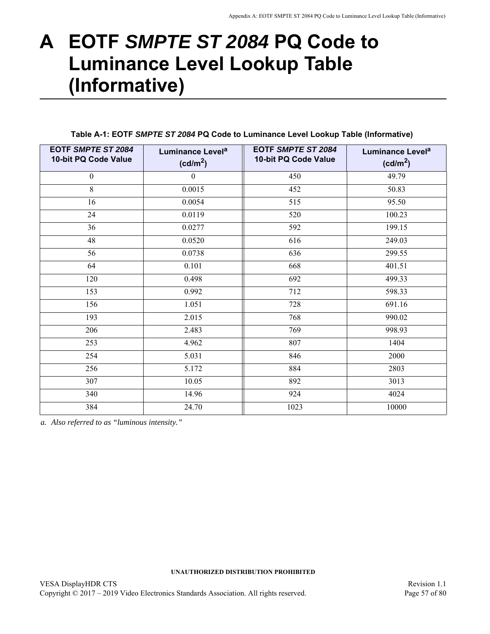# **A EOTF** *SMPTE ST 2084* **PQ Code to Luminance Level Lookup Table (Informative)**

| EOTF SMPTE ST 2084<br>10-bit PQ Code Value | Luminance Level <sup>a</sup><br>(cd/m <sup>2</sup> ) | <b>EOTF SMPTE ST 2084</b><br>10-bit PQ Code Value | Luminance Level <sup>a</sup><br>(cd/m <sup>2</sup> ) |
|--------------------------------------------|------------------------------------------------------|---------------------------------------------------|------------------------------------------------------|
| $\boldsymbol{0}$                           | $\boldsymbol{0}$                                     | 450                                               | 49.79                                                |
| 8                                          | 0.0015                                               | 452                                               | 50.83                                                |
| 16                                         | 0.0054                                               | 515                                               | 95.50                                                |
| 24                                         | 0.0119                                               | 520                                               | 100.23                                               |
| 36                                         | 0.0277                                               | 592                                               | 199.15                                               |
| 48                                         | 0.0520                                               | 616                                               | 249.03                                               |
| 56                                         | 0.0738                                               | 636                                               | 299.55                                               |
| 64                                         | 0.101                                                | 668                                               | 401.51                                               |
| 120                                        | 0.498                                                | 692                                               | 499.33                                               |
| 153                                        | 0.992                                                | 712                                               | 598.33                                               |
| 156                                        | 1.051                                                | 728                                               | 691.16                                               |
| 193                                        | 2.015                                                | 768                                               | 990.02                                               |
| 206                                        | 2.483                                                | 769                                               | 998.93                                               |
| 253                                        | 4.962                                                | 807                                               | 1404                                                 |
| 254                                        | 5.031                                                | 846                                               | 2000                                                 |
| 256                                        | 5.172                                                | 884                                               | 2803                                                 |
| 307                                        | 10.05                                                | 892                                               | 3013                                                 |
| 340                                        | 14.96                                                | 924                                               | 4024                                                 |
| 384                                        | 24.70                                                | 1023                                              | 10000                                                |

<span id="page-56-11"></span><span id="page-56-10"></span><span id="page-56-9"></span><span id="page-56-8"></span><span id="page-56-7"></span><span id="page-56-6"></span><span id="page-56-5"></span><span id="page-56-2"></span><span id="page-56-0"></span>**Table A-1: EOTF** *SMPTE ST 2084* **PQ Code to Luminance Level Lookup Table (Informative)**

<span id="page-56-13"></span><span id="page-56-12"></span><span id="page-56-4"></span><span id="page-56-3"></span><span id="page-56-1"></span>*a. Also referred to as "luminous intensity."*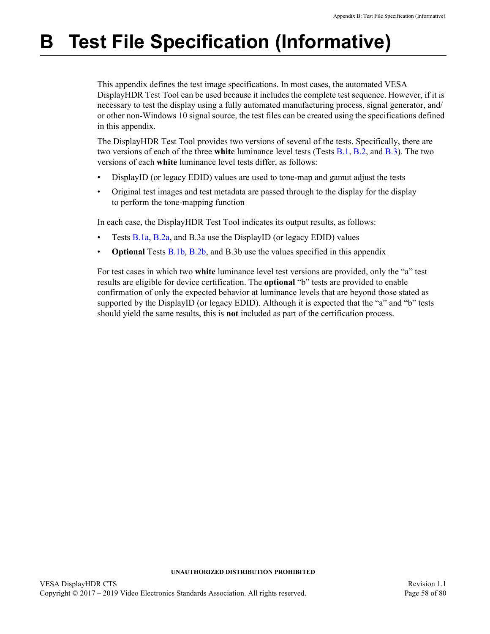# **B Test File Specification (Informative)**

This appendix defines the test image specifications. In most cases, the automated VESA DisplayHDR Test Tool can be used because it includes the complete test sequence. However, if it is necessary to test the display using a fully automated manufacturing process, signal generator, and/ or other non-Windows 10 signal source, the test files can be created using the specifications defined in this appendix.

The DisplayHDR Test Tool provides two versions of several of the tests. Specifically, there are two versions of each of the three **white** luminance level tests (Tests [B.1](#page-58-2), [B.2](#page-60-2), and [B.3](#page-60-1)). The two versions of each **white** luminance level tests differ, as follows:

- DisplayID (or legacy EDID) values are used to tone-map and gamut adjust the tests
- Original test images and test metadata are passed through to the display for the display to perform the tone-mapping function

In each case, the DisplayHDR Test Tool indicates its output results, as follows:

- Tests [B.1a](#page-58-1), [B.2a](#page-60-0), and [B.3a](#page-60-1) use the DisplayID (or legacy EDID) values
- **Optional Tests [B.1b,](#page-58-3) [B.2b,](#page-60-3) and [B.3](#page-60-1)b use the values specified in this appendix**

For test cases in which two **white** luminance level test versions are provided, only the "a" test results are eligible for device certification. The **optional** "b" tests are provided to enable confirmation of only the expected behavior at luminance levels that are beyond those stated as supported by the DisplayID (or legacy EDID). Although it is expected that the "a" and "b" tests should yield the same results, this is **not** included as part of the certification process.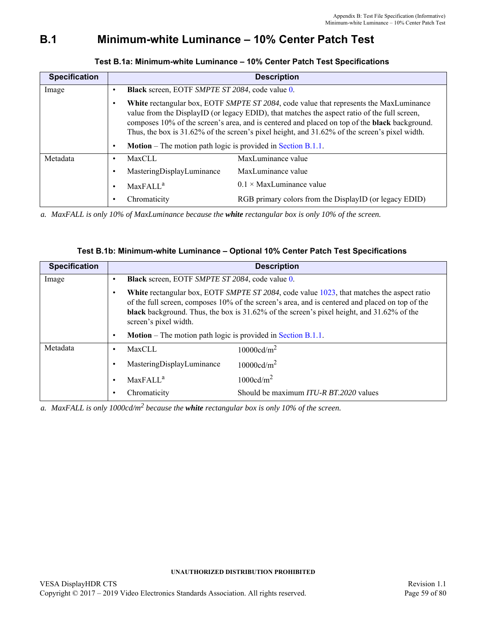## <span id="page-58-2"></span>**B.1 [Minimum-white Luminance – 10% Center Patch Test](#page-29-1)**

<span id="page-58-1"></span>

| <b>Specification</b> |                                                                     | <b>Description</b>                                                                                                                                                                                                                                                                                                                                                                                    |
|----------------------|---------------------------------------------------------------------|-------------------------------------------------------------------------------------------------------------------------------------------------------------------------------------------------------------------------------------------------------------------------------------------------------------------------------------------------------------------------------------------------------|
| Image                | <b>Black</b> screen, EOTF SMPTE ST 2084, code value 0.              |                                                                                                                                                                                                                                                                                                                                                                                                       |
|                      |                                                                     | White rectangular box, EOTF SMPTE ST 2084, code value that represents the MaxLuminance<br>value from the DisplayID (or legacy EDID), that matches the aspect ratio of the full screen,<br>composes 10% of the screen's area, and is centered and placed on top of the <b>black</b> background.<br>Thus, the box is $31.62\%$ of the screen's pixel height, and $31.62\%$ of the screen's pixel width. |
|                      | <b>Motion</b> – The motion path logic is provided in Section B.1.1. |                                                                                                                                                                                                                                                                                                                                                                                                       |
| Metadata             | <b>MaxCLL</b>                                                       | MaxLuminance value                                                                                                                                                                                                                                                                                                                                                                                    |
|                      | MasteringDisplayLuminance                                           | MaxLuminance value                                                                                                                                                                                                                                                                                                                                                                                    |
|                      | MaxFALL <sup>a</sup>                                                | $0.1 \times$ MaxLuminance value                                                                                                                                                                                                                                                                                                                                                                       |
|                      | Chromaticity                                                        | RGB primary colors from the DisplayID (or legacy EDID)                                                                                                                                                                                                                                                                                                                                                |

<span id="page-58-0"></span>**Test B.1a: [Minimum-white Luminance – 10% Center Patch Test](#page-58-2) Specifications**

*a. MaxFALL is only 10% of MaxLuminance because the white rectangular box is only 10% of the screen.*

|  | Test B.1b: Minimum-white Luminance - Optional 10% Center Patch Test Specifications |
|--|------------------------------------------------------------------------------------|
|--|------------------------------------------------------------------------------------|

<span id="page-58-3"></span>

| <b>Specification</b> |           |                                                                     | <b>Description</b>                                                                                                                                                                                                                                                                                     |
|----------------------|-----------|---------------------------------------------------------------------|--------------------------------------------------------------------------------------------------------------------------------------------------------------------------------------------------------------------------------------------------------------------------------------------------------|
| Image                |           | <b>Black</b> screen, EOTF SMPTE ST 2084, code value 0.              |                                                                                                                                                                                                                                                                                                        |
|                      |           | screen's pixel width.                                               | White rectangular box, EOTF SMPTE ST 2084, code value 1023, that matches the aspect ratio<br>of the full screen, composes 10% of the screen's area, and is centered and placed on top of the<br><b>black</b> background. Thus, the box is $31.62\%$ of the screen's pixel height, and $31.62\%$ of the |
|                      |           | <b>Motion</b> – The motion path logic is provided in Section B.1.1. |                                                                                                                                                                                                                                                                                                        |
| Metadata             | ٠         | MaxCLL                                                              | 10000cd/m <sup>2</sup>                                                                                                                                                                                                                                                                                 |
|                      |           | MasteringDisplayLuminance                                           | 10000cd/m <sup>2</sup>                                                                                                                                                                                                                                                                                 |
|                      | $\bullet$ | MaxFALL <sup>a</sup>                                                | $1000 \text{cd/m}^2$                                                                                                                                                                                                                                                                                   |
|                      |           | Chromaticity                                                        | Should be maximum ITU-R BT.2020 values                                                                                                                                                                                                                                                                 |

*a. MaxFALL is only 1000cd/m2 because the white rectangular box is only 10% of the screen.*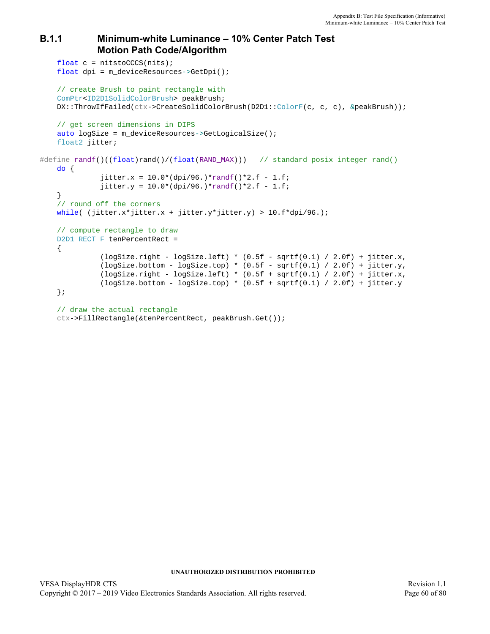## <span id="page-59-0"></span>**B.1.1 [Minimum-white Luminance – 10% Center Patch Test](#page-58-2) Motion Path Code/Algorithm**

```
float c = nits to (nits);
   float dpi = m_deviceResources->GetDpi();
   // create Brush to paint rectangle with
   ComPtr<ID2D1SolidColorBrush> peakBrush;
    DX::ThrowIfFailed(ctx->CreateSolidColorBrush(D2D1::ColorF(c, c, c), &peakBrush));
   // get screen dimensions in DIPS
   auto logSize = m deviceResources->GetLogicalSize();
   float2 jitter;
#define randf()((float)rand()/(float(RAND_MAX))) // standard posix integer rand() 
   do {
               jitter.x = 10.0*(dpi/96.)*randf()*2.f - 1.f;
              jitter.y = 10.0*(dpi/96.)*randf()*2.f - 1.f; }
    // round off the corners
   while( (jitter.x*jitter.x + jitter.y*jitter.y) > 10.f*dpi/96.);
    // compute rectangle to draw
   D2D1_RECT_F tenPercentRect =
     {
              (logSize.right - logSize.left) * (0.5f - sqrtf(0.1) / 2.0f) + jitter.x,(logSize.bottom - logSize.top) * (0.5f - sqrt(0.1) / 2.0f) + jitter.y,(logSize.right - logSize.left) * (0.5f + sqrt(0.1) / 2.0f) + jitter.x,(logSize.bottom - logSize.top) * (0.5f + sqrtf(0.1) / 2.0f) + jitter.y };
    // draw the actual rectangle
   ctx->FillRectangle(&tenPercentRect, peakBrush.Get());
```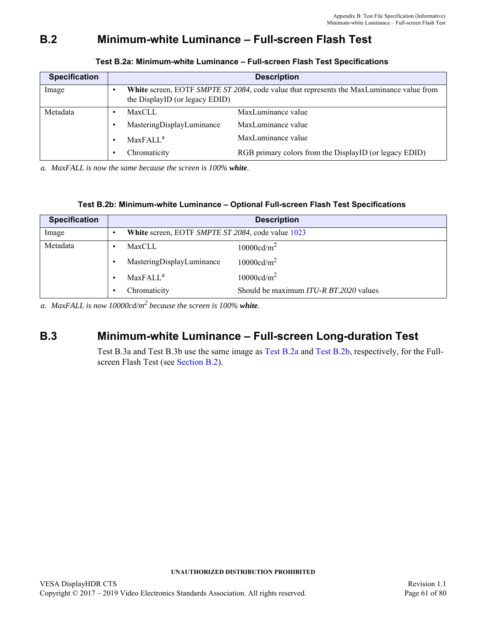# <span id="page-60-2"></span>**B.2 [Minimum-white Luminance – Full-screen Flash Test](#page-30-0)**

<span id="page-60-0"></span>

| <b>Specification</b> |                                | <b>Description</b>                                                                              |
|----------------------|--------------------------------|-------------------------------------------------------------------------------------------------|
| Image                | the DisplayID (or legacy EDID) | <b>White</b> screen, EOTF SMPTE ST 2084, code value that represents the MaxLuminance value from |
| Metadata             | MaxCLL                         | MaxLuminance value                                                                              |
|                      | MasteringDisplayLuminance      | MaxLuminance value                                                                              |
|                      | MaxFALL <sup>a</sup>           | MaxLuminance value                                                                              |
|                      | Chromaticity                   | RGB primary colors from the DisplayID (or legacy EDID)                                          |

## **Test B.2a: [Minimum-white Luminance – Full-screen Flash Test](#page-60-2) Specifications**

*a. MaxFALL is now the same because the screen is 100% white.*

## **Test B.2b: Minimum-white Luminance – Optional Full-screen Flash Test Specifications**

<span id="page-60-3"></span>

| <b>Specification</b> |                                                   | <b>Description</b>                            |
|----------------------|---------------------------------------------------|-----------------------------------------------|
| Image                | White screen, EOTF SMPTE ST 2084, code value 1023 |                                               |
| Metadata             | MaxCLL                                            | 10000cd/m <sup>2</sup>                        |
|                      | MasteringDisplayLuminance                         | 10000cd/m <sup>2</sup>                        |
|                      | MaxFALL <sup>a</sup>                              | 10000cd/m <sup>2</sup>                        |
|                      | Chromaticity                                      | Should be maximum <i>ITU-R BT.2020</i> values |

*a. MaxFALL is now 10000cd/m<sup>2</sup> because the screen is 100% white.*

## <span id="page-60-1"></span>**B.3 [Minimum-white Luminance – Full-screen Long-duration Test](#page-31-0)**

Test [B.3a](#page-60-1) and Test [B.3](#page-60-1)b use the same image as [Test B.2a](#page-60-0) and [Test B.2b](#page-60-3), respectively, for the Fullscreen Flash Test (see [Section B.2](#page-60-2)).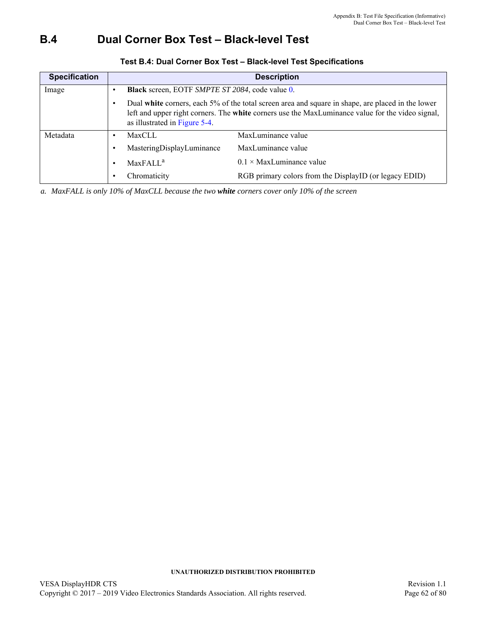# <span id="page-61-0"></span>**B.4 [Dual Corner Box Test – Black-level Test](#page-33-0)**

| <b>Specification</b> |                                                        | <b>Description</b>                                                                                                                                                                                    |
|----------------------|--------------------------------------------------------|-------------------------------------------------------------------------------------------------------------------------------------------------------------------------------------------------------|
| Image                | <b>Black</b> screen, EOTF SMPTE ST 2084, code value 0. |                                                                                                                                                                                                       |
|                      | as illustrated in Figure 5-4.                          | Dual white corners, each 5% of the total screen area and square in shape, are placed in the lower<br>left and upper right corners. The white corners use the MaxLuminance value for the video signal, |
| Metadata             | <b>MaxCLL</b>                                          | MaxLuminance value                                                                                                                                                                                    |
|                      | MasteringDisplayLuminance                              | MaxLuminance value                                                                                                                                                                                    |
|                      | MaxFALL <sup>a</sup>                                   | $0.1 \times$ MaxLuminance value                                                                                                                                                                       |
|                      | Chromaticity                                           | RGB primary colors from the DisplayID (or legacy EDID)                                                                                                                                                |

## **Test B.4: [Dual Corner Box Test – Black-level Test](#page-61-0) Specifications**

*a. MaxFALL is only 10% of MaxCLL because the two white corners cover only 10% of the screen*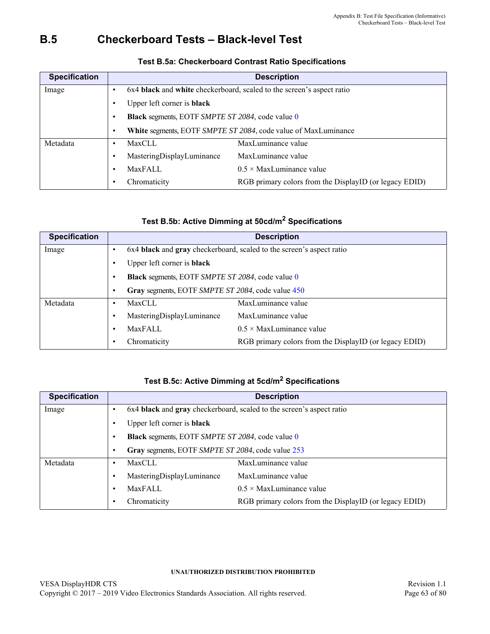# **B.5 [Checkerboard Tests – Black-level Test](#page-34-0)**

| <b>Specification</b> | <b>Description</b>                                                     |
|----------------------|------------------------------------------------------------------------|
| Image                | 6x4 black and white checkerboard, scaled to the screen's aspect ratio  |
|                      | Upper left corner is black                                             |
|                      | Black segments, EOTF SMPTE ST 2084, code value 0                       |
|                      | White segments, EOTF SMPTE ST 2084, code value of MaxLuminance         |
| Metadata             | MaxLuminance value<br>MaxCLL                                           |
|                      | MaxLuminance value<br>MasteringDisplayLuminance                        |
|                      | $0.5 \times$ MaxLuminance value<br><b>MaxFALL</b>                      |
|                      | Chromaticity<br>RGB primary colors from the DisplayID (or legacy EDID) |

## <span id="page-62-0"></span>**Test B.5a: Checkerboard Contrast Ratio Specifications**

## <span id="page-62-5"></span><span id="page-62-2"></span><span id="page-62-1"></span>**Test B.5b: Active Dimming at 50cd/m2 Specifications**

| <b>Specification</b> | <b>Description</b>                                                     |  |
|----------------------|------------------------------------------------------------------------|--|
| Image                | 6x4 black and gray checkerboard, scaled to the screen's aspect ratio   |  |
|                      | Upper left corner is black                                             |  |
|                      | Black segments, EOTF SMPTE ST 2084, code value 0                       |  |
|                      | Gray segments, EOTF SMPTE ST 2084, code value 450                      |  |
| Metadata             | MaxLuminance value<br><b>MaxCLL</b>                                    |  |
|                      | MaxLuminance value<br>MasteringDisplayLuminance                        |  |
|                      | $0.5 \times$ MaxLuminance value<br>MaxFALL                             |  |
|                      | Chromaticity<br>RGB primary colors from the DisplayID (or legacy EDID) |  |

## <span id="page-62-7"></span><span id="page-62-6"></span><span id="page-62-4"></span><span id="page-62-3"></span>**Test B.5c: Active Dimming at 5cd/m2 Specifications**

| <b>Specification</b> |                                                   | <b>Description</b>                                                   |  |  |  |  |
|----------------------|---------------------------------------------------|----------------------------------------------------------------------|--|--|--|--|
| Image                |                                                   | 6x4 black and gray checkerboard, scaled to the screen's aspect ratio |  |  |  |  |
|                      | Upper left corner is black                        |                                                                      |  |  |  |  |
|                      | Black segments, EOTF SMPTE ST 2084, code value 0  |                                                                      |  |  |  |  |
|                      | Gray segments, EOTF SMPTE ST 2084, code value 253 |                                                                      |  |  |  |  |
| Metadata             | MaxCLL                                            | MaxLuminance value                                                   |  |  |  |  |
|                      | MasteringDisplayLuminance                         | MaxLuminance value                                                   |  |  |  |  |
|                      | MaxFALL                                           | $0.5 \times$ MaxLuminance value                                      |  |  |  |  |
|                      | Chromaticity                                      | RGB primary colors from the DisplayID (or legacy EDID)               |  |  |  |  |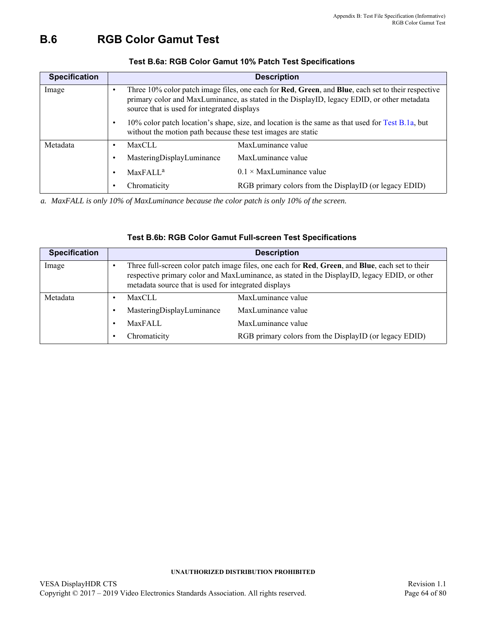## **B.6 [RGB Color Gamut Test](#page-39-3)**

| <b>Specification</b> |                                                                                                                                                                  | <b>Description</b>                                                                                                                                                                               |  |  |  |
|----------------------|------------------------------------------------------------------------------------------------------------------------------------------------------------------|--------------------------------------------------------------------------------------------------------------------------------------------------------------------------------------------------|--|--|--|
| Image                | source that is used for integrated displays                                                                                                                      | Three 10% color patch image files, one each for Red, Green, and Blue, each set to their respective<br>primary color and MaxLuminance, as stated in the DisplayID, legacy EDID, or other metadata |  |  |  |
|                      | 10% color patch location's shape, size, and location is the same as that used for Test B.1a, but<br>without the motion path because these test images are static |                                                                                                                                                                                                  |  |  |  |
| Metadata             | <b>MaxCLL</b>                                                                                                                                                    | MaxLuminance value                                                                                                                                                                               |  |  |  |
|                      | MasteringDisplayLuminance                                                                                                                                        | MaxLuminance value                                                                                                                                                                               |  |  |  |
|                      | MaxFALL <sup>a</sup>                                                                                                                                             | $0.1 \times$ MaxLuminance value                                                                                                                                                                  |  |  |  |
|                      | Chromaticity                                                                                                                                                     | RGB primary colors from the DisplayID (or legacy EDID)                                                                                                                                           |  |  |  |

## **Test B.6a: RGB Color Gamut 10% Patch Test Specifications**

*a. MaxFALL is only 10% of MaxLuminance because the color patch is only 10% of the screen.*

| <b>Specification</b> |                                                      | <b>Description</b>                                                                                                                                                                                      |
|----------------------|------------------------------------------------------|---------------------------------------------------------------------------------------------------------------------------------------------------------------------------------------------------------|
| Image                | metadata source that is used for integrated displays | Three full-screen color patch image files, one each for <b>Red</b> , Green, and Blue, each set to their<br>respective primary color and MaxLuminance, as stated in the DisplayID, legacy EDID, or other |
| Metadata             | MaxCLL                                               | MaxLuminance value                                                                                                                                                                                      |
|                      | MasteringDisplayLuminance                            | MaxLuminance value                                                                                                                                                                                      |
|                      | MaxFALL                                              | MaxLuminance value                                                                                                                                                                                      |
|                      | Chromaticity                                         | RGB primary colors from the DisplayID (or legacy EDID)                                                                                                                                                  |

### **Test B.6b: RGB Color Gamut Full-screen Test Specifications**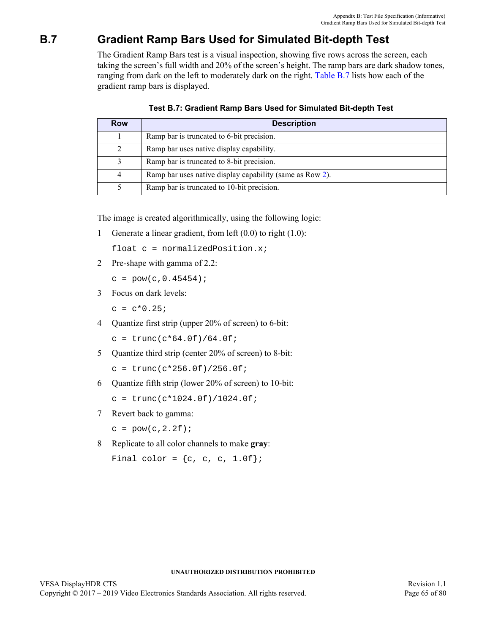# <span id="page-64-1"></span>**B.7 Gradient Ramp Bars Used for Simulated Bit-depth Test**

The Gradient Ramp Bars test is a visual inspection, showing five rows across the screen, each taking the screen's full width and 20% of the screen's height. The ramp bars are dark shadow tones, ranging from dark on the left to moderately dark on the right. [Table B.7](#page-64-0) lists how each of the gradient ramp bars is displayed.

<span id="page-64-2"></span><span id="page-64-0"></span>

| Row            | <b>Description</b>                                       |
|----------------|----------------------------------------------------------|
|                | Ramp bar is truncated to 6-bit precision.                |
| 2              | Ramp bar uses native display capability.                 |
| 3              | Ramp bar is truncated to 8-bit precision.                |
| $\overline{4}$ | Ramp bar uses native display capability (same as Row 2). |
|                | Ramp bar is truncated to 10-bit precision.               |

**Test B.7: [Gradient Ramp Bars Used for Simulated Bit-depth Test](#page-64-1)**

The image is created algorithmically, using the following logic:

1 Generate a linear gradient, from left (0.0) to right (1.0):

float c = normalizedPosition.x;

2 Pre-shape with gamma of 2.2:

 $c = pow(c, 0.45454);$ 

3 Focus on dark levels:

 $c = c*0.25;$ 

4 Quantize first strip (upper 20% of screen) to 6-bit:

 $c = \text{trunc}(c * 64.0f)/64.0f$ ;

5 Ouantize third strip (center 20% of screen) to 8-bit:

 $c = \text{trunc}(c*256.0f)/256.0f$ ;

6 Quantize fifth strip (lower 20% of screen) to 10-bit:

 $c = \text{trunc}(c*1024.0f)/1024.0f$ ;

7 Revert back to gamma:

 $c = pow(c, 2.2f);$ 

8 Replicate to all color channels to make **gray**:

Final color =  $\{c, c, c, 1.0f\}$ ;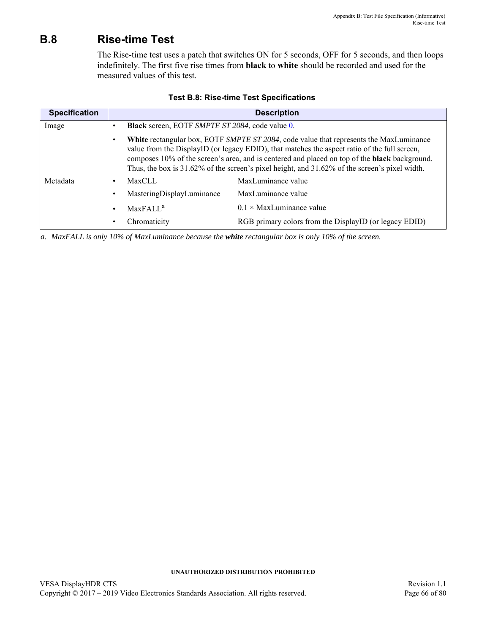# <span id="page-65-0"></span>**B.8 Rise-time Test**

The Rise-time test uses a patch that switches ON for 5 seconds, OFF for 5 seconds, and then loops indefinitely. The first five rise times from **black** to **white** should be recorded and used for the measured values of this test.

| <b>Specification</b> |           |                                                        | <b>Description</b>                                                                                                                                                                                                                                                                                                                                                                                    |
|----------------------|-----------|--------------------------------------------------------|-------------------------------------------------------------------------------------------------------------------------------------------------------------------------------------------------------------------------------------------------------------------------------------------------------------------------------------------------------------------------------------------------------|
| Image                | ٠         | <b>Black</b> screen, EOTF SMPTE ST 2084, code value 0. |                                                                                                                                                                                                                                                                                                                                                                                                       |
|                      | $\bullet$ |                                                        | White rectangular box, EOTF SMPTE ST 2084, code value that represents the MaxLuminance<br>value from the DisplayID (or legacy EDID), that matches the aspect ratio of the full screen,<br>composes 10% of the screen's area, and is centered and placed on top of the <b>black</b> background.<br>Thus, the box is $31.62\%$ of the screen's pixel height, and $31.62\%$ of the screen's pixel width. |
| Metadata             | $\bullet$ | <b>MaxCLL</b>                                          | MaxLuminance value                                                                                                                                                                                                                                                                                                                                                                                    |
|                      | $\bullet$ | MasteringDisplayLuminance                              | MaxLuminance value                                                                                                                                                                                                                                                                                                                                                                                    |
|                      | $\bullet$ | MaxFAIL <sup>a</sup>                                   | $0.1 \times$ MaxLuminance value                                                                                                                                                                                                                                                                                                                                                                       |
|                      | ٠         | Chromaticity                                           | RGB primary colors from the DisplayID (or legacy EDID)                                                                                                                                                                                                                                                                                                                                                |

### **Test B.8: [Rise-time Test](#page-65-0) Specifications**

*a. MaxFALL is only 10% of MaxLuminance because the white rectangular box is only 10% of the screen.*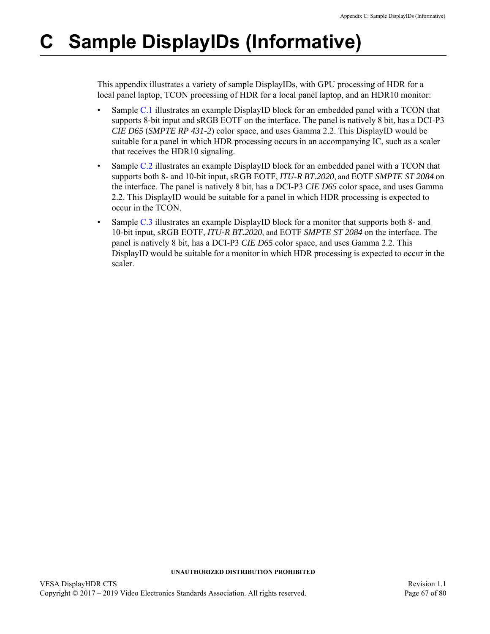# **C Sample DisplayIDs (Informative)**

This appendix illustrates a variety of sample DisplayIDs, with GPU processing of HDR for a local panel laptop, TCON processing of HDR for a local panel laptop, and an HDR10 monitor:

- Sample [C.1](#page-67-0) illustrates an example DisplayID block for an embedded panel with a TCON that supports 8-bit input and sRGB EOTF on the interface. The panel is natively 8 bit, has a DCI-P3 *CIE D65* (*SMPTE RP 431-2*) color space, and uses Gamma 2.2. This DisplayID would be suitable for a panel in which HDR processing occurs in an accompanying IC, such as a scaler that receives the HDR10 signaling.
- Sample [C.2](#page-69-0) illustrates an example DisplayID block for an embedded panel with a TCON that supports both 8- and 10-bit input, sRGB EOTF, *ITU-R BT.2020*, and EOTF *SMPTE ST 2084* on the interface. The panel is natively 8 bit, has a DCI-P3 *CIE D65* color space, and uses Gamma 2.2. This DisplayID would be suitable for a panel in which HDR processing is expected to occur in the TCON.
- Sample [C.3](#page-71-0) illustrates an example DisplayID block for a monitor that supports both 8- and 10-bit input, sRGB EOTF, *ITU-R BT.2020*, and EOTF *SMPTE ST 2084* on the interface. The panel is natively 8 bit, has a DCI-P3 *CIE D65* color space, and uses Gamma 2.2. This DisplayID would be suitable for a monitor in which HDR processing is expected to occur in the scaler.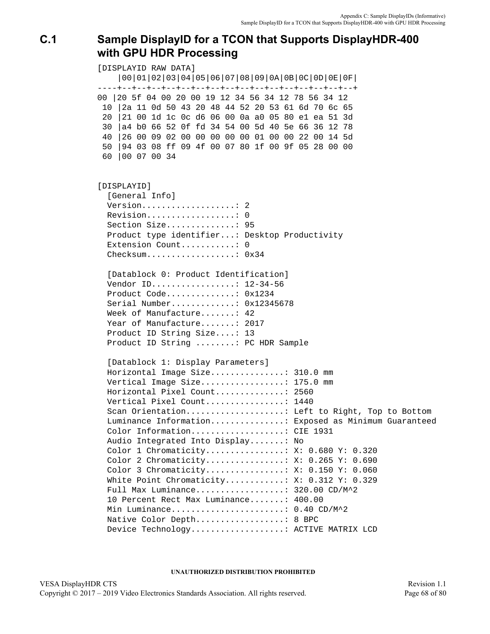# <span id="page-67-0"></span>**C.1 Sample DisplayID for a TCON that Supports DisplayHDR-400 with GPU HDR Processing**

[DISPLAYID RAW DATA] |00|01|02|03|04|05|06|07|08|09|0A|0B|0C|0D|0E|0F| ----+--+--+--+--+--+--+--+--+--+--+--+--+--+--+--+--+ 00 |20 5f 04 00 20 00 19 12 34 56 34 12 78 56 34 12 10 |2a 11 0d 50 43 20 48 44 52 20 53 61 6d 70 6c 65 20 |21 00 1d 1c 0c d6 06 00 0a a0 05 80 e1 ea 51 3d 30 |a4 b0 66 52 0f fd 34 54 00 5d 40 5e 66 36 12 78 40 |26 00 09 02 00 00 00 00 00 01 00 00 22 00 14 5d 50 |94 03 08 ff 09 4f 00 07 80 1f 00 9f 05 28 00 00 60 |00 07 00 34 [DISPLAYID] [General Info] Version...................: 2 Revision..................: 0 Section Size..............: 95 Product type identifier...: Desktop Productivity Extension Count............: 0 Checksum..................: 0x34 [Datablock 0: Product Identification] Vendor ID.................: 12-34-56 Product Code..............: 0x1234 Serial Number.............: 0x12345678 Week of Manufacture.......: 42 Year of Manufacture.......: 2017 Product ID String Size....: 13 Product ID String ........: PC HDR Sample [Datablock 1: Display Parameters] Horizontal Image Size...............: 310.0 mm Vertical Image Size.................: 175.0 mm Horizontal Pixel Count..............: 2560 Vertical Pixel Count................: 1440 Scan Orientation....................... Left to Right, Top to Bottom Luminance Information...............: Exposed as Minimum Guaranteed Color Information...................: CIE 1931 Audio Integrated Into Display.......: No Color 1 Chromaticity................: X: 0.680 Y: 0.320 Color 2 Chromaticity................: X: 0.265 Y: 0.690 Color 3 Chromaticity................: X: 0.150 Y: 0.060 White Point Chromaticity...........: X: 0.312 Y: 0.329 Full Max Luminance..................: 320.00 CD/M^2 10 Percent Rect Max Luminance.......: 400.00 Min Luminance........................: 0.40 CD/M^2 Native Color Depth...................: 8 BPC Device Technology...................: ACTIVE MATRIX LCD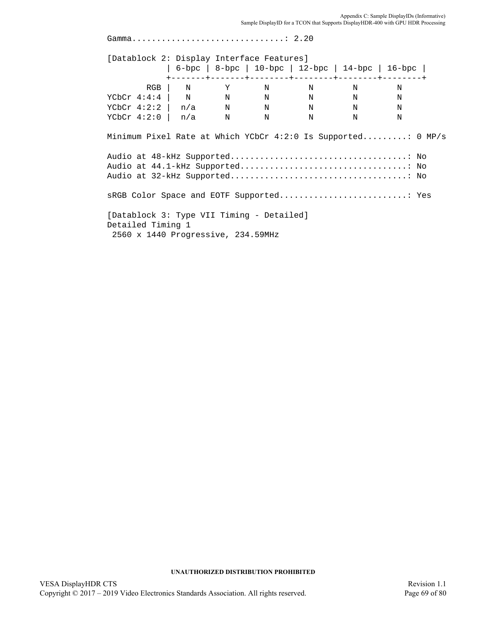| [Datablock 2: Display Interface Features]                      |  |  |                                                   |  |
|----------------------------------------------------------------|--|--|---------------------------------------------------|--|
|                                                                |  |  | 6-bpc   8-bpc   10-bpc   12-bpc   14-bpc   16-bpc |  |
|                                                                |  |  | RGB   N Y N N N N                                 |  |
| YCbCr 4:4:4   N N N N N N N                                    |  |  |                                                   |  |
| $YCDCT$ 4:2:2   n/a N N N N N N                                |  |  |                                                   |  |
| $YCDCr$ 4:2:0   n/a N N N N N                                  |  |  |                                                   |  |
| Minimum Pixel Rate at Which YCbCr 4:2:0 Is Supported: 0 MP/s   |  |  |                                                   |  |
| sRGB Color Space and EOTF Supported Yes                        |  |  |                                                   |  |
| [Datablock 3: Type VII Timing - Detailed]<br>Detailed Timing 1 |  |  |                                                   |  |
| 2560 x 1440 Progressive, 234.59MHz                             |  |  |                                                   |  |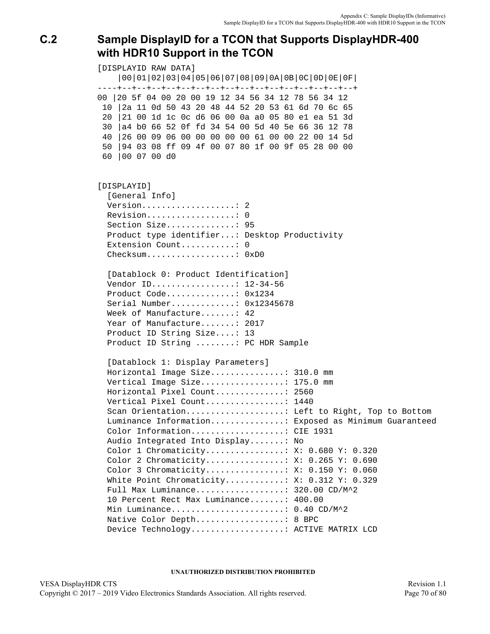# <span id="page-69-0"></span>**C.2 Sample DisplayID for a TCON that Supports DisplayHDR-400 with HDR10 Support in the TCON**

[DISPLAYID RAW DATA] |00|01|02|03|04|05|06|07|08|09|0A|0B|0C|0D|0E|0F| ----+--+--+--+--+--+--+--+--+--+--+--+--+--+--+--+--+ 00 |20 5f 04 00 20 00 19 12 34 56 34 12 78 56 34 12 10 |2a 11 0d 50 43 20 48 44 52 20 53 61 6d 70 6c 65 20 |21 00 1d 1c 0c d6 06 00 0a a0 05 80 e1 ea 51 3d 30 |a4 b0 66 52 0f fd 34 54 00 5d 40 5e 66 36 12 78 40 |26 00 09 06 00 00 00 00 00 61 00 00 22 00 14 5d 50 |94 03 08 ff 09 4f 00 07 80 1f 00 9f 05 28 00 00 60 |00 07 00 d0 [DISPLAYID] [General Info] Version...................: 2 Revision..................: 0 Section Size..............: 95 Product type identifier...: Desktop Productivity Extension Count............: 0 Checksum...................: 0xD0 [Datablock 0: Product Identification] Vendor ID.................: 12-34-56 Product Code..............: 0x1234 Serial Number.............: 0x12345678 Week of Manufacture.......: 42 Year of Manufacture.......: 2017 Product ID String Size....: 13 Product ID String ........: PC HDR Sample [Datablock 1: Display Parameters] Horizontal Image Size...............: 310.0 mm Vertical Image Size.................: 175.0 mm Horizontal Pixel Count..............: 2560 Vertical Pixel Count................: 1440 Scan Orientation....................... Left to Right, Top to Bottom Luminance Information...............: Exposed as Minimum Guaranteed Color Information...................: CIE 1931 Audio Integrated Into Display.......: No Color 1 Chromaticity................: X: 0.680 Y: 0.320 Color 2 Chromaticity................: X: 0.265 Y: 0.690 Color 3 Chromaticity................: X: 0.150 Y: 0.060 White Point Chromaticity...........: X: 0.312 Y: 0.329 Full Max Luminance..................: 320.00 CD/M^2 10 Percent Rect Max Luminance.......: 400.00 Min Luminance........................: 0.40 CD/M^2 Native Color Depth...................: 8 BPC Device Technology...................: ACTIVE MATRIX LCD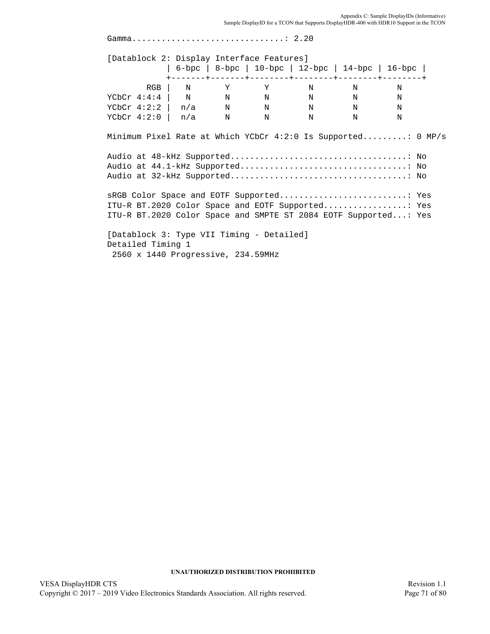Appendix C: Sample DisplayIDs (Informative)<br>Sample DisplayID for a TCON that Supports DisplayHDR-400 with HDR10 Support in the TCON

| Gamma 2.20                                                      |  |  |                                                   |   |  |
|-----------------------------------------------------------------|--|--|---------------------------------------------------|---|--|
| [Datablock 2: Display Interface Features]                       |  |  |                                                   |   |  |
|                                                                 |  |  | 6-bpc   8-bpc   10-bpc   12-bpc   14-bpc   16-bpc |   |  |
|                                                                 |  |  | RGB   N Y Y N N                                   | N |  |
| YCbCr 4:4:4   N N N N N N N                                     |  |  |                                                   |   |  |
| YCbCr 4:2:2   $n/a$ N N N N N                                   |  |  |                                                   |   |  |
| YCbCr 4:2:0   $n/a$ N N N N N                                   |  |  |                                                   |   |  |
|                                                                 |  |  |                                                   |   |  |
|                                                                 |  |  |                                                   |   |  |
| ITU-R BT.2020 Color Space and EOTF Supported                Yes |  |  |                                                   |   |  |
| ITU-R BT.2020 Color Space and SMPTE ST 2084 EOTF Supported: Yes |  |  |                                                   |   |  |
| [Datablock 3: Type VII Timing - Detailed]<br>Detailed Timing 1  |  |  |                                                   |   |  |
| 2560 x 1440 Progressive, 234.59MHz                              |  |  |                                                   |   |  |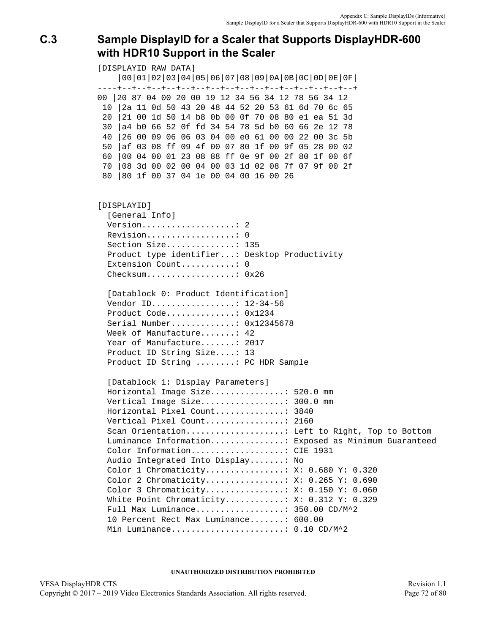# <span id="page-71-0"></span>**C.3 Sample DisplayID for a Scaler that Supports DisplayHDR-600 with HDR10 Support in the Scaler**

[DISPLAYID RAW DATA] |00|01|02|03|04|05|06|07|08|09|0A|0B|0C|0D|0E|0F| ----+--+--+--+--+--+--+--+--+--+--+--+--+--+--+--+--+ 00 |20 87 04 00 20 00 19 12 34 56 34 12 78 56 34 12 10 |2a 11 0d 50 43 20 48 44 52 20 53 61 6d 70 6c 65 20 |21 00 1d 50 14 b8 0b 00 0f 70 08 80 e1 ea 51 3d 30 |a4 b0 66 52 0f fd 34 54 78 5d b0 60 66 2e 12 78 40 |26 00 09 06 06 03 04 00 e0 61 00 00 22 00 3c 5b 50 |af 03 08 ff 09 4f 00 07 80 1f 00 9f 05 28 00 02 60 |00 04 00 01 23 08 88 ff 0e 9f 00 2f 80 1f 00 6f 70 |08 3d 00 02 00 04 00 03 1d 02 08 7f 07 9f 00 2f 80 |80 1f 00 37 04 1e 00 04 00 16 00 26 [DISPLAYID] [General Info] Version...................... 2 Revision..................: 0 Section Size..............: 135 Product type identifier...: Desktop Productivity Extension Count............: 0 Checksum..................: 0x26 [Datablock 0: Product Identification] Vendor ID.................: 12-34-56 Product Code..............: 0x1234 Serial Number.............: 0x12345678 Week of Manufacture.......: 42 Year of Manufacture.......: 2017 Product ID String Size....: 13 Product ID String ........: PC HDR Sample [Datablock 1: Display Parameters] Horizontal Image Size...............: 520.0 mm Vertical Image Size.................: 300.0 mm Horizontal Pixel Count..............: 3840 Vertical Pixel Count................: 2160 Scan Orientation....................: Left to Right, Top to Bottom Luminance Information...............: Exposed as Minimum Guaranteed Color Information...................: CIE 1931 Audio Integrated Into Display.......: No Color 1 Chromaticity................: X: 0.680 Y: 0.320 Color 2 Chromaticity................: X: 0.265 Y: 0.690 Color 3 Chromaticity................: X: 0.150 Y: 0.060 White Point Chromaticity...........: X: 0.312 Y: 0.329 Full Max Luminance..................: 350.00 CD/M^2 10 Percent Rect Max Luminance.......: 600.00 Min Luminance.......................: 0.10 CD/M^2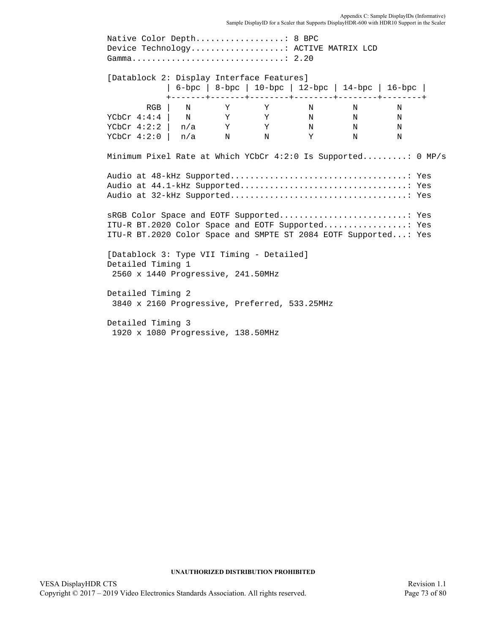Native Color Depth..................: 8 BPC Device Technology...................: ACTIVE MATRIX LCD Gamma...............................: 2.20 [Datablock 2: Display Interface Features] | 6-bpc | 8-bpc | 10-bpc | 12-bpc | 14-bpc | 16-bpc | +-------+-------+--------+--------+--------+--------+ RGB | N Y Y N N N YCbCr 4:4:4 | N Y Y N N N YCbCr 4:2:2 | n/a Y Y N N N YCbCr 4:2:0 | n/a N N Y N N Minimum Pixel Rate at Which YCbCr 4:2:0 Is Supported.........: 0 MP/s Audio at 48-kHz Supported....................................: Yes Audio at 44.1-kHz Supported..................................: Yes Audio at 32-kHz Supported....................................: Yes sRGB Color Space and EOTF Supported..........................: Yes ITU-R BT.2020 Color Space and EOTF Supported.................: Yes ITU-R BT.2020 Color Space and SMPTE ST 2084 EOTF Supported...: Yes [Datablock 3: Type VII Timing - Detailed] Detailed Timing 1 2560 x 1440 Progressive, 241.50MHz Detailed Timing 2 3840 x 2160 Progressive, Preferred, 533.25MHz Detailed Timing 3 1920 x 1080 Progressive, 138.50MHz

Appendix C: Sample DisplayIDs (Informative)

Sample DisplayID for a Scaler that Supports DisplayHDR-600 with HDR10 Support in the Scaler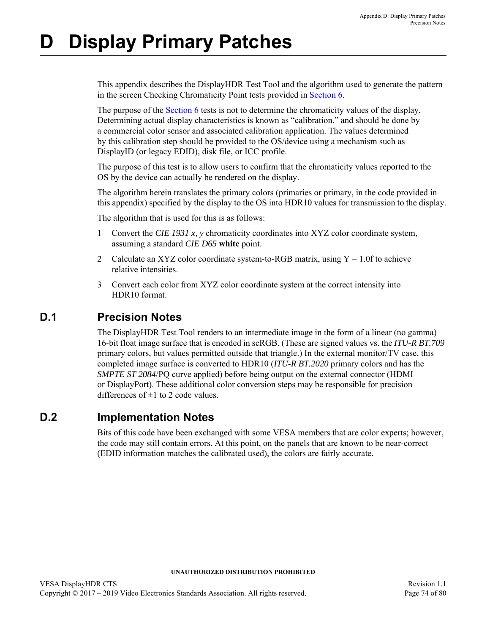# **D Display Primary Patches**

This appendix describes the DisplayHDR Test Tool and the algorithm used to generate the pattern in the screen Checking Chromaticity Point tests provided in [Section 6](#page-39-0).

The purpose of the [Section 6](#page-39-0) tests is not to determine the chromaticity values of the display. Determining actual display characteristics is known as "calibration," and should be done by a commercial color sensor and associated calibration application. The values determined by this calibration step should be provided to the OS/device using a mechanism such as DisplayID (or legacy EDID), disk file, or ICC profile.

The purpose of this test is to allow users to confirm that the chromaticity values reported to the OS by the device can actually be rendered on the display.

The algorithm herein translates the primary colors (primaries or primary, in the code provided in this appendix) specified by the display to the OS into HDR10 values for transmission to the display.

The algorithm that is used for this is as follows:

- 1 Convert the *CIE 1931 x, y* chromaticity coordinates into XYZ color coordinate system, assuming a standard *CIE D65* **white** point.
- 2 Calculate an XYZ color coordinate system-to-RGB matrix, using  $Y = 1.0$  f to achieve relative intensities.
- 3 Convert each color from XYZ color coordinate system at the correct intensity into HDR10 format.

# **D.1 Precision Notes**

The DisplayHDR Test Tool renders to an intermediate image in the form of a linear (no gamma) 16-bit float image surface that is encoded in scRGB. (These are signed values vs. the *ITU-R BT.709* primary colors, but values permitted outside that triangle.) In the external monitor/TV case, this completed image surface is converted to HDR10 (*ITU-R BT.2020* primary colors and has the *SMPTE ST 2084*/PQ curve applied) before being output on the external connector (HDMI or DisplayPort). These additional color conversion steps may be responsible for precision differences of  $\pm 1$  to 2 code values.

# **D.2 Implementation Notes**

Bits of this code have been exchanged with some VESA members that are color experts; however, the code may still contain errors. At this point, on the panels that are known to be near-correct (EDID information matches the calibrated used), the colors are fairly accurate.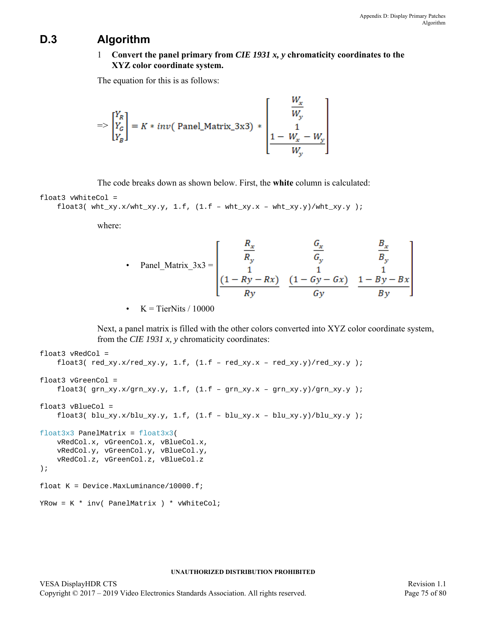## **D.3 Algorithm**

### 1 **Convert the panel primary from** *CIE 1931 x, y* **chromaticity coordinates to the XYZ color coordinate system.**

The equation for this is as follows:

$$
\Rightarrow \begin{bmatrix} Y_R \\ Y_G \\ Y_B \end{bmatrix} = K * inv(\text{ Panel\_Matrix\_3x3}) * \begin{bmatrix} W_x \\ W_y \\ 1 \\ 1 - W_x - W_y \\ W_y \end{bmatrix}
$$

The code breaks down as shown below. First, the **white** column is calculated:

float3 vWhiteCol =

float3( $wht_xxy.x/wht_xxy.y, 1.f, (1.f - wht_xy.x - wht_xy.y)/wht_xy.y$ );

where:

• Panel\_Matrix\_3x3 = 
$$
\begin{bmatrix} \frac{R_x}{R_y} & \frac{G_x}{G_y} & \frac{B_x}{B_y} \\ 1 & 1 & 1 \\ \frac{(1-Ry-Rx)}{R_y} & \frac{(1-Gy-Gx)}{G_y} & \frac{1-By-Bx}{By} \end{bmatrix}
$$

•  $K = TierNits / 10000$ 

Next, a panel matrix is filled with the other colors converted into XYZ color coordinate system, from the *CIE 1931 x, y* chromaticity coordinates:

```
float3 vRedCol =
    float3(red_xxy.x/red_xy.y, 1.f, (1.f - red_xy.x - red_xy.y)/red_xy.y);
float3 vGreenCol =
    float3( grn_xy.x/grn_xy.y, 1.f, (1.f - grn_xy.x - grn_xy.y)/grn_xy.y );
float3 vBlueCol =
    float3( blu_xy.x/blu_xy.y, 1.f, (1.f - blu_xy.x - blu_xy.y)/blu_xxy.y );
float3x3 PanelMatrix = float3x3(
   vRedCol.x, vGreenCol.x, vBlueCol.x,
   vRedCol.y, vGreenCol.y, vBlueCol.y,
    vRedCol.z, vGreenCol.z, vBlueCol.z
);
float K = Device. MaxLuminance/10000.f;
YRow = K * inv( PanelMatrix ) * vWhiteCol;
```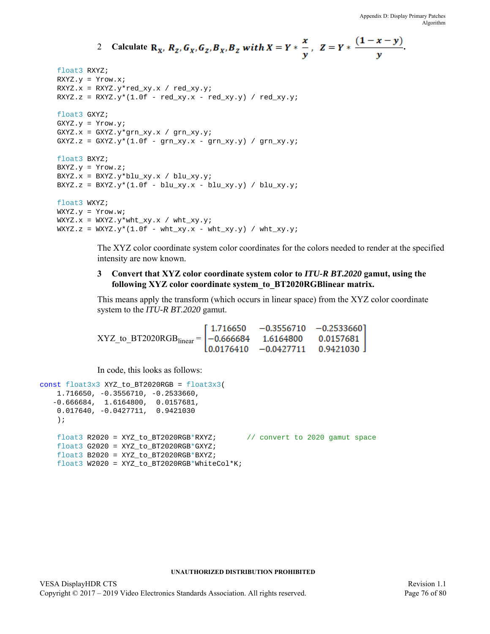22.00

2 Calculate 
$$
\mathbf{R}_x
$$
,  $\mathbf{R}_z$ ,  $\mathbf{G}_x$ ,  $\mathbf{G}_z$ ,  $\mathbf{B}_x$ ,  $\mathbf{B}_z$  with  $X = Y * \frac{x}{y}$ ,  $Z = Y * \frac{(1-x-y)}{y}$ .

```
float3 RXYZ;
RXYZ.y = Yrow.x;
RXYZ.x = RXYZ.y*red_xy.x / red_xy.y;RXYZ.z = RXYZ.y*(1.0f - red_xy.x - red_xy.y) / red_xy.y;float3 GXYZ;
GXYZ.y = Yrow.y;
GXYZ.x = GXYZ.y*grn_Xy.x / grn_Xy.y;GXYZ.z = GXYZ.y*(1.0f - grn_Xy.x - grn_Xy.y) / grn_Xy.y;
float3 BXYZ;
BXYZ.y = Yrow.z;BXYZ.x = BXYZ.y*blu_xy.x / blu_xy.y;
BXYZ.z = BXYZ.y*(1.0f - blu_xy.x - blu_xy.y) / blu_xy.y;
float3 WXYZ;
WXYZ.y = Yrow.w;
\texttt{WXYZ.x = WXYZ.y*wht\_xy.x / wht\_xy.y;}WXYZ.z = WXYZ.y*(1.0f - wht_xy.x - wht_xy.y) / wht_xy.y;
```
The XYZ color coordinate system color coordinates for the colors needed to render at the specified intensity are now known.

### **3 Convert that XYZ color coordinate system color to** *ITU-R BT.2020* **gamut, using the following XYZ color coordinate system\_to\_BT2020RGBlinear matrix.**

This means apply the transform (which occurs in linear space) from the XYZ color coordinate system to the *ITU-R BT.2020* gamut.

 $XYZ_{\text{LO}}BT2020RGB_{\text{linear}} = \begin{bmatrix} 1.716650 & -0.3556710 & -0.2533660 \\ -0.666684 & 1.6164800 & 0.0157681 \\ 0.0176410 & -0.0427711 & 0.9421030 \end{bmatrix}$ 

In code, this looks as follows:

```
const float3x3 XYZ to BT2020RGB = float3x3(
   1.716650, -0.3556710, -0.2533660,
    -0.666684, 1.6164800, 0.0157681,
   0.017640, -0.0427711, 0.9421030
   );
   float3 R2020 = XYZ to BT2020RGB*RXYZ; // convert to 2020 gamut space
   float3 G2020 = XYZ_to_BT2020RGB*GXYZ;float3 B2020 = XYZ_to_BT2020RGB*BXYZ;float3 W2020 = XYZ_to_BT2020RGB*WhiteCol*K;
```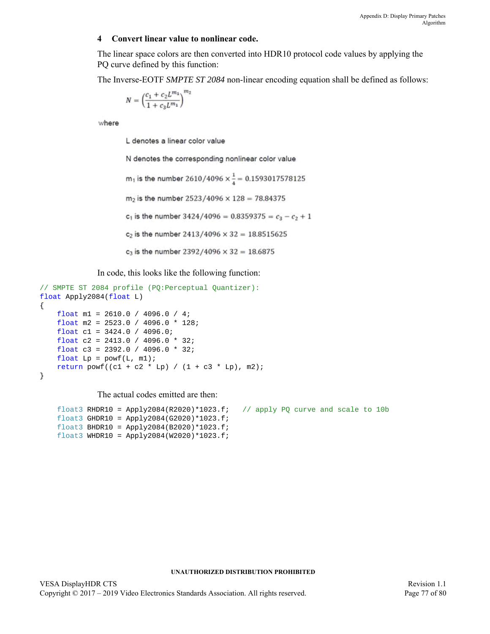#### **4 Convert linear value to nonlinear code.**

The linear space colors are then converted into HDR10 protocol code values by applying the PQ curve defined by this function:

The Inverse-EOTF *SMPTE ST 2084* non-linear encoding equation shall be defined as follows:

$$
N=\left(\frac{c_1+c_2L^{m_1}}{1+c_3L^{m_1}}\right)^{m_2}
$$

where

L denotes a linear color value

N denotes the corresponding nonlinear color value

m<sub>1</sub> is the number 2610/4096  $\times \frac{1}{4} = 0.1593017578125$ 

 $m_2$  is the number 2523/4096  $\times$  128 = 78.84375

 $c_1$  is the number 3424/4096 = 0.8359375 =  $c_3 - c_2 + 1$ 

 $c_2$  is the number 2413/4096  $\times$  32 = 18.8515625

 $c_3$  is the number 2392/4096  $\times$  32 = 18.6875

In code, this looks like the following function:

```
// SMPTE ST 2084 profile (PQ:Perceptual Quantizer):
float Apply2084(float L)
{
    float ml = 2610.0 / 4096.0 / 4;float m2 = 2523.0 / 4096.0 * 128;
    float c1 = 3424.0 / 4096.0;
   float c2 = 2413.0 / 4096.0 * 32;
   float c3 = 2392.0 / 4096.0 * 32;
   float Lp = powf(L, ml);return powf((c1 + c2 * Lp) / (1 + c3 * Lp), m2);
}
```
#### The actual codes emitted are then:

```
float3 RHDR10 = Apply2084(R2020)*1023.f; // apply PQ curve and scale to 10b
float3 GHDR10 = Apply2084(G2020)*1023.f;
float3 BHDR10 = Apply2084(B2020)*1023.f;
float3 WHDR10 = Apply2084(W2020)*1023.f;
```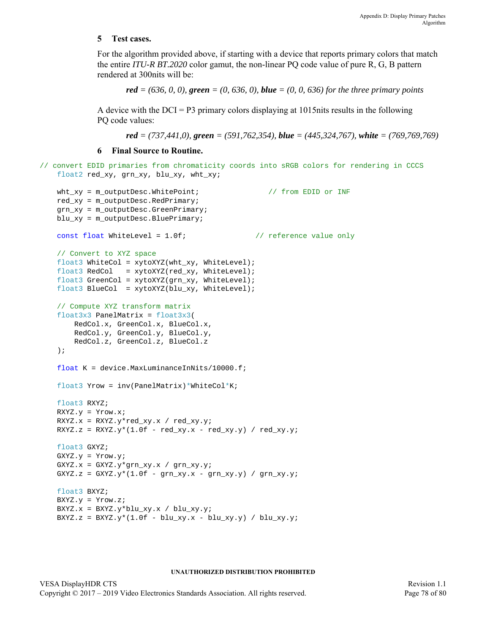#### **5 Test cases.**

For the algorithm provided above, if starting with a device that reports primary colors that match the entire *ITU-R BT.2020* color gamut, the non-linear PQ code value of pure R, G, B pattern rendered at 300nits will be:

*red* = (636, 0, 0), **green** = (0, 636, 0), *blue* = (0, 0, 636) for the three primary points

A device with the  $DCI = P3$  primary colors displaying at 1015nits results in the following PQ code values:

*red = (737,441,0), green = (591,762,354), blue = (445,324,767), white = (769,769,769)*

#### **6 Final Source to Routine.**

```
// convert EDID primaries from chromaticity coords into sRGB colors for rendering in CCCS
   float2 red_xy, grn_xy, blu_xy, wht_xy;
```

```
wht_xy = m_outputDesc.WhitePoint; \frac{1}{f} from EDID or INF
red xy = m_outputDesc.RedPrimary;
grn_xy = m_outputDesc.GreenPrimary;
blu_xy = m_outputDesc.BluePrimary;
const float WhiteLevel = 1.0f; \frac{1}{2} // reference value only
// Convert to XYZ space
float3 WhiteCol = xytoXYZ(wht_xy, WhiteLevel);
float3 RedCol = xytoXYZ(red_xy, WhiteLevel);
float3 GreenCol = xytoXYZ(grn_xy, WhiteLevel);
float3 BlueCol = xytoXYZ(blu_xy, WhiteLevel);
// Compute XYZ transform matrix
float3x3 PanelMatrix = float3x3(
    RedCol.x, GreenCol.x, BlueCol.x,
   RedCol.y, GreenCol.y, BlueCol.y,
    RedCol.z, GreenCol.z, BlueCol.z
);
float K = device. MaxLuminanceInNits/10000.f;
float3 Yrow = inv(PanelMatrix)*WhiteCol*K;float3 RXYZ;
RXYZ.y = Yrow.x;
\verb|RXYZ.x = RXYZ.y*red\_xy.x / red\_xy.y;RXYZ.z = RXYZ.y*(1.0f - red_xy.x - red_xy.y) / red_xy.y;
float3 GXYZ;
GXYZ.y = Yrow.y;
GXYZ.x = GXYZ.y*grn_xy.x / grn_xy.y;GXYZ.z = GXYZ.y*(1.0f - grn_xy.x - grn_xy.y) / grn_xy.y;
float3 BXYZ;
BXYZ.y = Yrow.z;BXYZ.x = BXYZ.y * blu_xy.x / blu_xy.yBXYZ.z = BXYZ.y*(1.0f - blu_xy.x - blu_xy.y) / blu_xy.y;
```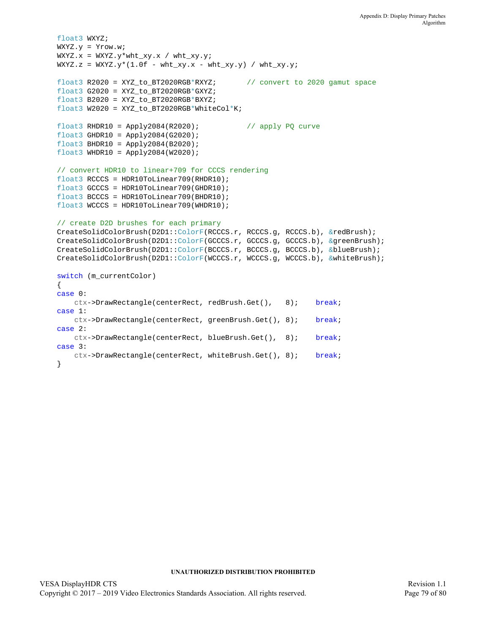```
float3 WXYZ;
WXYZ.y = Yrow.w;
WXYZ.x = WXYZ.y*wht_xy.x / wht_xy.y;WXYZ.z = WXYZ.y*(1.0f - wht_xy.x - wht_xy.y) / wht_xy.y;float3 R2020 = XYZ_to_BT2020RGB*RXYZ; // convert to 2020 gamut space
float3 G2020 = XYZ_to_BT2020RGB*GXYZ;
float3 B2020 = XYZ_to_BT2020RGB*BXYZ;float3 W2020 = XYZ_to_BT2020RGB*WhiteCol*K;float3 RHDR10 = Apply2084(R2020); // apply PQ curve
float3 GHDR10 = Apply2084(G2020);float3 BHDR10 = Apply2084(B2020);
float3 WHDR10 = Apply2084(W2020);// convert HDR10 to linear+709 for CCCS rendering
float3 RCCCS = HDR10ToLinear709(RHDR10);
float3 GCCCS = HDR10ToLinear709(GHDR10);
float3 BCCCS = HDR10ToLinear709(BHDR10);
float3 WCCCS = HDR10ToLinear709(WHDR10);
// create D2D brushes for each primary
CreateSolidColorBrush(D2D1::ColorF(RCCCS.r, RCCCS.g, RCCCS.b), &redBrush);
CreateSolidColorBrush(D2D1::ColorF(GCCCS.r, GCCCS.g, GCCCS.b), &greenBrush);
CreateSolidColorBrush(D2D1::ColorF(BCCCS.r, BCCCS.g, BCCCS.b), &blueBrush);
CreateSolidColorBrush(D2D1::ColorF(WCCCS.r, WCCCS.g, WCCCS.b), &whiteBrush);
switch (m_currentColor)
{
case 0:
   ctx->DrawRectangle(centerRect, redBrush.Get(), 8); break;
case 1:
   ctx->DrawRectangle(centerRect, greenBrush.Get(), 8); break;
case 2:
   ctx->DrawRectangle(centerRect, blueBrush.Get(), 8); break;
case 3:
   ctx->DrawRectangle(centerRect, whiteBrush.Get(), 8); break;
}
```